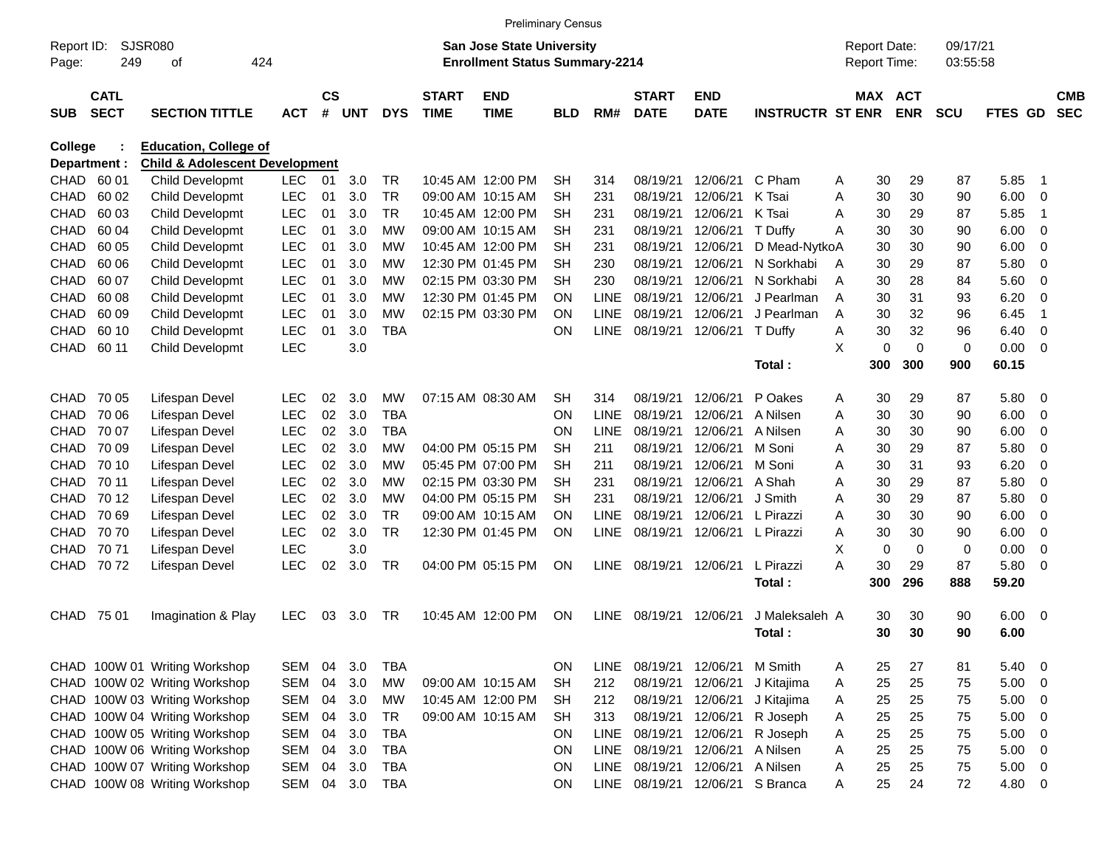|                     |                            |                                           |            |                |            |            |                             | <b>Preliminary Census</b>                                                 |            |             |                             |                           |                         |   |                                     |                          |                      |                |                         |                          |
|---------------------|----------------------------|-------------------------------------------|------------|----------------|------------|------------|-----------------------------|---------------------------------------------------------------------------|------------|-------------|-----------------------------|---------------------------|-------------------------|---|-------------------------------------|--------------------------|----------------------|----------------|-------------------------|--------------------------|
| Report ID:<br>Page: | <b>SJSR080</b><br>249      | οf                                        | 424        |                |            |            |                             | <b>San Jose State University</b><br><b>Enrollment Status Summary-2214</b> |            |             |                             |                           |                         |   | <b>Report Date:</b><br>Report Time: |                          | 09/17/21<br>03:55:58 |                |                         |                          |
| <b>SUB</b>          | <b>CATL</b><br><b>SECT</b> | <b>SECTION TITTLE</b>                     | <b>ACT</b> | <b>CS</b><br># | <b>UNT</b> | <b>DYS</b> | <b>START</b><br><b>TIME</b> | <b>END</b><br><b>TIME</b>                                                 | <b>BLD</b> | RM#         | <b>START</b><br><b>DATE</b> | <b>END</b><br><b>DATE</b> | <b>INSTRUCTR ST ENR</b> |   | <b>MAX</b>                          | <b>ACT</b><br><b>ENR</b> | <b>SCU</b>           | <b>FTES GD</b> |                         | <b>CMB</b><br><b>SEC</b> |
| College             |                            | <b>Education, College of</b>              |            |                |            |            |                             |                                                                           |            |             |                             |                           |                         |   |                                     |                          |                      |                |                         |                          |
| Department :        |                            | <b>Child &amp; Adolescent Development</b> |            |                |            |            |                             |                                                                           |            |             |                             |                           |                         |   |                                     |                          |                      |                |                         |                          |
| CHAD                | 60 01                      | <b>Child Developmt</b>                    | <b>LEC</b> | 01             | 3.0        | <b>TR</b>  |                             | 10:45 AM 12:00 PM                                                         | SН         | 314         | 08/19/21                    | 12/06/21                  | C Pham                  | A | 30                                  | 29                       | 87                   | 5.85           | $\overline{1}$          |                          |
| <b>CHAD</b>         | 60 02                      | Child Developmt                           | LEC        | 01             | 3.0        | <b>TR</b>  |                             | 09:00 AM 10:15 AM                                                         | <b>SH</b>  | 231         | 08/19/21                    | 12/06/21                  | K Tsai                  | A | 30                                  | 30                       | 90                   | 6.00           | $\mathbf 0$             |                          |
| CHAD                | 60 03                      | Child Developmt                           | LEC        | 01             | 3.0        | <b>TR</b>  |                             | 10:45 AM 12:00 PM                                                         | <b>SH</b>  | 231         | 08/19/21                    | 12/06/21                  | K Tsai                  | A | 30                                  | 29                       | 87                   | 5.85           | -1                      |                          |
| CHAD                | 60 04                      | Child Developmt                           | LEC        | 01             | 3.0        | МW         |                             | 09:00 AM 10:15 AM                                                         | <b>SH</b>  | 231         | 08/19/21                    | 12/06/21                  | T Duffy                 | A | 30                                  | 30                       | 90                   | 6.00           | $\mathbf 0$             |                          |
| CHAD                | 60 05                      | Child Developmt                           | LEC        | 01             | 3.0        | МW         |                             | 10:45 AM 12:00 PM                                                         | <b>SH</b>  | 231         | 08/19/21                    | 12/06/21                  | D Mead-NytkoA           |   | 30                                  | 30                       | 90                   | 6.00           | 0                       |                          |
| CHAD                | 60 06                      | Child Developmt                           | LEC        | 01             | 3.0        | МW         |                             | 12:30 PM 01:45 PM                                                         | <b>SH</b>  | 230         | 08/19/21                    | 12/06/21                  | N Sorkhabi              | A | 30                                  | 29                       | 87                   | 5.80           | 0                       |                          |
| <b>CHAD</b>         | 60 07                      | Child Developmt                           | LEC        | 01             | 3.0        | МW         |                             | 02:15 PM 03:30 PM                                                         | <b>SH</b>  | 230         | 08/19/21                    | 12/06/21                  | N Sorkhabi              | A | 30                                  | 28                       | 84                   | 5.60           | $\mathbf 0$             |                          |
| CHAD                | 60 08                      | Child Developmt                           | LEC        | 01             | 3.0        | МW         |                             | 12:30 PM 01:45 PM                                                         | ΟN         | <b>LINE</b> | 08/19/21                    | 12/06/21                  | J Pearlman              | A | 30                                  | 31                       | 93                   | 6.20           | 0                       |                          |
| CHAD                | 60 09                      | Child Developmt                           | LEC        | 01             | 3.0        | МW         |                             | 02:15 PM 03:30 PM                                                         | ΟN         | <b>LINE</b> | 08/19/21                    | 12/06/21                  | J Pearlman              | A | 30                                  | 32                       | 96                   | 6.45           | -1                      |                          |
| <b>CHAD</b>         | 60 10                      | Child Developmt                           | LEC        | 01             | 3.0        | <b>TBA</b> |                             |                                                                           | ON         | <b>LINE</b> | 08/19/21                    | 12/06/21                  | T Duffy                 | A | 30                                  | 32                       | 96                   | 6.40           | $\mathbf 0$             |                          |
| <b>CHAD</b>         | 60 11                      | <b>Child Developmt</b>                    | <b>LEC</b> |                | 3.0        |            |                             |                                                                           |            |             |                             |                           |                         | X | 0                                   | $\mathbf 0$              | 0                    | 0.00           | -0                      |                          |
|                     |                            |                                           |            |                |            |            |                             |                                                                           |            |             |                             |                           | Total:                  |   | 300                                 | 300                      | 900                  | 60.15          |                         |                          |
| <b>CHAD</b>         | 70 05                      | Lifespan Devel                            | <b>LEC</b> | 02             | 3.0        | <b>MW</b>  |                             | 07:15 AM 08:30 AM                                                         | <b>SH</b>  | 314         | 08/19/21                    | 12/06/21                  | P Oakes                 | A | 30                                  | 29                       | 87                   | 5.80           | -0                      |                          |
| <b>CHAD</b>         | 70 06                      | Lifespan Devel                            | <b>LEC</b> | 02             | 3.0        | <b>TBA</b> |                             |                                                                           | ON         | <b>LINE</b> | 08/19/21                    | 12/06/21                  | A Nilsen                | A | 30                                  | 30                       | 90                   | 6.00           | 0                       |                          |
| <b>CHAD</b>         | 70 07                      | Lifespan Devel                            | <b>LEC</b> | 02             | 3.0        | <b>TBA</b> |                             |                                                                           | ON         | <b>LINE</b> | 08/19/21                    | 12/06/21                  | A Nilsen                | A | 30                                  | 30                       | 90                   | 6.00           | 0                       |                          |
| CHAD                | 70 09                      | Lifespan Devel                            | <b>LEC</b> | 02             | 3.0        | МW         |                             | 04:00 PM 05:15 PM                                                         | <b>SH</b>  | 211         | 08/19/21                    | 12/06/21                  | M Soni                  | A | 30                                  | 29                       | 87                   | 5.80           | $\mathbf 0$             |                          |
| CHAD                | 70 10                      | Lifespan Devel                            | <b>LEC</b> | 02             | 3.0        | МW         |                             | 05:45 PM 07:00 PM                                                         | <b>SH</b>  | 211         | 08/19/21                    | 12/06/21                  | M Soni                  | A | 30                                  | 31                       | 93                   | 6.20           | 0                       |                          |
| CHAD                | 70 11                      | Lifespan Devel                            | <b>LEC</b> | 02             | 3.0        | МW         |                             | 02:15 PM 03:30 PM                                                         | <b>SH</b>  | 231         | 08/19/21                    | 12/06/21                  | A Shah                  | A | 30                                  | 29                       | 87                   | 5.80           | 0                       |                          |
| CHAD                | 70 12                      | Lifespan Devel                            | <b>LEC</b> | 02             | 3.0        | МW         |                             | 04:00 PM 05:15 PM                                                         | <b>SH</b>  | 231         | 08/19/21                    | 12/06/21                  | J Smith                 | A | 30                                  | 29                       | 87                   | 5.80           | $\mathbf 0$             |                          |
| <b>CHAD</b>         | 70 69                      | Lifespan Devel                            | <b>LEC</b> | 02             | 3.0        | <b>TR</b>  |                             | 09:00 AM 10:15 AM                                                         | ΟN         | <b>LINE</b> | 08/19/21                    | 12/06/21                  | L Pirazzi               | A | 30                                  | 30                       | 90                   | 6.00           | 0                       |                          |
| <b>CHAD</b>         | 70 70                      | Lifespan Devel                            | <b>LEC</b> | 02             | 3.0        | <b>TR</b>  |                             | 12:30 PM 01:45 PM                                                         | ON         | <b>LINE</b> | 08/19/21                    | 12/06/21                  | L Pirazzi               | A | 30                                  | 30                       | 90                   | 6.00           | 0                       |                          |
| <b>CHAD</b>         | 70 71                      | Lifespan Devel                            | <b>LEC</b> |                | 3.0        |            |                             |                                                                           |            |             |                             |                           |                         | X | 0                                   | $\mathbf 0$              | 0                    | 0.00           | $\mathbf 0$             |                          |
| <b>CHAD</b>         | 7072                       | Lifespan Devel                            | <b>LEC</b> | 02             | 3.0        | TR.        |                             | 04:00 PM 05:15 PM                                                         | ΟN         | <b>LINE</b> | 08/19/21                    | 12/06/21                  | L Pirazzi               | A | 30                                  | 29                       | 87                   | 5.80           | -0                      |                          |
|                     |                            |                                           |            |                |            |            |                             |                                                                           |            |             |                             |                           | Total:                  |   | 300                                 | 296                      | 888                  | 59.20          |                         |                          |
| <b>CHAD</b>         | 75 01                      | Imagination & Play                        | <b>LEC</b> | 03             | 3.0        | TR.        |                             | 10:45 AM 12:00 PM                                                         | ΟN         | <b>LINE</b> | 08/19/21                    | 12/06/21                  | J Maleksaleh A          |   | 30                                  | 30                       | 90                   | 6.00           | - 0                     |                          |
|                     |                            |                                           |            |                |            |            |                             |                                                                           |            |             |                             |                           | Total:                  |   | 30                                  | 30                       | 90                   | 6.00           |                         |                          |
|                     |                            |                                           |            |                |            |            |                             |                                                                           |            |             |                             |                           |                         |   |                                     |                          |                      |                |                         |                          |
|                     |                            | CHAD 100W 01 Writing Workshop             | SEM        | 04             | 3.0        | <b>TBA</b> |                             |                                                                           | ON         | <b>LINE</b> | 08/19/21                    | 12/06/21                  | M Smith                 | Α | 25                                  | 27                       | 81                   | 5.40           | - 0                     |                          |
|                     |                            | CHAD 100W 02 Writing Workshop             | SEM        | 04             | 3.0        | <b>MW</b>  |                             | 09:00 AM 10:15 AM                                                         | <b>SH</b>  | 212         | 08/19/21                    | 12/06/21                  | J Kitajima              | A | 25                                  | 25                       | 75                   | 5.00           | $\overline{0}$          |                          |
|                     |                            | CHAD 100W 03 Writing Workshop             | SEM        | 04             | 3.0        | <b>MW</b>  |                             | 10:45 AM 12:00 PM                                                         | <b>SH</b>  | 212         | 08/19/21                    | 12/06/21                  | J Kitajima              | A | 25                                  | 25                       | 75                   | 5.00           | 0                       |                          |
|                     |                            | CHAD 100W 04 Writing Workshop             | SEM        | 04             | 3.0        | <b>TR</b>  |                             | 09:00 AM 10:15 AM                                                         | <b>SH</b>  | 313         | 08/19/21                    | 12/06/21                  | R Joseph                | A | 25                                  | 25                       | 75                   | 5.00           | $\overline{0}$          |                          |
|                     |                            | CHAD 100W 05 Writing Workshop             | SEM        | 04             | 3.0        | <b>TBA</b> |                             |                                                                           | ON         | LINE        | 08/19/21                    | 12/06/21                  | R Joseph                | A | 25                                  | 25                       | 75                   | 5.00           | $\overline{0}$          |                          |
|                     |                            | CHAD 100W 06 Writing Workshop             | SEM        | 04             | 3.0        | <b>TBA</b> |                             |                                                                           | ON         |             | LINE 08/19/21               | 12/06/21                  | A Nilsen                | A | 25                                  | 25                       | 75                   | 5.00           | $\overline{0}$          |                          |
|                     |                            | CHAD 100W 07 Writing Workshop             | SEM        | 04             | 3.0        | <b>TBA</b> |                             |                                                                           | ON         |             | LINE 08/19/21               | 12/06/21                  | A Nilsen                | Α | 25                                  | 25                       | 75                   | 5.00           | $\overline{0}$          |                          |
|                     |                            | CHAD 100W 08 Writing Workshop             | SEM 04     |                | 3.0        | <b>TBA</b> |                             |                                                                           | ON         |             | LINE 08/19/21               | 12/06/21                  | S Branca                | Α | 25                                  | 24                       | 72                   | 4.80           | $\overline{\mathbf{0}}$ |                          |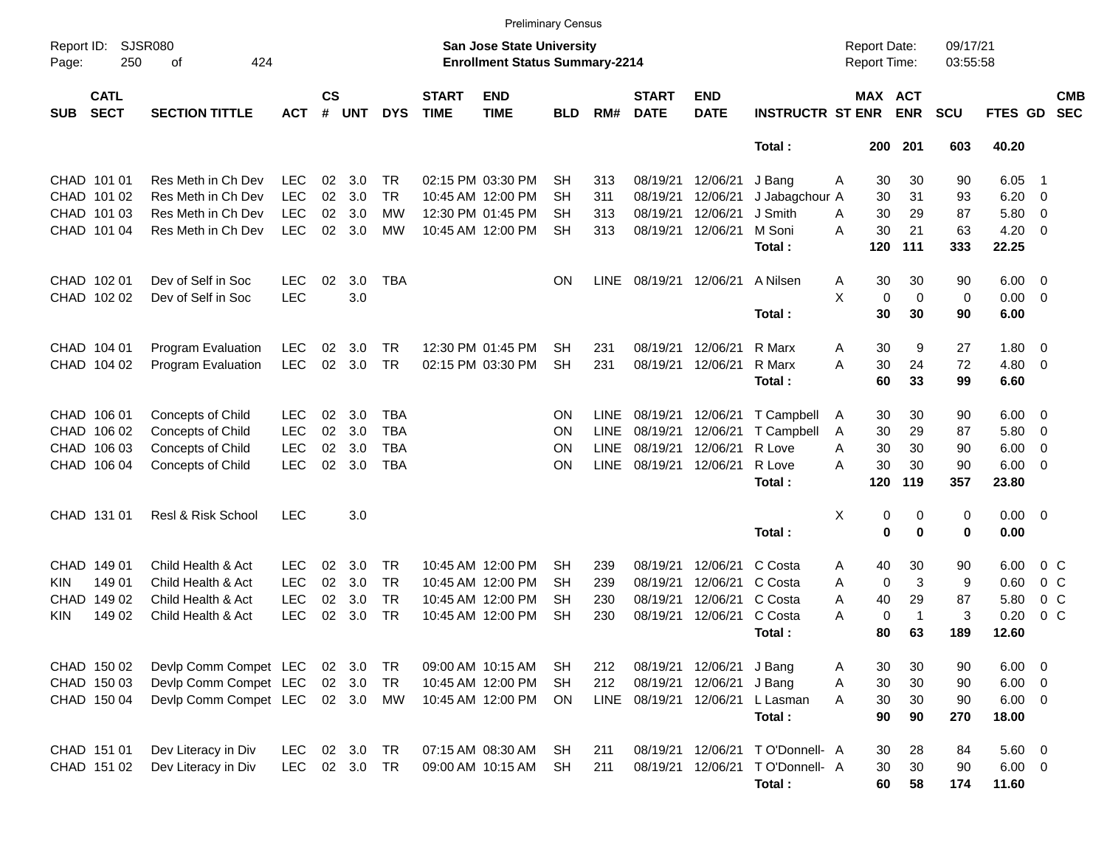|                     |                            |                               |            |                |            |            |                             | <b>Preliminary Census</b>                                                 |            |             |                             |                           |                         |                                     |                |                      |                |                          |                          |
|---------------------|----------------------------|-------------------------------|------------|----------------|------------|------------|-----------------------------|---------------------------------------------------------------------------|------------|-------------|-----------------------------|---------------------------|-------------------------|-------------------------------------|----------------|----------------------|----------------|--------------------------|--------------------------|
| Report ID:<br>Page: | 250                        | <b>SJSR080</b><br>424<br>оf   |            |                |            |            |                             | <b>San Jose State University</b><br><b>Enrollment Status Summary-2214</b> |            |             |                             |                           |                         | <b>Report Date:</b><br>Report Time: |                | 09/17/21<br>03:55:58 |                |                          |                          |
| <b>SUB</b>          | <b>CATL</b><br><b>SECT</b> | <b>SECTION TITTLE</b>         | <b>ACT</b> | <b>CS</b><br># | <b>UNT</b> | <b>DYS</b> | <b>START</b><br><b>TIME</b> | <b>END</b><br><b>TIME</b>                                                 | <b>BLD</b> | RM#         | <b>START</b><br><b>DATE</b> | <b>END</b><br><b>DATE</b> | <b>INSTRUCTR ST ENR</b> | MAX ACT                             | <b>ENR</b>     | <b>SCU</b>           | FTES GD        |                          | <b>CMB</b><br><b>SEC</b> |
|                     |                            |                               |            |                |            |            |                             |                                                                           |            |             |                             |                           | Total:                  | 200                                 | 201            | 603                  | 40.20          |                          |                          |
|                     | CHAD 101 01                | Res Meth in Ch Dev            | <b>LEC</b> | 02             | 3.0        | <b>TR</b>  |                             | 02:15 PM 03:30 PM                                                         | <b>SH</b>  | 313         | 08/19/21                    | 12/06/21                  | J Bang                  | 30<br>A                             | 30             | 90                   | 6.05           | -1                       |                          |
| CHAD                | 101 02                     | Res Meth in Ch Dev            | LEC        | 02             | 3.0        | <b>TR</b>  |                             | 10:45 AM 12:00 PM                                                         | <b>SH</b>  | 311         | 08/19/21                    | 12/06/21                  | J Jabagchour A          | 30                                  | 31             | 93                   | 6.20           | $\overline{\mathbf{0}}$  |                          |
| CHAD                | 101 03                     | Res Meth in Ch Dev            | <b>LEC</b> | 02             | 3.0        | МW         |                             | 12:30 PM 01:45 PM                                                         | SH         | 313         | 08/19/21                    | 12/06/21                  | J Smith                 | 30<br>A                             | 29             | 87                   | 5.80           | 0                        |                          |
|                     | CHAD 101 04                | Res Meth in Ch Dev            | <b>LEC</b> | 02             | 3.0        | MW         |                             | 10:45 AM 12:00 PM                                                         | <b>SH</b>  | 313         | 08/19/21                    | 12/06/21                  | M Soni                  | 30<br>A                             | 21             | 63                   | 4.20           | 0                        |                          |
|                     |                            |                               |            |                |            |            |                             |                                                                           |            |             |                             |                           | Total:                  | 120                                 | 111            | 333                  | 22.25          |                          |                          |
|                     | CHAD 102 01                | Dev of Self in Soc            | <b>LEC</b> | 02             | 3.0        | <b>TBA</b> |                             |                                                                           | <b>ON</b>  | LINE        | 08/19/21                    | 12/06/21                  | A Nilsen                | 30<br>Α                             | 30             | 90                   | 6.00           | $\overline{\mathbf{0}}$  |                          |
|                     | CHAD 102 02                | Dev of Self in Soc            | LEC        |                | 3.0        |            |                             |                                                                           |            |             |                             |                           |                         | X<br>0                              | $\mathbf 0$    | 0                    | 0.00           | $\overline{\mathbf{0}}$  |                          |
|                     |                            |                               |            |                |            |            |                             |                                                                           |            |             |                             |                           | Total:                  | 30                                  | 30             | 90                   | 6.00           |                          |                          |
|                     | CHAD 104 01                | Program Evaluation            | <b>LEC</b> | 02             | 3.0        | <b>TR</b>  |                             | 12:30 PM 01:45 PM                                                         | <b>SH</b>  | 231         | 08/19/21                    | 12/06/21                  | R Marx                  | 30<br>A                             | 9              | 27                   | 1.80           | $\overline{\mathbf{0}}$  |                          |
|                     | CHAD 104 02                | <b>Program Evaluation</b>     | <b>LEC</b> | 02             | 3.0        | <b>TR</b>  |                             | 02:15 PM 03:30 PM                                                         | <b>SH</b>  | 231         | 08/19/21                    | 12/06/21                  | R Marx                  | 30<br>A                             | 24             | 72                   | 4.80           | $\overline{\mathbf{0}}$  |                          |
|                     |                            |                               |            |                |            |            |                             |                                                                           |            |             |                             |                           | Total:                  | 60                                  | 33             | 99                   | 6.60           |                          |                          |
|                     | CHAD 106 01                | Concepts of Child             | <b>LEC</b> | 02             | 3.0        | <b>TBA</b> |                             |                                                                           | <b>ON</b>  | <b>LINE</b> | 08/19/21                    | 12/06/21                  | T Campbell              | 30<br>A                             | 30             | 90                   | 6.00           | $\overline{\mathbf{0}}$  |                          |
| CHAD                | 106 02                     | Concepts of Child             | <b>LEC</b> | 02             | 3.0        | <b>TBA</b> |                             |                                                                           | <b>ON</b>  | <b>LINE</b> | 08/19/21                    | 12/06/21                  | T Campbell              | 30<br>Α                             | 29             | 87                   | 5.80           | 0                        |                          |
| CHAD                | 106 03                     | Concepts of Child             | <b>LEC</b> | 02             | 3.0        | <b>TBA</b> |                             |                                                                           | <b>ON</b>  | <b>LINE</b> | 08/19/21                    | 12/06/21                  | R Love                  | 30<br>A                             | 30             | 90                   | 6.00           | 0                        |                          |
|                     | CHAD 106 04                | <b>Concepts of Child</b>      | <b>LEC</b> | 02             | 3.0        | <b>TBA</b> |                             |                                                                           | ON         | <b>LINE</b> | 08/19/21                    | 12/06/21                  | R Love                  | 30<br>A                             | 30             | 90                   | 6.00           | $\overline{\mathbf{0}}$  |                          |
|                     |                            |                               |            |                |            |            |                             |                                                                           |            |             |                             |                           | Total:                  | 120                                 | 119            | 357                  | 23.80          |                          |                          |
|                     | CHAD 131 01                | <b>Resl &amp; Risk School</b> | <b>LEC</b> |                | 3.0        |            |                             |                                                                           |            |             |                             |                           |                         | X<br>0                              | 0              | 0                    | 0.00           | $\overline{\phantom{0}}$ |                          |
|                     |                            |                               |            |                |            |            |                             |                                                                           |            |             |                             |                           | Total:                  | $\mathbf 0$                         | 0              | 0                    | 0.00           |                          |                          |
| CHAD                | 149 01                     | Child Health & Act            | <b>LEC</b> | 02             | 3.0        | <b>TR</b>  |                             | 10:45 AM 12:00 PM                                                         | <b>SH</b>  | 239         | 08/19/21                    | 12/06/21                  | C Costa                 | 40<br>A                             | 30             | 90                   | 6.00           | 0 <sup>o</sup>           |                          |
| KIN.                | 149 01                     | Child Health & Act            | <b>LEC</b> | 02             | 3.0        | <b>TR</b>  |                             | 10:45 AM 12:00 PM                                                         | <b>SH</b>  | 239         | 08/19/21                    | 12/06/21                  | C Costa                 | A<br>0                              | 3              | 9                    | 0.60           | 0 <sup>o</sup>           |                          |
| CHAD                | 149 02                     | Child Health & Act            | LEC        | 02             | 3.0        | <b>TR</b>  |                             | 10:45 AM 12:00 PM                                                         | SH         | 230         | 08/19/21                    | 12/06/21                  | C Costa                 | A<br>40                             | 29             | 87                   | 5.80           | $0\,C$                   |                          |
| KIN.                | 149 02                     | Child Health & Act            | LEC        | 02             | 3.0        | <b>TR</b>  |                             | 10:45 AM 12:00 PM                                                         | <b>SH</b>  | 230         | 08/19/21                    | 12/06/21                  | C Costa                 | 0<br>Α                              | $\overline{1}$ | 3                    | 0.20           | $0\,C$                   |                          |
|                     |                            |                               |            |                |            |            |                             |                                                                           |            |             |                             |                           | Total:                  | 80                                  | 63             | 189                  | 12.60          |                          |                          |
|                     | CHAD 150 02                | Devlp Comm Compet LEC         |            | 02             | 3.0        | TR         |                             | 09:00 AM 10:15 AM                                                         | <b>SH</b>  | 212         | 08/19/21                    | 12/06/21                  | J Bang                  | 30<br>Α                             | 30             | 90                   | 6.00           | $\overline{\phantom{0}}$ |                          |
|                     | CHAD 150 03                | Devlp Comm Compet LEC         |            |                | 02 3.0     | <b>TR</b>  |                             | 10:45 AM 12:00 PM                                                         | <b>SH</b>  | 212         | 08/19/21                    | 12/06/21                  | J Bang                  | 30<br>Α                             | 30             | 90                   | $6.00 \quad 0$ |                          |                          |
|                     | CHAD 150 04                | Devlp Comm Compet LEC         |            |                | 02 3.0     | MW         |                             | 10:45 AM 12:00 PM                                                         | ON         | LINE        | 08/19/21 12/06/21           |                           | L Lasman                | 30<br>Α                             | 30             | 90                   | $6.00 \t 0$    |                          |                          |
|                     |                            |                               |            |                |            |            |                             |                                                                           |            |             |                             |                           | Total:                  | 90                                  | 90             | 270                  | 18.00          |                          |                          |
|                     | CHAD 151 01                | Dev Literacy in Div           | <b>LEC</b> | 02             | 3.0        | <b>TR</b>  |                             | 07:15 AM 08:30 AM                                                         | <b>SH</b>  | 211         | 08/19/21 12/06/21           |                           | TO'Donnell- A           | 30                                  | 28             | 84                   | 5.60 0         |                          |                          |
|                     | CHAD 151 02                | Dev Literacy in Div           | <b>LEC</b> |                | 02 3.0     | <b>TR</b>  |                             | 09:00 AM 10:15 AM                                                         | <b>SH</b>  | 211         | 08/19/21                    | 12/06/21                  | TO'Donnell- A           | 30                                  | 30             | 90                   | $6.00 \t 0$    |                          |                          |
|                     |                            |                               |            |                |            |            |                             |                                                                           |            |             |                             |                           | Total:                  | 60                                  | 58             | 174                  | 11.60          |                          |                          |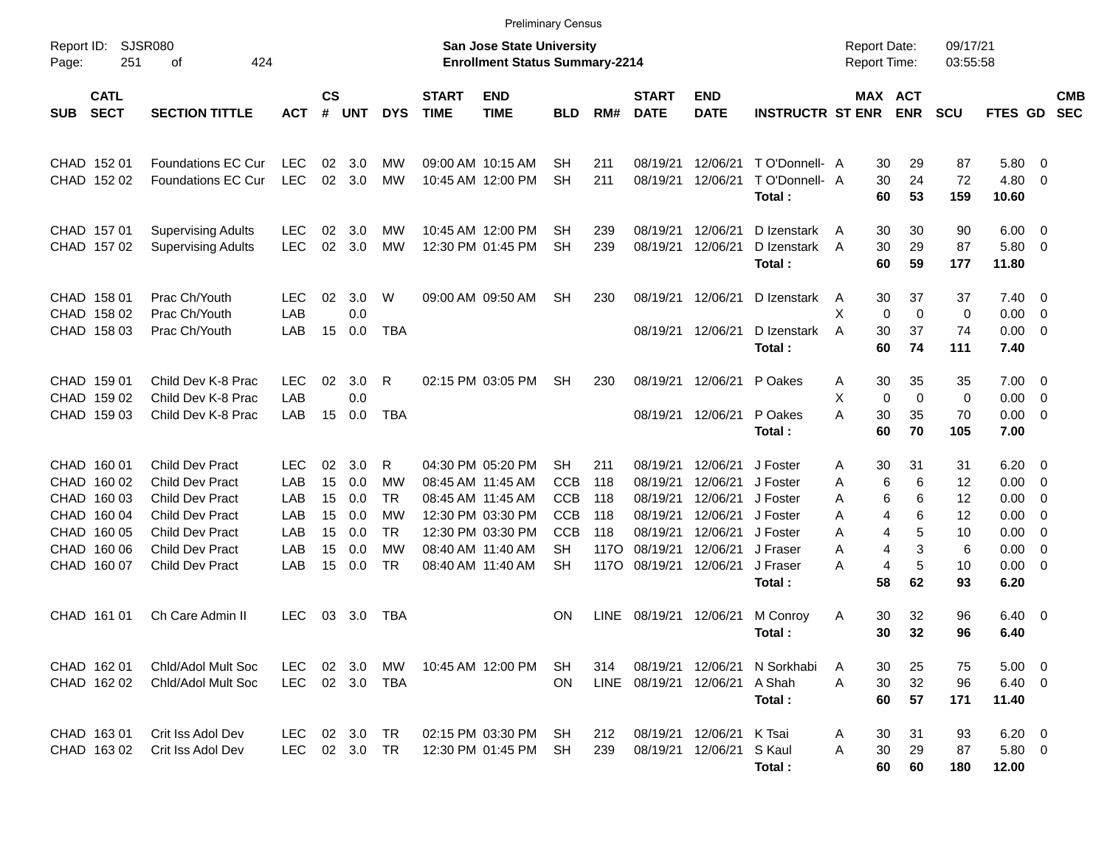|                                                                                                                                                     |                                                                                                                                                                                    |                                                      |                                        |                                               |                                                                   |                             | <b>Preliminary Census</b>                                                                                                                       |                                                                                             |                                                 |                                                                                  |                                                                                  |                                                                                            |                                              |                                                                                   |                                             |                                                              |                                                                   |                          |
|-----------------------------------------------------------------------------------------------------------------------------------------------------|------------------------------------------------------------------------------------------------------------------------------------------------------------------------------------|------------------------------------------------------|----------------------------------------|-----------------------------------------------|-------------------------------------------------------------------|-----------------------------|-------------------------------------------------------------------------------------------------------------------------------------------------|---------------------------------------------------------------------------------------------|-------------------------------------------------|----------------------------------------------------------------------------------|----------------------------------------------------------------------------------|--------------------------------------------------------------------------------------------|----------------------------------------------|-----------------------------------------------------------------------------------|---------------------------------------------|--------------------------------------------------------------|-------------------------------------------------------------------|--------------------------|
| Report ID:<br>Page:                                                                                                                                 | <b>SJSR080</b><br><b>San Jose State University</b><br>251<br>424<br><b>Enrollment Status Summary-2214</b><br>οf                                                                    |                                                      |                                        |                                               |                                                                   |                             |                                                                                                                                                 |                                                                                             |                                                 |                                                                                  |                                                                                  |                                                                                            |                                              | <b>Report Date:</b><br>Report Time:                                               | 09/17/21<br>03:55:58                        |                                                              |                                                                   |                          |
| <b>CATL</b><br><b>SECT</b><br><b>SUB</b>                                                                                                            | <b>SECTION TITTLE</b>                                                                                                                                                              | <b>ACT</b>                                           | $\mathsf{cs}$<br>#                     | <b>UNT</b>                                    | <b>DYS</b>                                                        | <b>START</b><br><b>TIME</b> | <b>END</b><br><b>TIME</b>                                                                                                                       | <b>BLD</b>                                                                                  | RM#                                             | <b>START</b><br><b>DATE</b>                                                      | <b>END</b><br><b>DATE</b>                                                        | <b>INSTRUCTR ST ENR</b>                                                                    |                                              | MAX ACT<br><b>ENR</b>                                                             | <b>SCU</b>                                  | FTES GD                                                      |                                                                   | <b>CMB</b><br><b>SEC</b> |
| CHAD 152 01<br><b>CHAD</b><br>152 02                                                                                                                | <b>Foundations EC Cur</b><br>Foundations EC Cur                                                                                                                                    | <b>LEC</b><br><b>LEC</b>                             | 02<br>02                               | 3.0<br>3.0                                    | MW<br><b>MW</b>                                                   |                             | 09:00 AM 10:15 AM<br>10:45 AM 12:00 PM                                                                                                          | SН<br><b>SH</b>                                                                             | 211<br>211                                      | 08/19/21<br>08/19/21                                                             | 12/06/21<br>12/06/21                                                             | T O'Donnell- A<br>T O'Donnell- A<br>Total:                                                 | 30<br>30<br>60                               | 29<br>24<br>53                                                                    | 87<br>72<br>159                             | 5.80<br>4.80<br>10.60                                        | - 0<br>0                                                          |                          |
| CHAD 157 01<br>CHAD 157 02                                                                                                                          | <b>Supervising Adults</b><br><b>Supervising Adults</b>                                                                                                                             | <b>LEC</b><br><b>LEC</b>                             | 02<br>02                               | 3.0<br>3.0                                    | МW<br><b>MW</b>                                                   |                             | 10:45 AM 12:00 PM<br>12:30 PM 01:45 PM                                                                                                          | SН<br><b>SH</b>                                                                             | 239<br>239                                      | 08/19/21<br>08/19/21                                                             | 12/06/21<br>12/06/21                                                             | D Izenstark<br>D Izenstark<br>Total:                                                       | 30<br>A<br>30<br>A<br>60                     | 30<br>29<br>59                                                                    | 90<br>87<br>177                             | 6.00<br>5.80<br>11.80                                        | $\overline{\mathbf{0}}$<br>0                                      |                          |
| CHAD 158 01<br>CHAD<br>158 02<br>CHAD<br>158 03                                                                                                     | Prac Ch/Youth<br>Prac Ch/Youth<br>Prac Ch/Youth                                                                                                                                    | LEC<br>LAB<br>LAB                                    | 02<br>15                               | 3.0<br>0.0<br>0.0                             | W<br><b>TBA</b>                                                   |                             | 09:00 AM 09:50 AM                                                                                                                               | SН                                                                                          | 230                                             | 08/19/21<br>08/19/21                                                             | 12/06/21<br>12/06/21                                                             | D Izenstark<br>D Izenstark<br>Total:                                                       | 30<br>A<br>X<br>0<br>30<br>A<br>60           | 37<br>$\mathbf 0$<br>37<br>74                                                     | 37<br>0<br>74<br>111                        | 7.40<br>0.00<br>0.00<br>7.40                                 | - 0<br>$\mathbf 0$<br>$\overline{0}$                              |                          |
| CHAD<br>159 01<br><b>CHAD</b><br>159 02<br><b>CHAD</b><br>159 03                                                                                    | Child Dev K-8 Prac<br>Child Dev K-8 Prac<br>Child Dev K-8 Prac                                                                                                                     | <b>LEC</b><br>LAB<br>LAB                             | 02<br>15                               | 3.0<br>0.0<br>0.0                             | R<br><b>TBA</b>                                                   |                             | 02:15 PM 03:05 PM                                                                                                                               | SН                                                                                          | 230                                             | 08/19/21<br>08/19/21                                                             | 12/06/21<br>12/06/21                                                             | P Oakes<br>P Oakes<br>Total:                                                               | 30<br>Α<br>X<br>$\mathbf 0$<br>30<br>А<br>60 | 35<br>$\mathbf 0$<br>35<br>70                                                     | 35<br>0<br>70<br>105                        | 7.00<br>0.00<br>0.00<br>7.00                                 | $\overline{\mathbf{0}}$<br>$\mathbf 0$<br>$\overline{\mathbf{0}}$ |                          |
| CHAD 160 01<br>CHAD<br>160 02<br><b>CHAD</b><br>160 03<br><b>CHAD</b><br>160 04<br><b>CHAD</b><br>160 05<br><b>CHAD</b><br>160 06<br>CHAD<br>160 07 | <b>Child Dev Pract</b><br><b>Child Dev Pract</b><br><b>Child Dev Pract</b><br><b>Child Dev Pract</b><br><b>Child Dev Pract</b><br><b>Child Dev Pract</b><br><b>Child Dev Pract</b> | <b>LEC</b><br>LAB<br>LAB<br>LAB<br>LAB<br>LAB<br>LAB | 02<br>15<br>15<br>15<br>15<br>15<br>15 | 3.0<br>0.0<br>0.0<br>0.0<br>0.0<br>0.0<br>0.0 | R<br>МW<br><b>TR</b><br>МW<br><b>TR</b><br><b>MW</b><br><b>TR</b> |                             | 04:30 PM 05:20 PM<br>08:45 AM 11:45 AM<br>08:45 AM 11:45 AM<br>12:30 PM 03:30 PM<br>12:30 PM 03:30 PM<br>08:40 AM 11:40 AM<br>08:40 AM 11:40 AM | <b>SH</b><br><b>CCB</b><br><b>CCB</b><br><b>CCB</b><br><b>CCB</b><br><b>SH</b><br><b>SH</b> | 211<br>118<br>118<br>118<br>118<br>117O<br>117O | 08/19/21<br>08/19/21<br>08/19/21<br>08/19/21<br>08/19/21<br>08/19/21<br>08/19/21 | 12/06/21<br>12/06/21<br>12/06/21<br>12/06/21<br>12/06/21<br>12/06/21<br>12/06/21 | J Foster<br>J Foster<br>J Foster<br>J Foster<br>J Foster<br>J Fraser<br>J Fraser<br>Total: | 30<br>Α<br>Α<br>Α<br>Α<br>А<br>Α<br>А<br>58  | 31<br>6<br>6<br>6<br>6<br>6<br>4<br>5<br>4<br>3<br>4<br>5<br>$\overline{4}$<br>62 | 31<br>12<br>12<br>12<br>10<br>6<br>10<br>93 | 6.20<br>0.00<br>0.00<br>0.00<br>0.00<br>0.00<br>0.00<br>6.20 | $\overline{\mathbf{0}}$<br>0<br>0<br>0<br>0<br>$\mathbf 0$<br>0   |                          |
| CHAD<br>161 01                                                                                                                                      | Ch Care Admin II                                                                                                                                                                   | <b>LEC</b>                                           | 03                                     | 3.0                                           | TBA                                                               |                             |                                                                                                                                                 | ΟN                                                                                          | <b>LINE</b>                                     | 08/19/21                                                                         | 12/06/21                                                                         | M Conroy<br>Total:                                                                         | 30<br>Α<br>30                                | 32<br>32                                                                          | 96<br>96                                    | 6.40<br>6.40                                                 | $\overline{\mathbf{0}}$                                           |                          |
| CHAD 162 01<br>CHAD 162 02                                                                                                                          | Chid/Adol Mult Soc<br>Chid/Adol Mult Soc                                                                                                                                           | LEC.<br><b>LEC</b>                                   | 02                                     | 3.0<br>02 3.0                                 | MW<br>TBA                                                         |                             | 10:45 AM 12:00 PM                                                                                                                               | SH<br><b>ON</b>                                                                             | 314                                             | 08/19/21<br>LINE 08/19/21 12/06/21                                               | 12/06/21                                                                         | N Sorkhabi<br>A Shah<br>Total:                                                             | A<br>30<br>30<br>A<br>60                     | 25<br>32<br>57                                                                    | 75<br>96<br>171                             | 5.00<br>$6.40\ 0$<br>11.40                                   | $\overline{\phantom{0}}$                                          |                          |
| CHAD 163 01<br>CHAD 163 02                                                                                                                          | Crit Iss Adol Dev<br>Crit Iss Adol Dev                                                                                                                                             | <b>LEC</b><br>LEC.                                   |                                        | 02 3.0<br>02 3.0 TR                           | TR                                                                |                             | 02:15 PM 03:30 PM<br>12:30 PM 01:45 PM                                                                                                          | SH<br>SH                                                                                    | 212<br>239                                      | 08/19/21 12/06/21                                                                | 08/19/21 12/06/21                                                                | K Tsai<br>S Kaul<br>Total:                                                                 | 30<br>A<br>A<br>30<br>60                     | 31<br>29<br>60                                                                    | 93<br>87<br>180                             | $6.20 \quad 0$<br>$5.80\ 0$<br>12.00                         |                                                                   |                          |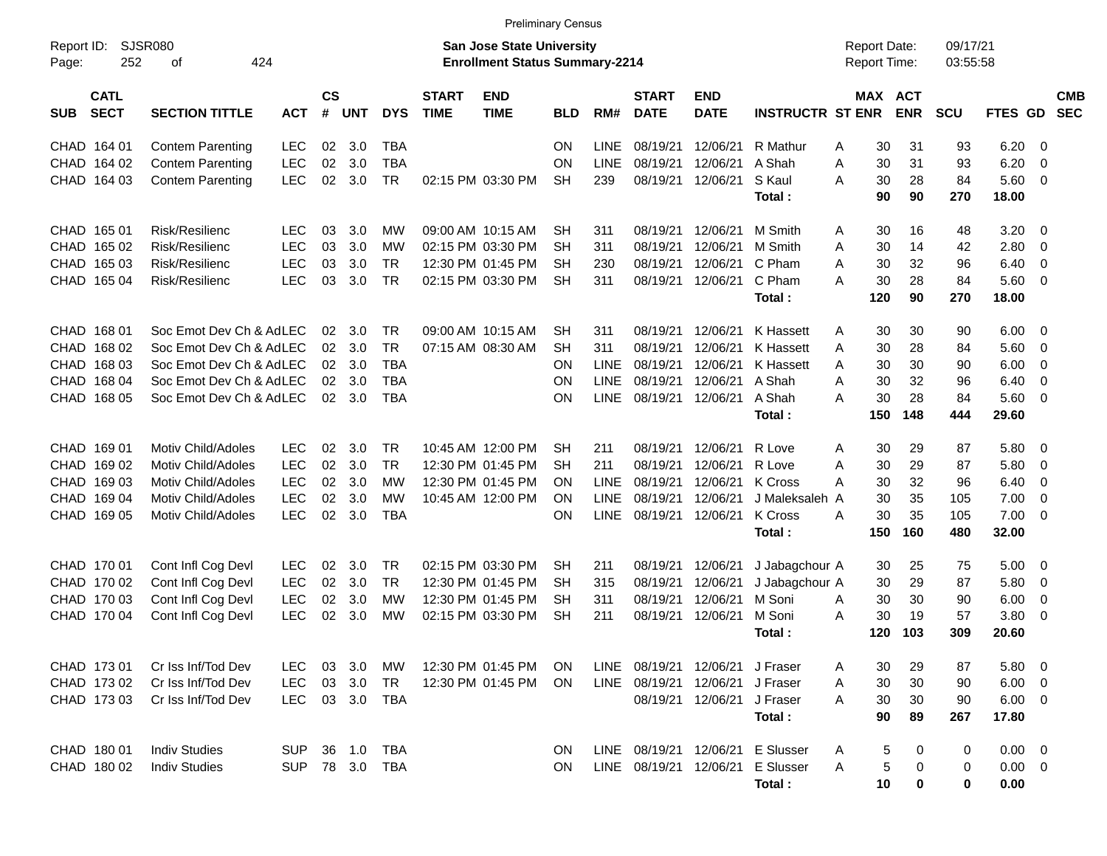|                     |                            |                           |            |                    |            |            |                             | <b>Preliminary Census</b>                                                 |            |             |                             |                           |                         |   |                                     |            |                      |                |                          |                          |
|---------------------|----------------------------|---------------------------|------------|--------------------|------------|------------|-----------------------------|---------------------------------------------------------------------------|------------|-------------|-----------------------------|---------------------------|-------------------------|---|-------------------------------------|------------|----------------------|----------------|--------------------------|--------------------------|
| Report ID:<br>Page: | <b>SJSR080</b><br>252      | 424<br>οf                 |            |                    |            |            |                             | <b>San Jose State University</b><br><b>Enrollment Status Summary-2214</b> |            |             |                             |                           |                         |   | <b>Report Date:</b><br>Report Time: |            | 09/17/21<br>03:55:58 |                |                          |                          |
| <b>SUB</b>          | <b>CATL</b><br><b>SECT</b> | <b>SECTION TITTLE</b>     | <b>ACT</b> | $\mathsf{cs}$<br># | <b>UNT</b> | <b>DYS</b> | <b>START</b><br><b>TIME</b> | <b>END</b><br><b>TIME</b>                                                 | <b>BLD</b> | RM#         | <b>START</b><br><b>DATE</b> | <b>END</b><br><b>DATE</b> | <b>INSTRUCTR ST ENR</b> |   | MAX ACT                             | <b>ENR</b> | <b>SCU</b>           | FTES GD        |                          | <b>CMB</b><br><b>SEC</b> |
|                     | CHAD 164 01                | <b>Contem Parenting</b>   | <b>LEC</b> | 02                 | 3.0        | <b>TBA</b> |                             |                                                                           | <b>ON</b>  | <b>LINE</b> | 08/19/21                    | 12/06/21                  | R Mathur                | A | 30                                  | 31         | 93                   | 6.20           | - 0                      |                          |
|                     | CHAD 164 02                | <b>Contem Parenting</b>   | <b>LEC</b> | 02                 | 3.0        | <b>TBA</b> |                             |                                                                           | <b>ON</b>  | <b>LINE</b> | 08/19/21                    | 12/06/21                  | A Shah                  | A | 30                                  | 31         | 93                   | 6.20           | $\overline{0}$           |                          |
|                     | CHAD 164 03                | <b>Contem Parenting</b>   | <b>LEC</b> | 02                 | 3.0        | <b>TR</b>  |                             | 02:15 PM 03:30 PM                                                         | <b>SH</b>  | 239         | 08/19/21                    | 12/06/21                  | S Kaul                  | А | 30                                  | 28         | 84                   | 5.60           | - 0                      |                          |
|                     |                            |                           |            |                    |            |            |                             |                                                                           |            |             |                             |                           | Total:                  |   | 90                                  | 90         | 270                  | 18.00          |                          |                          |
|                     | CHAD 165 01                | Risk/Resilienc            | <b>LEC</b> | 03                 | 3.0        | МW         |                             | 09:00 AM 10:15 AM                                                         | SH         | 311         | 08/19/21                    | 12/06/21                  | M Smith                 | A | 30                                  | 16         | 48                   | 3.20           | - 0                      |                          |
| CHAD                | 165 02                     | Risk/Resilienc            | <b>LEC</b> | 03                 | 3.0        | МW         |                             | 02:15 PM 03:30 PM                                                         | <b>SH</b>  | 311         | 08/19/21                    | 12/06/21                  | M Smith                 | A | 30                                  | 14         | 42                   | 2.80           | $\overline{0}$           |                          |
| CHAD                | 165 03                     | Risk/Resilienc            | <b>LEC</b> | 03                 | 3.0        | <b>TR</b>  |                             | 12:30 PM 01:45 PM                                                         | <b>SH</b>  | 230         | 08/19/21                    | 12/06/21                  | C Pham                  | A | 30                                  | 32         | 96                   | 6.40           | $\overline{0}$           |                          |
| CHAD                | 165 04                     | Risk/Resilienc            | <b>LEC</b> | 03                 | 3.0        | <b>TR</b>  |                             | 02:15 PM 03:30 PM                                                         | <b>SH</b>  | 311         | 08/19/21                    | 12/06/21                  | C Pham                  | A | 30                                  | 28         | 84                   | 5.60           | 0                        |                          |
|                     |                            |                           |            |                    |            |            |                             |                                                                           |            |             |                             |                           | Total:                  |   | 120                                 | 90         | 270                  | 18.00          |                          |                          |
|                     | CHAD 168 01                | Soc Emot Dev Ch & AdLEC   |            | 02                 | 3.0        | <b>TR</b>  |                             | 09:00 AM 10:15 AM                                                         | SН         | 311         | 08/19/21                    | 12/06/21                  | <b>K</b> Hassett        | A | 30                                  | 30         | 90                   | 6.00           | - 0                      |                          |
| <b>CHAD</b>         | 168 02                     | Soc Emot Dev Ch & AdLEC   |            | 02                 | 3.0        | <b>TR</b>  |                             | 07:15 AM 08:30 AM                                                         | <b>SH</b>  | 311         | 08/19/21                    | 12/06/21                  | <b>K Hassett</b>        | A | 30                                  | 28         | 84                   | 5.60           | 0                        |                          |
| CHAD                | 168 03                     | Soc Emot Dev Ch & AdLEC   |            | 02                 | 3.0        | <b>TBA</b> |                             |                                                                           | <b>ON</b>  | <b>LINE</b> | 08/19/21                    | 12/06/21                  | <b>K Hassett</b>        | A | 30                                  | 30         | 90                   | 6.00           | 0                        |                          |
| CHAD                | 168 04                     | Soc Emot Dev Ch & AdLEC   |            | 02                 | 3.0        | <b>TBA</b> |                             |                                                                           | <b>ON</b>  | <b>LINE</b> | 08/19/21                    | 12/06/21                  | A Shah                  | A | 30                                  | 32         | 96                   | 6.40           | $\overline{0}$           |                          |
| CHAD                | 168 05                     | Soc Emot Dev Ch & AdLEC   |            | 02                 | 3.0        | <b>TBA</b> |                             |                                                                           | <b>ON</b>  | <b>LINE</b> | 08/19/21                    | 12/06/21                  | A Shah                  | A | 30                                  | 28         | 84                   | 5.60           | 0                        |                          |
|                     |                            |                           |            |                    |            |            |                             |                                                                           |            |             |                             |                           | Total:                  |   | 150                                 | 148        | 444                  | 29.60          |                          |                          |
| CHAD 169 01         |                            | <b>Motiv Child/Adoles</b> | <b>LEC</b> | 02                 | 3.0        | <b>TR</b>  |                             | 10:45 AM 12:00 PM                                                         | <b>SH</b>  | 211         | 08/19/21                    | 12/06/21                  | R Love                  | A | 30                                  | 29         | 87                   | 5.80           | - 0                      |                          |
| CHAD                | 169 02                     | <b>Motiv Child/Adoles</b> | <b>LEC</b> | 02                 | 3.0        | <b>TR</b>  |                             | 12:30 PM 01:45 PM                                                         | <b>SH</b>  | 211         | 08/19/21                    | 12/06/21                  | R Love                  | A | 30                                  | 29         | 87                   | 5.80           | 0                        |                          |
| CHAD                | 16903                      | <b>Motiv Child/Adoles</b> | <b>LEC</b> | 02                 | 3.0        | МW         |                             | 12:30 PM 01:45 PM                                                         | <b>ON</b>  | <b>LINE</b> | 08/19/21                    | 12/06/21                  | <b>K</b> Cross          | A | 30                                  | 32         | 96                   | 6.40           | $\overline{0}$           |                          |
| CHAD                | 169 04                     | <b>Motiv Child/Adoles</b> | <b>LEC</b> | 02                 | 3.0        | МW         |                             | 10:45 AM 12:00 PM                                                         | <b>ON</b>  | <b>LINE</b> | 08/19/21                    | 12/06/21                  | J Maleksaleh A          |   | 30                                  | 35         | 105                  | 7.00           | $\overline{0}$           |                          |
| CHAD                | 169 05                     | Motiv Child/Adoles        | <b>LEC</b> | 02                 | 3.0        | <b>TBA</b> |                             |                                                                           | <b>ON</b>  | <b>LINE</b> | 08/19/21                    | 12/06/21                  | <b>K</b> Cross          | A | 30                                  | 35         | 105                  | 7.00           | 0                        |                          |
|                     |                            |                           |            |                    |            |            |                             |                                                                           |            |             |                             |                           | Total:                  |   | 150                                 | 160        | 480                  | 32.00          |                          |                          |
|                     | CHAD 170 01                | Cont Infl Cog Devl        | <b>LEC</b> | 02                 | 3.0        | <b>TR</b>  |                             | 02:15 PM 03:30 PM                                                         | SН         | 211         | 08/19/21                    | 12/06/21                  | J Jabagchour A          |   | 30                                  | 25         | 75                   | 5.00           | - 0                      |                          |
|                     | CHAD 170 02                | Cont Infl Cog Devl        | <b>LEC</b> | 02                 | 3.0        | <b>TR</b>  |                             | 12:30 PM 01:45 PM                                                         | <b>SH</b>  | 315         | 08/19/21                    | 12/06/21                  | J Jabagchour A          |   | 30                                  | 29         | 87                   | 5.80           | 0                        |                          |
|                     | CHAD 170 03                | Cont Infl Cog Devl        | <b>LEC</b> | 02                 | 3.0        | МW         |                             | 12:30 PM 01:45 PM                                                         | <b>SH</b>  | 311         | 08/19/21                    | 12/06/21                  | M Soni                  | A | 30                                  | 30         | 90                   | 6.00           | 0                        |                          |
| CHAD                | 170 04                     | Cont Infl Cog Devl        | <b>LEC</b> | 02                 | 3.0        | МW         |                             | 02:15 PM 03:30 PM                                                         | <b>SH</b>  | 211         | 08/19/21                    | 12/06/21                  | M Soni                  | A | 30                                  | 19         | 57                   | 3.80           | $\overline{0}$           |                          |
|                     |                            |                           |            |                    |            |            |                             |                                                                           |            |             |                             |                           | Total:                  |   | 120                                 | 103        | 309                  | 20.60          |                          |                          |
|                     | CHAD 173 01                | Cr Iss Inf/Tod Dev        | <b>LEC</b> | 03                 | 3.0        | MW         |                             | 12:30 PM 01:45 PM                                                         | <b>ON</b>  | LINE        | 08/19/21 12/06/21           |                           | J Fraser                | A | 30                                  | 29         | 87                   | 5.80           | $\overline{\phantom{0}}$ |                          |
|                     | CHAD 173 02                | Cr Iss Inf/Tod Dev        | <b>LEC</b> |                    | 03 3.0     | <b>TR</b>  |                             | 12:30 PM 01:45 PM                                                         | ON         |             | LINE 08/19/21 12/06/21      |                           | J Fraser                | A | 30                                  | 30         | 90                   | $6.00 \t 0$    |                          |                          |
|                     | CHAD 173 03                | Cr Iss Inf/Tod Dev        | <b>LEC</b> |                    | 03 3.0     | <b>TBA</b> |                             |                                                                           |            |             |                             | 08/19/21 12/06/21         | J Fraser                | A | 30                                  | 30         | 90                   | $6.00 \quad 0$ |                          |                          |
|                     |                            |                           |            |                    |            |            |                             |                                                                           |            |             |                             |                           | Total:                  |   | 90                                  | 89         | 267                  | 17.80          |                          |                          |
|                     | CHAD 180 01                | <b>Indiv Studies</b>      | <b>SUP</b> |                    | 36 1.0     | <b>TBA</b> |                             |                                                                           | <b>ON</b>  |             | LINE 08/19/21 12/06/21      |                           | <b>E</b> Slusser        | A | 5                                   | 0          | 0                    | $0.00 \t 0$    |                          |                          |
|                     | CHAD 180 02                | <b>Indiv Studies</b>      | <b>SUP</b> |                    | 78 3.0     | TBA        |                             |                                                                           | <b>ON</b>  |             | LINE 08/19/21 12/06/21      |                           | <b>E</b> Slusser        | A | 5                                   | 0          | 0                    | $0.00 \t 0$    |                          |                          |
|                     |                            |                           |            |                    |            |            |                             |                                                                           |            |             |                             |                           | Total:                  |   | 10                                  | 0          | 0                    | 0.00           |                          |                          |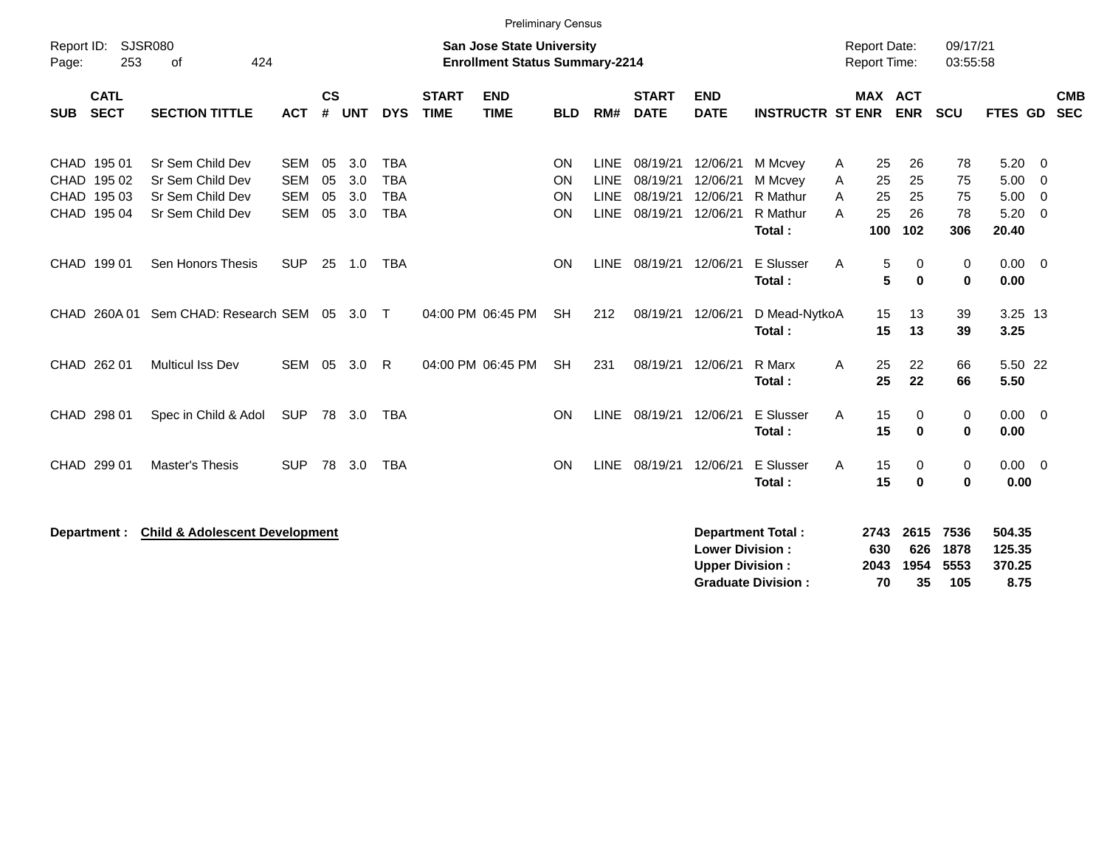|                                                   |                            |                                                                              |                                                      |                      |                          |                                                      |                             | <b>Preliminary Census</b>                                                 |                      |                                                          |                                              |                                                  |                                                       |                  |                                     |                             |                             |                                       |                                   |                          |
|---------------------------------------------------|----------------------------|------------------------------------------------------------------------------|------------------------------------------------------|----------------------|--------------------------|------------------------------------------------------|-----------------------------|---------------------------------------------------------------------------|----------------------|----------------------------------------------------------|----------------------------------------------|--------------------------------------------------|-------------------------------------------------------|------------------|-------------------------------------|-----------------------------|-----------------------------|---------------------------------------|-----------------------------------|--------------------------|
| Report ID:<br>Page:                               | SJSR080<br>253             | 424<br>of                                                                    |                                                      |                      |                          |                                                      |                             | <b>San Jose State University</b><br><b>Enrollment Status Summary-2214</b> |                      |                                                          |                                              |                                                  |                                                       |                  | <b>Report Date:</b><br>Report Time: |                             | 09/17/21<br>03:55:58        |                                       |                                   |                          |
| <b>SUB</b>                                        | <b>CATL</b><br><b>SECT</b> | <b>SECTION TITTLE</b>                                                        | <b>ACT</b>                                           | $\mathsf{cs}$<br>#   | <b>UNT</b>               | <b>DYS</b>                                           | <b>START</b><br><b>TIME</b> | <b>END</b><br><b>TIME</b>                                                 | <b>BLD</b>           | RM#                                                      | <b>START</b><br><b>DATE</b>                  | <b>END</b><br><b>DATE</b>                        | <b>INSTRUCTR ST ENR</b>                               |                  | <b>MAX ACT</b>                      | <b>ENR</b>                  | SCU                         | FTES GD                               |                                   | <b>CMB</b><br><b>SEC</b> |
| CHAD 195 01<br>CHAD 195 02<br>CHAD<br>CHAD 195 04 | 195 03                     | Sr Sem Child Dev<br>Sr Sem Child Dev<br>Sr Sem Child Dev<br>Sr Sem Child Dev | <b>SEM</b><br><b>SEM</b><br><b>SEM</b><br><b>SEM</b> | 05<br>05<br>05<br>05 | 3.0<br>3.0<br>3.0<br>3.0 | <b>TBA</b><br><b>TBA</b><br><b>TBA</b><br><b>TBA</b> |                             |                                                                           | ON<br>ON<br>ON<br>ON | <b>LINE</b><br><b>LINE</b><br><b>LINE</b><br><b>LINE</b> | 08/19/21<br>08/19/21<br>08/19/21<br>08/19/21 | 12/06/21<br>12/06/21<br>12/06/21<br>12/06/21     | M Mcvey<br>M Mcvey<br>R Mathur<br>R Mathur<br>Total:  | A<br>Α<br>A<br>A | 25<br>25<br>25<br>25<br>100         | 26<br>25<br>25<br>26<br>102 | 78<br>75<br>75<br>78<br>306 | 5.20<br>5.00<br>5.00<br>5.20<br>20.40 | - 0<br>0<br>$\overline{0}$<br>- 0 |                          |
| CHAD 199 01                                       |                            | Sen Honors Thesis                                                            | <b>SUP</b>                                           | 25                   | 1.0                      | <b>TBA</b>                                           |                             |                                                                           | ON                   | <b>LINE</b>                                              | 08/19/21 12/06/21                            |                                                  | E Slusser<br>Total:                                   | A                | 5<br>5                              | 0<br>$\bf{0}$               | 0<br>0                      | $0.00 \t 0$<br>0.00                   |                                   |                          |
| CHAD 260A01                                       |                            | Sem CHAD: Research SEM 05 3.0                                                |                                                      |                      |                          | $\top$                                               |                             | 04:00 PM 06:45 PM                                                         | <b>SH</b>            | 212                                                      | 08/19/21                                     | 12/06/21                                         | D Mead-NytkoA<br>Total:                               |                  | 15<br>15                            | 13<br>13                    | 39<br>39                    | 3.25 13<br>3.25                       |                                   |                          |
| CHAD 262 01                                       |                            | Multicul Iss Dev                                                             | SEM                                                  | 05                   | 3.0                      | R                                                    |                             | 04:00 PM 06:45 PM                                                         | <b>SH</b>            | 231                                                      | 08/19/21 12/06/21                            |                                                  | R Marx<br>Total:                                      | Α                | 25<br>25                            | 22<br>22                    | 66<br>66                    | 5.50 22<br>5.50                       |                                   |                          |
| CHAD 298 01                                       |                            | Spec in Child & Adol                                                         | <b>SUP</b>                                           | 78                   | 3.0                      | <b>TBA</b>                                           |                             |                                                                           | ON                   | <b>LINE</b>                                              | 08/19/21                                     | 12/06/21                                         | E Slusser<br>Total:                                   | A                | 15<br>15                            | 0<br>$\bf{0}$               | 0<br>$\bf{0}$               | $0.00 \t 0$<br>0.00                   |                                   |                          |
| CHAD 299 01                                       |                            | Master's Thesis                                                              | <b>SUP</b>                                           | 78                   | 3.0                      | <b>TBA</b>                                           |                             |                                                                           | ON                   | <b>LINE</b>                                              | 08/19/21                                     | 12/06/21                                         | <b>E</b> Slusser<br>Total:                            | A                | 15<br>15                            | 0<br>$\bf{0}$               | 0<br>$\bf{0}$               | $0.00 \quad 0$<br>0.00                |                                   |                          |
| Department :                                      |                            | <b>Child &amp; Adolescent Development</b>                                    |                                                      |                      |                          |                                                      |                             |                                                                           |                      |                                                          |                                              | <b>Lower Division:</b><br><b>Upper Division:</b> | <b>Department Total:</b><br><b>Graduate Division:</b> |                  | 2743<br>630<br>2043<br>70           | 2615<br>626<br>1954<br>35   | 7536<br>1878<br>5553<br>105 | 504.35<br>125.35<br>370.25<br>8.75    |                                   |                          |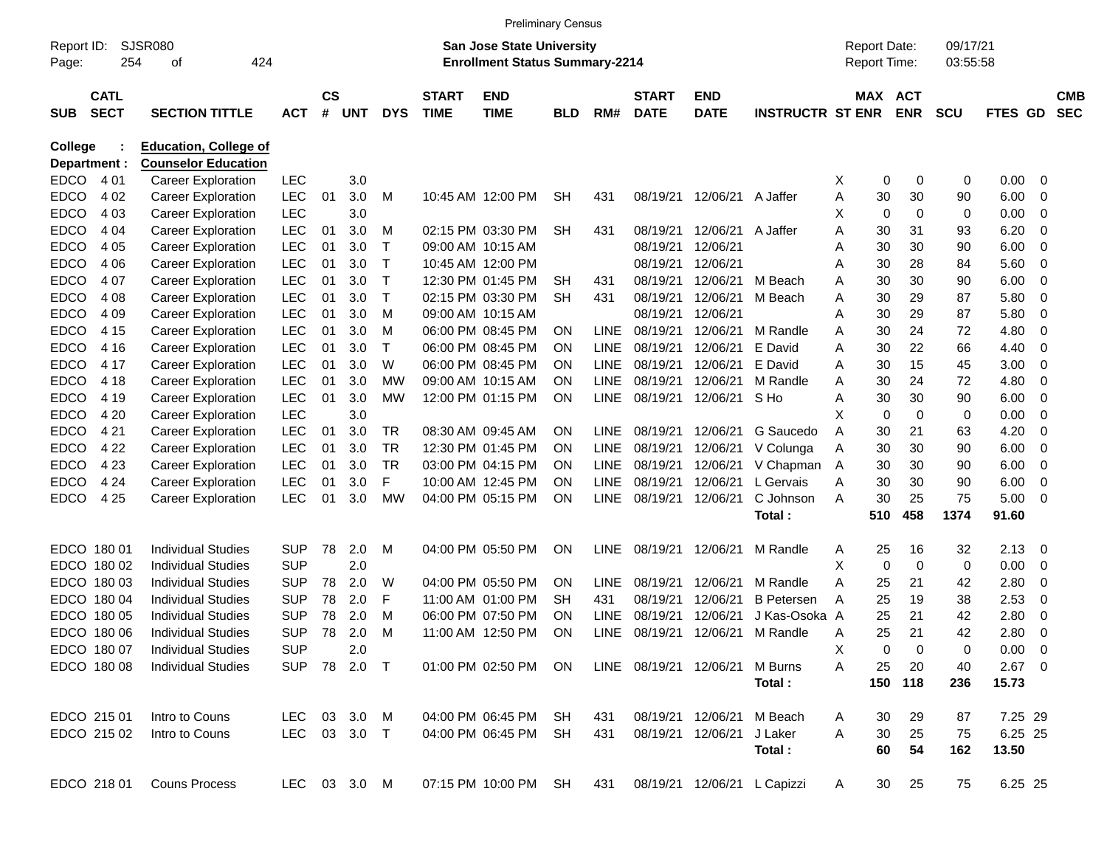|                     |                            |                              |              |                    |              |              |                             | <b>Preliminary Census</b>                                                 |            |             |                             |                             |                         |   |                                     |             |                      |                |     |                          |
|---------------------|----------------------------|------------------------------|--------------|--------------------|--------------|--------------|-----------------------------|---------------------------------------------------------------------------|------------|-------------|-----------------------------|-----------------------------|-------------------------|---|-------------------------------------|-------------|----------------------|----------------|-----|--------------------------|
| Report ID:<br>Page: | 254                        | <b>SJSR080</b><br>424<br>οf  |              |                    |              |              |                             | <b>San Jose State University</b><br><b>Enrollment Status Summary-2214</b> |            |             |                             |                             |                         |   | <b>Report Date:</b><br>Report Time: |             | 09/17/21<br>03:55:58 |                |     |                          |
| <b>SUB</b>          | <b>CATL</b><br><b>SECT</b> | <b>SECTION TITTLE</b>        | <b>ACT</b>   | $\mathsf{cs}$<br># | <b>UNT</b>   | <b>DYS</b>   | <b>START</b><br><b>TIME</b> | <b>END</b><br><b>TIME</b>                                                 | <b>BLD</b> | RM#         | <b>START</b><br><b>DATE</b> | <b>END</b><br><b>DATE</b>   | <b>INSTRUCTR ST ENR</b> |   | MAX ACT                             | <b>ENR</b>  | <b>SCU</b>           | FTES GD        |     | <b>CMB</b><br><b>SEC</b> |
| College             |                            | <b>Education, College of</b> |              |                    |              |              |                             |                                                                           |            |             |                             |                             |                         |   |                                     |             |                      |                |     |                          |
| Department :        |                            | <b>Counselor Education</b>   |              |                    |              |              |                             |                                                                           |            |             |                             |                             |                         |   |                                     |             |                      |                |     |                          |
| <b>EDCO</b>         | 4 0 1                      | <b>Career Exploration</b>    | <b>LEC</b>   |                    | 3.0          |              |                             |                                                                           |            |             |                             |                             |                         | X | 0                                   | 0           | 0                    | 0.00           | 0   |                          |
| <b>EDCO</b>         | 4 0 2                      | <b>Career Exploration</b>    | LEC          | 01                 | 3.0          | M            |                             | 10:45 AM 12:00 PM                                                         | <b>SH</b>  | 431         | 08/19/21                    | 12/06/21                    | A Jaffer                | Α | 30                                  | 30          | 90                   | 6.00           | 0   |                          |
| <b>EDCO</b>         | 4 0 3                      | <b>Career Exploration</b>    | <b>LEC</b>   |                    | 3.0          |              |                             |                                                                           |            |             |                             |                             |                         | х | 0                                   | $\mathbf 0$ | 0                    | 0.00           | 0   |                          |
| <b>EDCO</b>         | 4 0 4                      | <b>Career Exploration</b>    | <b>LEC</b>   | 01                 | 3.0          | M            |                             | 02:15 PM 03:30 PM                                                         | SН         | 431         | 08/19/21                    | 12/06/21                    | A Jaffer                | A | 30                                  | 31          | 93                   | 6.20           | 0   |                          |
| <b>EDCO</b>         | 4 0 5                      | <b>Career Exploration</b>    | LEC          | 01                 | 3.0          | $\mathsf{T}$ |                             | 09:00 AM 10:15 AM                                                         |            |             | 08/19/21                    | 12/06/21                    |                         | A | 30                                  | 30          | 90                   | 6.00           | 0   |                          |
| <b>EDCO</b>         | 4 0 6                      | <b>Career Exploration</b>    | <b>LEC</b>   | 01                 | 3.0          | т            |                             | 10:45 AM 12:00 PM                                                         |            |             | 08/19/21                    | 12/06/21                    |                         | Α | 30                                  | 28          | 84                   | 5.60           | 0   |                          |
| <b>EDCO</b>         | 4 0 7                      | <b>Career Exploration</b>    | <b>LEC</b>   | 01                 | 3.0          | $\mathsf T$  |                             | 12:30 PM 01:45 PM                                                         | <b>SH</b>  | 431         | 08/19/21                    | 12/06/21                    | M Beach                 | Α | 30                                  | 30          | 90                   | 6.00           | 0   |                          |
| <b>EDCO</b>         | 4 0 8                      | <b>Career Exploration</b>    | <b>LEC</b>   | 01                 | 3.0          | $\mathsf{T}$ |                             | 02:15 PM 03:30 PM                                                         | SН         | 431         | 08/19/21                    | 12/06/21                    | M Beach                 | Α | 30                                  | 29          | 87                   | 5.80           | 0   |                          |
| <b>EDCO</b>         | 4 0 9                      | <b>Career Exploration</b>    | <b>LEC</b>   | 01                 | 3.0          | м            |                             | 09:00 AM 10:15 AM                                                         |            |             | 08/19/21                    | 12/06/21                    |                         | A | 30                                  | 29          | 87                   | 5.80           | 0   |                          |
| <b>EDCO</b>         | 4 1 5                      | <b>Career Exploration</b>    | <b>LEC</b>   | 01                 | 3.0          | м            |                             | 06:00 PM 08:45 PM                                                         | <b>ON</b>  | <b>LINE</b> | 08/19/21                    | 12/06/21                    | M Randle                | Α | 30                                  | 24          | 72                   | 4.80           | 0   |                          |
| <b>EDCO</b>         | 4 1 6                      | <b>Career Exploration</b>    | <b>LEC</b>   | 01                 | 3.0          | т            |                             | 06:00 PM 08:45 PM                                                         | <b>ON</b>  | <b>LINE</b> | 08/19/21                    | 12/06/21                    | E David                 | Α | 30                                  | 22          | 66                   | 4.40           | 0   |                          |
| <b>EDCO</b>         | 4 17                       | <b>Career Exploration</b>    | <b>LEC</b>   | 01                 | 3.0          | W            |                             | 06:00 PM 08:45 PM                                                         | <b>ON</b>  | <b>LINE</b> | 08/19/21                    | 12/06/21                    | E David                 | A | 30                                  | 15          | 45                   | 3.00           | 0   |                          |
| <b>EDCO</b>         | 4 18                       | <b>Career Exploration</b>    | <b>LEC</b>   | 01                 | 3.0          | <b>MW</b>    |                             | 09:00 AM 10:15 AM                                                         | <b>ON</b>  | <b>LINE</b> | 08/19/21                    | 12/06/21                    | M Randle                | Α | 30                                  | 24          | 72                   | 4.80           | 0   |                          |
| <b>EDCO</b>         | 4 1 9                      | <b>Career Exploration</b>    | <b>LEC</b>   | 01                 | 3.0          | МW           |                             | 12:00 PM 01:15 PM                                                         | ON         | <b>LINE</b> | 08/19/21                    | 12/06/21                    | S Ho                    | Α | 30                                  | 30          | 90                   | 6.00           | 0   |                          |
| <b>EDCO</b>         | 4 2 0                      | <b>Career Exploration</b>    | <b>LEC</b>   |                    | 3.0          |              |                             |                                                                           |            |             |                             |                             |                         | Х | 0                                   | $\mathbf 0$ | 0                    | 0.00           | 0   |                          |
| <b>EDCO</b>         | 4 2 1                      | <b>Career Exploration</b>    | <b>LEC</b>   | 01                 | 3.0          | TR           |                             | 08:30 AM 09:45 AM                                                         | <b>ON</b>  | LINE        | 08/19/21                    | 12/06/21                    | G Saucedo               | A | 30                                  | 21          | 63                   | 4.20           | 0   |                          |
| <b>EDCO</b>         | 4 2 2                      | <b>Career Exploration</b>    | <b>LEC</b>   | 01                 | 3.0          | <b>TR</b>    |                             | 12:30 PM 01:45 PM                                                         | <b>ON</b>  | <b>LINE</b> | 08/19/21                    | 12/06/21                    | V Colunga               | Α | 30                                  | 30          | 90                   | 6.00           | 0   |                          |
| <b>EDCO</b>         | 4 2 3                      | <b>Career Exploration</b>    | <b>LEC</b>   | 01                 | 3.0          | TR<br>F      |                             | 03:00 PM 04:15 PM                                                         | <b>ON</b>  | <b>LINE</b> | 08/19/21<br>08/19/21        | 12/06/21<br>12/06/21        | V Chapman               | A | 30                                  | 30          | 90                   | 6.00           | 0   |                          |
| <b>EDCO</b>         | 4 2 4                      | <b>Career Exploration</b>    | <b>LEC</b>   | 01                 | 3.0          | <b>MW</b>    |                             | 10:00 AM 12:45 PM                                                         | <b>ON</b>  | <b>LINE</b> |                             |                             | L Gervais<br>C Johnson  | Α | 30                                  | 30          | 90<br>75             | 6.00           | 0   |                          |
| <b>EDCO</b>         | 4 2 5                      | <b>Career Exploration</b>    | <b>LEC</b>   | 01                 | 3.0          |              |                             | 04:00 PM 05:15 PM                                                         | ON         | <b>LINE</b> | 08/19/21                    | 12/06/21                    | Total:                  | A | 30<br>510                           | 25<br>458   | 1374                 | 5.00<br>91.60  | 0   |                          |
|                     |                            |                              |              |                    |              |              |                             |                                                                           |            |             |                             |                             |                         |   |                                     |             |                      |                |     |                          |
| EDCO 180 01         |                            | <b>Individual Studies</b>    | SUP          | 78                 | 2.0          | м            |                             | 04:00 PM 05:50 PM                                                         | ON         | <b>LINE</b> | 08/19/21                    | 12/06/21                    | M Randle                | Α | 25                                  | 16          | 32                   | 2.13           | - 0 |                          |
|                     | EDCO 180 02                | <b>Individual Studies</b>    | <b>SUP</b>   |                    | 2.0          |              |                             |                                                                           |            |             |                             |                             |                         | х | 0                                   | $\mathbf 0$ | 0                    | 0.00           | 0   |                          |
|                     | EDCO 180 03                | <b>Individual Studies</b>    | SUP          | 78                 | 2.0          | W            |                             | 04:00 PM 05:50 PM                                                         | <b>ON</b>  | LINE        | 08/19/21                    | 12/06/21                    | M Randle                | Α | 25                                  | 21          | 42                   | 2.80           | 0   |                          |
|                     | EDCO 180 04                | <b>Individual Studies</b>    | <b>SUP</b>   | 78                 | 2.0          | F            |                             | 11:00 AM 01:00 PM                                                         | SН         | 431         | 08/19/21                    | 12/06/21                    | <b>B</b> Petersen       | A | 25                                  | 19          | 38                   | 2.53           | 0   |                          |
|                     | EDCO 180 05                | <b>Individual Studies</b>    | SUP          | 78                 | 2.0          | м            |                             | 06:00 PM 07:50 PM                                                         | <b>ON</b>  | <b>LINE</b> | 08/19/21                    | 12/06/21                    | J Kas-Osoka A           |   | 25                                  | 21          | 42                   | 2.80           | 0   |                          |
|                     | EDCO 180 06                | <b>Individual Studies</b>    | SUP          | 78                 | 2.0          | м            |                             | 11:00 AM 12:50 PM                                                         | ON         | LINE        | 08/19/21                    | 12/06/21                    | M Randle                | A | 25                                  | 21          | 42                   | 2.80           | 0   |                          |
|                     | EDCO 180 07                | <b>Individual Studies</b>    | <b>SUP</b>   |                    | 2.0          |              |                             |                                                                           |            |             |                             |                             |                         | х | 0                                   | 0           | 0                    | $0.00 \quad 0$ |     |                          |
|                     | EDCO 180 08                | <b>Individual Studies</b>    |              |                    | SUP 78 2.0 T |              |                             | 01:00 PM 02:50 PM ON                                                      |            |             | LINE 08/19/21 12/06/21      |                             | M Burns                 | Α | 25                                  | 20          | 40                   | $2.67$ 0       |     |                          |
|                     |                            |                              |              |                    |              |              |                             |                                                                           |            |             |                             |                             | Total:                  |   |                                     | 150 118     | 236                  | 15.73          |     |                          |
|                     | EDCO 215 01                | Intro to Couns               | LEC 03 3.0 M |                    |              |              |                             | 04:00 PM 06:45 PM SH                                                      |            | 431         |                             | 08/19/21 12/06/21           | M Beach                 | A | 30                                  | 29          | 87                   | 7.25 29        |     |                          |
|                     | EDCO 215 02                | Intro to Couns               | LEC 03 3.0 T |                    |              |              |                             | 04:00 PM 06:45 PM SH                                                      |            | 431         |                             | 08/19/21 12/06/21           | J Laker                 | A | 30                                  | 25          | 75                   | 6.25 25        |     |                          |
|                     |                            |                              |              |                    |              |              |                             |                                                                           |            |             |                             |                             | Total:                  |   | 60                                  | 54          | 162                  | 13.50          |     |                          |
|                     | EDCO 218 01                | <b>Couns Process</b>         | LEC 03 3.0 M |                    |              |              |                             | 07:15 PM 10:00 PM SH                                                      |            | 431         |                             | 08/19/21 12/06/21 L Capizzi |                         | A | 30                                  | 25          | 75                   | 6.25 25        |     |                          |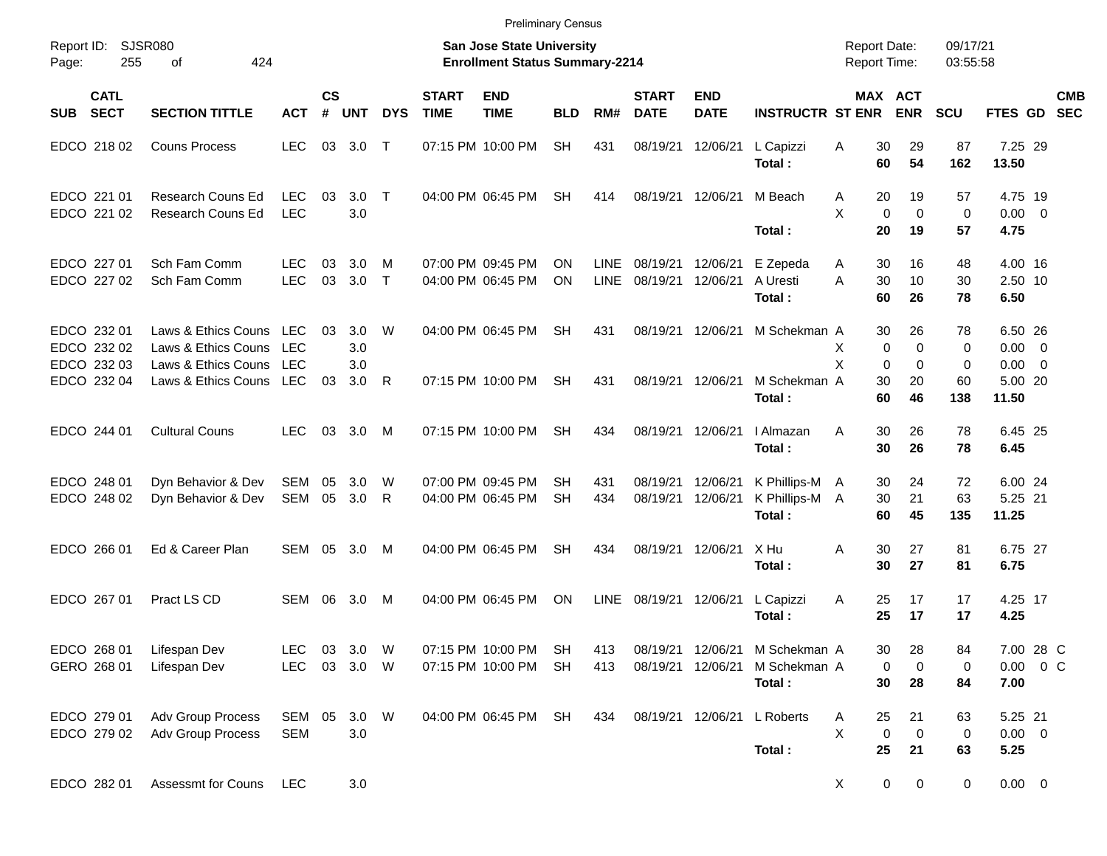|                     |                                           |                                                                   |                                        |                |                   |             |                             | <b>Preliminary Census</b>                                                 |                        |                            |                             |                               |                                            |                                            |                                                            |                                  |                                    |                                                      |                          |
|---------------------|-------------------------------------------|-------------------------------------------------------------------|----------------------------------------|----------------|-------------------|-------------|-----------------------------|---------------------------------------------------------------------------|------------------------|----------------------------|-----------------------------|-------------------------------|--------------------------------------------|--------------------------------------------|------------------------------------------------------------|----------------------------------|------------------------------------|------------------------------------------------------|--------------------------|
| Report ID:<br>Page: | <b>SJSR080</b><br>255                     | 424<br>οf                                                         |                                        |                |                   |             |                             | <b>San Jose State University</b><br><b>Enrollment Status Summary-2214</b> |                        |                            |                             |                               |                                            | <b>Report Date:</b><br><b>Report Time:</b> |                                                            | 09/17/21<br>03:55:58             |                                    |                                                      |                          |
| <b>SUB</b>          | <b>CATL</b><br><b>SECT</b>                | <b>SECTION TITTLE</b>                                             | <b>ACT</b>                             | <b>CS</b><br># | <b>UNT</b>        | <b>DYS</b>  | <b>START</b><br><b>TIME</b> | <b>END</b><br><b>TIME</b>                                                 | <b>BLD</b>             | RM#                        | <b>START</b><br><b>DATE</b> | <b>END</b><br><b>DATE</b>     | <b>INSTRUCTR ST ENR</b>                    |                                            | MAX ACT<br><b>ENR</b>                                      | SCU                              | <b>FTES GD</b>                     |                                                      | <b>CMB</b><br><b>SEC</b> |
|                     | EDCO 218 02                               | <b>Couns Process</b>                                              | <b>LEC</b>                             | 03             | 3.0               | $\top$      |                             | 07:15 PM 10:00 PM                                                         | <b>SH</b>              | 431                        | 08/19/21                    | 12/06/21                      | L Capizzi<br>Total:                        | A<br>60                                    | 30<br>29<br>54                                             | 87<br>162                        | 7.25 29<br>13.50                   |                                                      |                          |
|                     | EDCO 221 01<br>EDCO 221 02                | <b>Research Couns Ed</b><br>Research Couns Ed                     | <b>LEC</b><br><b>LEC</b>               | 03             | 3.0<br>3.0        | $\top$      |                             | 04:00 PM 06:45 PM                                                         | <b>SH</b>              | 414                        | 08/19/21 12/06/21           |                               | M Beach<br>Total:                          | A<br>X<br>20                               | 20<br>19<br>$\mathbf 0$<br>$\mathbf 0$<br>19               | 57<br>$\mathbf 0$<br>57          | 4.75 19<br>0.00<br>4.75            | $\overline{\phantom{0}}$                             |                          |
|                     | EDCO 227 01<br>EDCO 227 02                | Sch Fam Comm<br>Sch Fam Comm                                      | <b>LEC</b><br><b>LEC</b>               | 03<br>03       | 3.0<br>3.0        | M<br>$\top$ |                             | 07:00 PM 09:45 PM<br>04:00 PM 06:45 PM                                    | ΟN<br>ON               | <b>LINE</b><br><b>LINE</b> | 08/19/21<br>08/19/21        | 12/06/21<br>12/06/21          | E Zepeda<br>A Uresti<br>Total:             | 30<br>A<br>A<br>30<br>60                   | 16<br>10<br>26                                             | 48<br>30<br>78                   | 4.00 16<br>2.50 10<br>6.50         |                                                      |                          |
|                     | EDCO 232 01<br>EDCO 232 02<br>EDCO 232 03 | Laws & Ethics Couns<br>Laws & Ethics Couns<br>Laws & Ethics Couns | <b>LEC</b><br><b>LEC</b><br><b>LEC</b> | 03             | 3.0<br>3.0<br>3.0 | W           |                             | 04:00 PM 06:45 PM                                                         | <b>SH</b>              | 431                        |                             | 08/19/21 12/06/21             | M Schekman A                               | X<br>X                                     | 30<br>26<br>$\mathbf 0$<br>0<br>$\mathbf 0$<br>$\mathbf 0$ | 78<br>$\mathbf 0$<br>$\mathbf 0$ | 6.50 26<br>0.00<br>0.00            | $\overline{\phantom{0}}$<br>$\overline{\phantom{0}}$ |                          |
|                     | EDCO 232 04                               | Laws & Ethics Couns LEC                                           |                                        | 03             | 3.0               | R           |                             | 07:15 PM 10:00 PM                                                         | <b>SH</b>              | 431                        |                             | 08/19/21 12/06/21             | M Schekman A<br>Total:                     | 30<br>60                                   | 20<br>46                                                   | 60<br>138                        | 5.00 20<br>11.50                   |                                                      |                          |
|                     | EDCO 244 01                               | <b>Cultural Couns</b>                                             | <b>LEC</b>                             | 03             | 3.0               | M           |                             | 07:15 PM 10:00 PM                                                         | <b>SH</b>              | 434                        |                             | 08/19/21 12/06/21             | I Almazan<br>Total:                        | A<br>30                                    | 30<br>26<br>26                                             | 78<br>78                         | 6.45 25<br>6.45                    |                                                      |                          |
|                     | EDCO 248 01<br>EDCO 248 02                | Dyn Behavior & Dev<br>Dyn Behavior & Dev                          | SEM<br>SEM                             | 05<br>05       | 3.0<br>3.0        | W<br>R      |                             | 07:00 PM 09:45 PM<br>04:00 PM 06:45 PM                                    | SН<br><b>SH</b>        | 431<br>434                 | 08/19/21<br>08/19/21        | 12/06/21<br>12/06/21          | K Phillips-M A<br>K Phillips-M A<br>Total: | 30<br>30<br>60                             | 24<br>21<br>45                                             | 72<br>63<br>135                  | 6.00 24<br>5.25 21<br>11.25        |                                                      |                          |
|                     | EDCO 266 01                               | Ed & Career Plan                                                  | <b>SEM</b>                             | 05             | 3.0               | M           |                             | 04:00 PM 06:45 PM                                                         | <b>SH</b>              | 434                        |                             | 08/19/21 12/06/21             | X Hu<br>Total:                             | A<br>30                                    | 27<br>30<br>27                                             | 81<br>81                         | 6.75 27<br>6.75                    |                                                      |                          |
|                     | EDCO 267 01                               | Pract LS CD                                                       | <b>SEM</b>                             | 06             | 3.0               | M           |                             | 04:00 PM 06:45 PM                                                         | ΟN                     | <b>LINE</b>                | 08/19/21                    | 12/06/21                      | L Capizzi<br>Total:                        | Α<br>25<br>25                              | 17<br>17                                                   | 17<br>17                         | 4.25 17<br>4.25                    |                                                      |                          |
|                     | EDCO 268 01<br>GERO 268 01                | Lifespan Dev<br>Lifespan Dev                                      | <b>LEC</b><br><b>LEC</b>               | 03             | 3.0<br>03 3.0 W   | W           |                             | 07:15 PM 10:00 PM<br>07:15 PM 10:00 PM                                    | <b>SH</b><br><b>SH</b> | 413<br>413                 | 08/19/21                    | 08/19/21 12/06/21<br>12/06/21 | M Schekman A<br>M Schekman A<br>Total:     |                                            | 28<br>30<br>0<br>0<br>30<br>28                             | 84<br>0<br>84                    | 7.00 28 C<br>$0.00 \t 0 C$<br>7.00 |                                                      |                          |
|                     | EDCO 279 01<br>EDCO 279 02                | <b>Adv Group Process</b><br><b>Adv Group Process</b>              | SEM 05<br><b>SEM</b>                   |                | 3.0 W<br>3.0      |             |                             | 04:00 PM 06:45 PM                                                         | SH                     | 434                        | 08/19/21 12/06/21           |                               | L Roberts<br>Total:                        | 25<br>A<br>X<br>25                         | 21<br>0<br>$\mathbf 0$<br>21                               | 63<br>0<br>63                    | 5.25 21<br>$0.00 \t 0$<br>5.25     |                                                      |                          |
|                     | EDCO 282 01                               | Assessmt for Couns                                                | <b>LEC</b>                             |                | 3.0               |             |                             |                                                                           |                        |                            |                             |                               |                                            | X                                          | $\mathbf 0$<br>0                                           | 0                                | $0.00 \t 0$                        |                                                      |                          |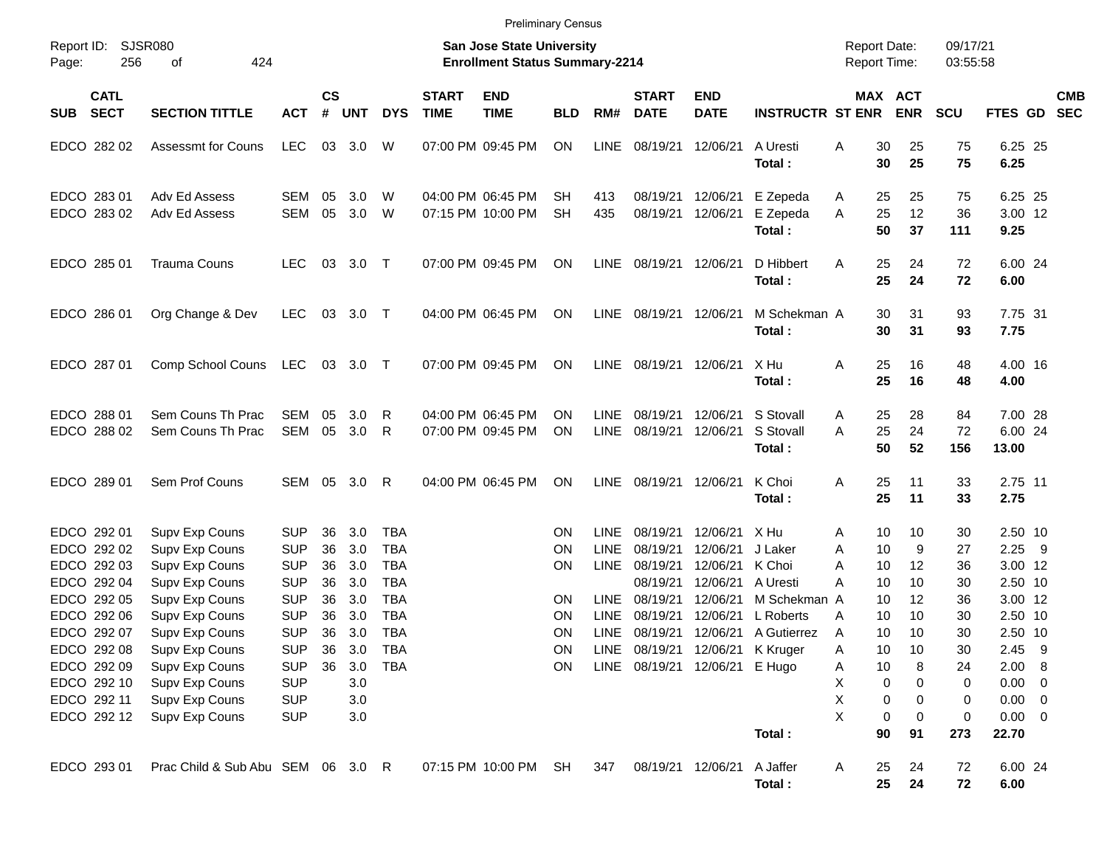|                                                          |                                                                      |                                                      |                      |                          |                                                      |                             | <b>Preliminary Census</b>                                                 |                                           |                                           |                                              |                                                         |                                                   |                                            |                                 |                             |                                                     |                          |
|----------------------------------------------------------|----------------------------------------------------------------------|------------------------------------------------------|----------------------|--------------------------|------------------------------------------------------|-----------------------------|---------------------------------------------------------------------------|-------------------------------------------|-------------------------------------------|----------------------------------------------|---------------------------------------------------------|---------------------------------------------------|--------------------------------------------|---------------------------------|-----------------------------|-----------------------------------------------------|--------------------------|
| Report ID:<br>256<br>Page:                               | <b>SJSR080</b><br>424<br>οf                                          |                                                      |                      |                          |                                                      |                             | <b>San Jose State University</b><br><b>Enrollment Status Summary-2214</b> |                                           |                                           |                                              |                                                         |                                                   | <b>Report Date:</b><br><b>Report Time:</b> |                                 | 09/17/21<br>03:55:58        |                                                     |                          |
| <b>CATL</b><br><b>SECT</b><br><b>SUB</b>                 | <b>SECTION TITTLE</b>                                                | <b>ACT</b>                                           | $\mathsf{cs}$<br>#   | <b>UNT</b>               | <b>DYS</b>                                           | <b>START</b><br><b>TIME</b> | <b>END</b><br><b>TIME</b>                                                 | <b>BLD</b>                                | RM#                                       | <b>START</b><br><b>DATE</b>                  | <b>END</b><br><b>DATE</b>                               | <b>INSTRUCTR ST ENR</b>                           |                                            | MAX ACT<br><b>ENR</b>           | SCU                         | <b>FTES GD</b>                                      | <b>CMB</b><br><b>SEC</b> |
| EDCO 282 02                                              | <b>Assessmt for Couns</b>                                            | <b>LEC</b>                                           | 03                   | 3.0                      | W                                                    |                             | 07:00 PM 09:45 PM                                                         | <b>ON</b>                                 | <b>LINE</b>                               | 08/19/21                                     | 12/06/21                                                | A Uresti<br>Total:                                | 30<br>A<br>30                              | 25<br>25                        | 75<br>75                    | 6.25 25<br>6.25                                     |                          |
| EDCO 283 01<br>EDCO 283 02                               | Adv Ed Assess<br>Adv Ed Assess                                       | SEM<br>SEM                                           | 05<br>05             | 3.0<br>3.0               | W<br>W                                               |                             | 04:00 PM 06:45 PM<br>07:15 PM 10:00 PM                                    | SH<br><b>SH</b>                           | 413<br>435                                | 08/19/21<br>08/19/21                         | 12/06/21<br>12/06/21                                    | E Zepeda<br>E Zepeda<br>Total:                    | Α<br>25<br>A<br>25<br>50                   | 25<br>12<br>37                  | 75<br>36<br>111             | 6.25 25<br>3.00 12<br>9.25                          |                          |
| EDCO 285 01                                              | <b>Trauma Couns</b>                                                  | <b>LEC</b>                                           | 03                   | 3.0                      | $\top$                                               |                             | 07:00 PM 09:45 PM                                                         | <b>ON</b>                                 | <b>LINE</b>                               | 08/19/21                                     | 12/06/21                                                | D Hibbert<br>Total:                               | 25<br>A<br>25                              | 24<br>24                        | 72<br>72                    | 6.00 24<br>6.00                                     |                          |
| EDCO 286 01                                              | Org Change & Dev                                                     | <b>LEC</b>                                           | 03                   | 3.0                      | $\top$                                               |                             | 04:00 PM 06:45 PM                                                         | <b>ON</b>                                 | <b>LINE</b>                               | 08/19/21 12/06/21                            |                                                         | M Schekman A<br>Total:                            | 30<br>30                                   | 31<br>31                        | 93<br>93                    | 7.75 31<br>7.75                                     |                          |
| EDCO 287 01                                              | Comp School Couns                                                    | LEC                                                  |                      | 03 3.0 T                 |                                                      |                             | 07:00 PM 09:45 PM                                                         | <b>ON</b>                                 | <b>LINE</b>                               | 08/19/21                                     | 12/06/21                                                | X Hu<br>Total:                                    | A<br>25<br>25                              | 16<br>16                        | 48<br>48                    | 4.00 16<br>4.00                                     |                          |
| EDCO 288 01<br>EDCO 288 02                               | Sem Couns Th Prac<br>Sem Couns Th Prac                               | <b>SEM</b><br><b>SEM</b>                             | 05<br>05             | 3.0<br>3.0               | R<br>R                                               |                             | 04:00 PM 06:45 PM<br>07:00 PM 09:45 PM                                    | <b>ON</b><br><b>ON</b>                    | <b>LINE</b><br><b>LINE</b>                | 08/19/21<br>08/19/21                         | 12/06/21<br>12/06/21                                    | S Stovall<br>S Stovall<br>Total:                  | 25<br>A<br>25<br>A<br>50                   | 28<br>24<br>52                  | 84<br>72<br>156             | 7.00 28<br>6.00 24<br>13.00                         |                          |
| EDCO 289 01                                              | Sem Prof Couns                                                       | <b>SEM</b>                                           | 05                   | 3.0                      | R                                                    |                             | 04:00 PM 06:45 PM                                                         | <b>ON</b>                                 | <b>LINE</b>                               | 08/19/21                                     | 12/06/21                                                | K Choi<br>Total:                                  | A<br>25<br>25                              | 11<br>11                        | 33<br>33                    | 2.75 11<br>2.75                                     |                          |
| EDCO 292 01<br>EDCO 292 02<br>EDCO 292 03<br>EDCO 292 04 | Supv Exp Couns<br>Supv Exp Couns<br>Supv Exp Couns<br>Supv Exp Couns | <b>SUP</b><br><b>SUP</b><br><b>SUP</b><br><b>SUP</b> | 36<br>36<br>36<br>36 | 3.0<br>3.0<br>3.0<br>3.0 | <b>TBA</b><br><b>TBA</b><br><b>TBA</b><br><b>TBA</b> |                             |                                                                           | <b>ON</b><br><b>ON</b><br><b>ON</b>       | <b>LINE</b><br><b>LINE</b><br><b>LINE</b> | 08/19/21<br>08/19/21<br>08/19/21<br>08/19/21 | 12/06/21<br>12/06/21<br>12/06/21<br>12/06/21            | X Hu<br>J Laker<br>K Choi<br>A Uresti             | Α<br>10<br>Α<br>A<br>10<br>A<br>10         | 10<br>10<br>9<br>12<br>10       | 30<br>27<br>36<br>30        | 2.50 10<br>2.25<br>3.00 12<br>2.50 10               | 9                        |
| EDCO 292 05<br>EDCO 292 06<br>EDCO 292 07<br>EDCO 292 08 | Supv Exp Couns<br>Supv Exp Couns<br>Supv Exp Couns<br>Supv Exp Couns | <b>SUP</b><br><b>SUP</b><br><b>SUP</b><br><b>SUP</b> | 36<br>36<br>36<br>36 | 3.0<br>3.0<br>3.0<br>3.0 | <b>TBA</b><br><b>TBA</b><br><b>TBA</b><br><b>TBA</b> |                             |                                                                           | <b>ON</b><br><b>ON</b><br><b>ON</b><br>ON | <b>LINE</b><br><b>LINE</b><br><b>LINE</b> | 08/19/21<br>08/19/21<br>08/19/21             | 12/06/21<br>12/06/21<br>LINE 08/19/21 12/06/21 K Kruger | M Schekman A<br>L Roberts<br>12/06/21 A Gutierrez | 10<br>10<br>Α<br>10<br>A<br>10<br>Α        | 12<br>10<br>10<br>10            | 36<br>30<br>30<br>30        | 3.00 12<br>2.50 10<br>2.50 10<br>2.45               | $_{9}$                   |
| EDCO 292 09<br>EDCO 292 10<br>EDCO 292 11<br>EDCO 292 12 | Supv Exp Couns<br>Supv Exp Couns<br>Supv Exp Couns<br>Supv Exp Couns | <b>SUP</b><br><b>SUP</b><br><b>SUP</b><br><b>SUP</b> | 36                   | 3.0<br>3.0<br>3.0<br>3.0 | <b>TBA</b>                                           |                             |                                                                           | ON                                        |                                           |                                              | LINE 08/19/21 12/06/21 E Hugo                           |                                                   | 10<br>Α<br>Χ<br>X<br>X                     | 8<br>0<br>0<br>0<br>0<br>0<br>0 | 24<br>0<br>0<br>$\mathbf 0$ | 2.00 8<br>$0.00 \t 0$<br>$0.00 \t 0$<br>$0.00 \t 0$ |                          |
| EDCO 293 01                                              | Prac Child & Sub Abu SEM 06 3.0 R                                    |                                                      |                      |                          |                                                      |                             | 07:15 PM 10:00 PM                                                         | <b>SH</b>                                 | 347                                       |                                              | 08/19/21 12/06/21                                       | Total:<br>A Jaffer<br>Total:                      | 90<br>A<br>25                              | 91<br>24<br>25<br>24            | 273<br>72<br>72             | 22.70<br>6.00 24<br>6.00                            |                          |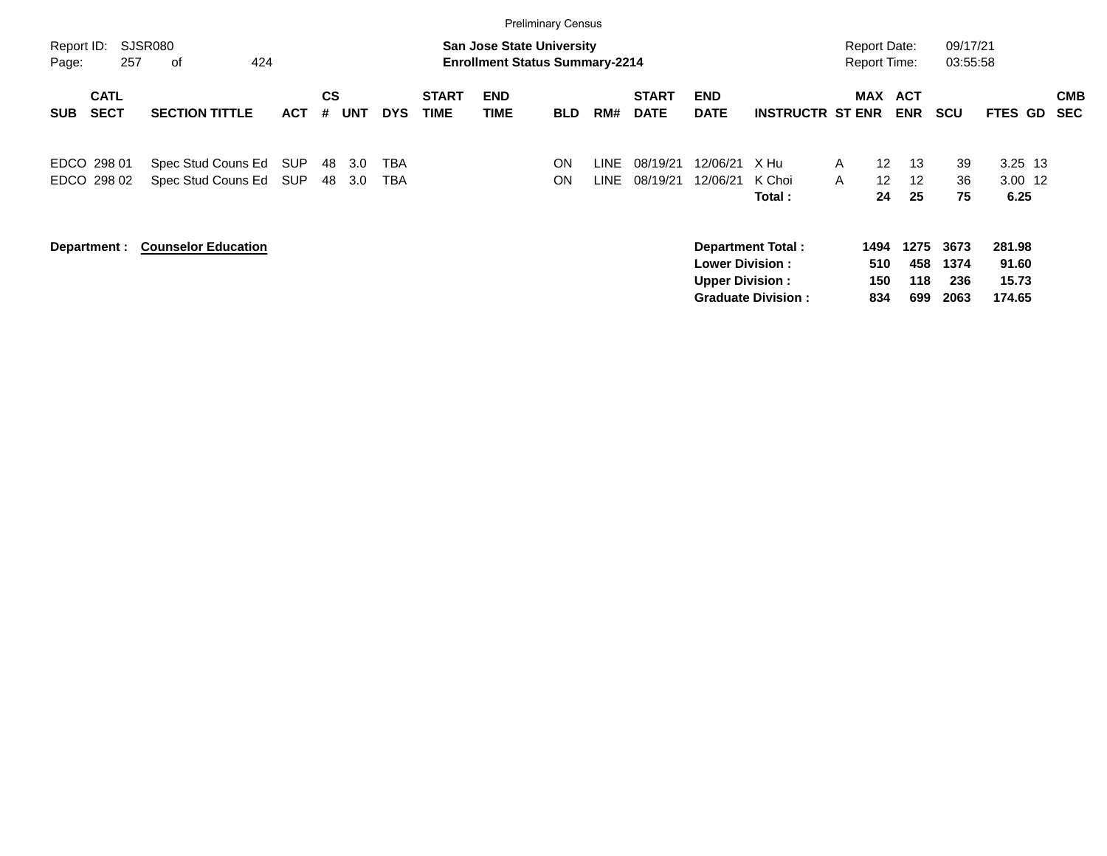|                                          |                                          |                   |                              |                          |                             |                                                                           | <b>Preliminary Census</b> |               |                             |                                                  |                                                       |                                                                 |                           |                             |                                    |                          |
|------------------------------------------|------------------------------------------|-------------------|------------------------------|--------------------------|-----------------------------|---------------------------------------------------------------------------|---------------------------|---------------|-----------------------------|--------------------------------------------------|-------------------------------------------------------|-----------------------------------------------------------------|---------------------------|-----------------------------|------------------------------------|--------------------------|
| Report ID:<br>257<br>Page:               | SJSR080<br>424<br>оf                     |                   |                              |                          |                             | <b>San Jose State University</b><br><b>Enrollment Status Summary-2214</b> |                           |               |                             |                                                  |                                                       | <b>Report Date:</b><br><b>Report Time:</b>                      |                           | 09/17/21<br>03:55:58        |                                    |                          |
| <b>CATL</b><br><b>SECT</b><br><b>SUB</b> | <b>SECTION TITTLE</b>                    | <b>ACT</b>        | <b>CS</b><br>#<br><b>UNT</b> | <b>DYS</b>               | <b>START</b><br><b>TIME</b> | <b>END</b><br>TIME                                                        | <b>BLD</b>                | RM#           | <b>START</b><br><b>DATE</b> | <b>END</b><br><b>DATE</b>                        | <b>INSTRUCTR ST ENR</b>                               | <b>MAX</b>                                                      | <b>ACT</b><br><b>ENR</b>  | <b>SCU</b>                  | <b>FTES GD</b>                     | <b>CMB</b><br><b>SEC</b> |
| EDCO 298 01<br>EDCO 298 02               | Spec Stud Couns Ed<br>Spec Stud Couns Ed | <b>SUP</b><br>SUP | 48<br>48                     | 3.0<br>TBA<br>TBA<br>3.0 |                             |                                                                           | ON<br>ON                  | LINE.<br>LINE | 08/19/21<br>08/19/21        | 12/06/21<br>12/06/21                             | X Hu<br>K Choi<br>Total :                             | $12 \overline{ }$<br>A<br>$\mathsf{A}$<br>12 <sup>2</sup><br>24 | 13<br>12<br>25            | 39<br>36<br>75              | $3.25$ 13<br>3.00 12<br>6.25       |                          |
| Department :                             | <b>Counselor Education</b>               |                   |                              |                          |                             |                                                                           |                           |               |                             | <b>Lower Division:</b><br><b>Upper Division:</b> | <b>Department Total:</b><br><b>Graduate Division:</b> | 1494<br>510<br>150<br>834                                       | 1275<br>458<br>118<br>699 | 3673<br>1374<br>236<br>2063 | 281.98<br>91.60<br>15.73<br>174.65 |                          |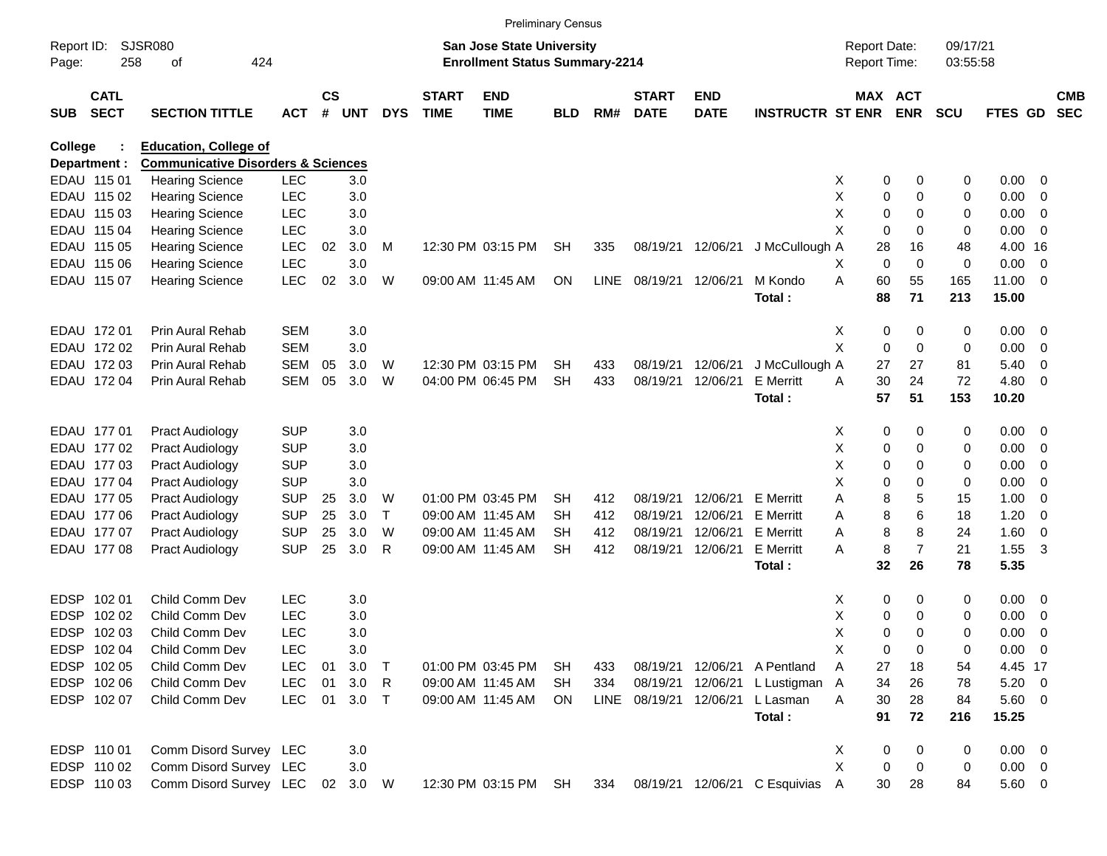|                     |                            |                                               |            |                    |         |            |                             |                                                                           | <b>Preliminary Census</b> |      |                             |                           |                               |                                     |                       |                      |             |                          |                          |
|---------------------|----------------------------|-----------------------------------------------|------------|--------------------|---------|------------|-----------------------------|---------------------------------------------------------------------------|---------------------------|------|-----------------------------|---------------------------|-------------------------------|-------------------------------------|-----------------------|----------------------|-------------|--------------------------|--------------------------|
| Report ID:<br>Page: | 258                        | SJSR080<br>οf                                 | 424        |                    |         |            |                             | <b>San Jose State University</b><br><b>Enrollment Status Summary-2214</b> |                           |      |                             |                           |                               | <b>Report Date:</b><br>Report Time: |                       | 09/17/21<br>03:55:58 |             |                          |                          |
| <b>SUB</b>          | <b>CATL</b><br><b>SECT</b> | <b>SECTION TITTLE</b>                         | <b>ACT</b> | $\mathsf{cs}$<br># | UNT     | <b>DYS</b> | <b>START</b><br><b>TIME</b> | <b>END</b><br><b>TIME</b>                                                 | <b>BLD</b>                | RM#  | <b>START</b><br><b>DATE</b> | <b>END</b><br><b>DATE</b> | <b>INSTRUCTR ST ENR</b>       |                                     | MAX ACT<br><b>ENR</b> | <b>SCU</b>           | FTES GD     |                          | <b>CMB</b><br><b>SEC</b> |
| College             |                            | <b>Education, College of</b>                  |            |                    |         |            |                             |                                                                           |                           |      |                             |                           |                               |                                     |                       |                      |             |                          |                          |
|                     | Department :               | <b>Communicative Disorders &amp; Sciences</b> |            |                    |         |            |                             |                                                                           |                           |      |                             |                           |                               |                                     |                       |                      |             |                          |                          |
|                     | EDAU 115 01                | <b>Hearing Science</b>                        | <b>LEC</b> |                    | 3.0     |            |                             |                                                                           |                           |      |                             |                           |                               | X                                   | 0<br>0                | 0                    | 0.00        | $\overline{\phantom{0}}$ |                          |
|                     | EDAU 115 02                | <b>Hearing Science</b>                        | <b>LEC</b> |                    | 3.0     |            |                             |                                                                           |                           |      |                             |                           |                               | х                                   | 0<br>0                | 0                    | 0.00        | - 0                      |                          |
|                     | EDAU 115 03                | <b>Hearing Science</b>                        | <b>LEC</b> |                    | 3.0     |            |                             |                                                                           |                           |      |                             |                           |                               | х                                   | 0<br>0                | 0                    | 0.00        | $\overline{\mathbf{0}}$  |                          |
|                     | EDAU 115 04                | <b>Hearing Science</b>                        | <b>LEC</b> |                    | 3.0     |            |                             |                                                                           |                           |      |                             |                           |                               | X                                   | 0<br>0                | 0                    | 0.00        | $\overline{\phantom{0}}$ |                          |
|                     | EDAU 115 05                | <b>Hearing Science</b>                        | LEC        | 02                 | 3.0     | M          |                             | 12:30 PM 03:15 PM                                                         | <b>SH</b>                 | 335  |                             | 08/19/21 12/06/21         | J McCullough A                |                                     | 28<br>16              | 48                   | 4.00 16     |                          |                          |
|                     | EDAU 115 06                | <b>Hearing Science</b>                        | LEC        |                    | 3.0     |            |                             |                                                                           |                           |      |                             |                           |                               | х                                   | 0<br>$\mathbf 0$      | 0                    | 0.00        | $\overline{\mathbf{0}}$  |                          |
|                     | EDAU 115 07                | <b>Hearing Science</b>                        | LEC        | 02                 | 3.0     | W          |                             | 09:00 AM 11:45 AM                                                         | ON                        | LINE | 08/19/21 12/06/21           |                           | M Kondo                       | A                                   | 60<br>55              | 165                  | 11.00       | - 0                      |                          |
|                     |                            |                                               |            |                    |         |            |                             |                                                                           |                           |      |                             |                           | Total:                        |                                     | 88<br>71              | 213                  | 15.00       |                          |                          |
|                     | EDAU 172 01                | Prin Aural Rehab                              | <b>SEM</b> |                    | 3.0     |            |                             |                                                                           |                           |      |                             |                           |                               | X                                   | 0<br>0                | 0                    | 0.00        | $\overline{\phantom{0}}$ |                          |
|                     | EDAU 172 02                | Prin Aural Rehab                              | <b>SEM</b> |                    | 3.0     |            |                             |                                                                           |                           |      |                             |                           |                               | X                                   | 0<br>$\mathbf 0$      | 0                    | 0.00        | 0                        |                          |
|                     | EDAU 172 03                | Prin Aural Rehab                              | <b>SEM</b> | 05                 | 3.0     | W          |                             | 12:30 PM 03:15 PM                                                         | SН                        | 433  | 08/19/21                    | 12/06/21                  | J McCullough A                |                                     | 27<br>27              | 81                   | 5.40        | - 0                      |                          |
|                     | EDAU 172 04                | Prin Aural Rehab                              | <b>SEM</b> | 05                 | 3.0     | W          |                             | 04:00 PM 06:45 PM                                                         | <b>SH</b>                 | 433  |                             | 08/19/21 12/06/21         | <b>E</b> Merritt              | A                                   | 30<br>24              | 72                   | 4.80        | - 0                      |                          |
|                     |                            |                                               |            |                    |         |            |                             |                                                                           |                           |      |                             |                           | Total:                        |                                     | 57<br>51              | 153                  | 10.20       |                          |                          |
|                     | EDAU 177 01                | <b>Pract Audiology</b>                        | SUP        |                    | 3.0     |            |                             |                                                                           |                           |      |                             |                           |                               | X                                   | 0<br>0                | 0                    | 0.00        | $\overline{\phantom{0}}$ |                          |
|                     | EDAU 177 02                | Pract Audiology                               | <b>SUP</b> |                    | 3.0     |            |                             |                                                                           |                           |      |                             |                           |                               | х                                   | 0<br>0                | 0                    | 0.00        | $\overline{\mathbf{0}}$  |                          |
|                     | EDAU 177 03                | Pract Audiology                               | <b>SUP</b> |                    | 3.0     |            |                             |                                                                           |                           |      |                             |                           |                               | х                                   | 0<br>0                | 0                    | 0.00        | - 0                      |                          |
|                     | EDAU 177 04                | Pract Audiology                               | <b>SUP</b> |                    | 3.0     |            |                             |                                                                           |                           |      |                             |                           |                               | X                                   | 0<br>0                | 0                    | 0.00        | 0                        |                          |
|                     | EDAU 177 05                | <b>Pract Audiology</b>                        | <b>SUP</b> | 25                 | 3.0     | W          |                             | 01:00 PM 03:45 PM                                                         | SН                        | 412  | 08/19/21                    | 12/06/21                  | <b>E</b> Merritt              | Α                                   | 8<br>5                | 15                   | 1.00        | - 0                      |                          |
|                     | EDAU 177 06                | Pract Audiology                               | <b>SUP</b> | 25                 | 3.0     | Т          |                             | 09:00 AM 11:45 AM                                                         | SН                        | 412  | 08/19/21                    | 12/06/21                  | <b>E</b> Merritt              | Α                                   | 6<br>8                | 18                   | 1.20        | -0                       |                          |
|                     | EDAU 177 07                | <b>Pract Audiology</b>                        | <b>SUP</b> | 25                 | 3.0     | W          |                             | 09:00 AM 11:45 AM                                                         | SН                        | 412  | 08/19/21                    | 12/06/21                  | <b>E</b> Merritt              | A                                   | 8<br>8                | 24                   | 1.60        | 0                        |                          |
|                     | EDAU 177 08                | <b>Pract Audiology</b>                        | <b>SUP</b> | 25                 | 3.0     | R          |                             | 09:00 AM 11:45 AM                                                         | <b>SH</b>                 | 412  | 08/19/21                    | 12/06/21                  | <b>E</b> Merritt              | A                                   | $\overline{7}$<br>8   | 21                   | 1.55        | 3                        |                          |
|                     |                            |                                               |            |                    |         |            |                             |                                                                           |                           |      |                             |                           | Total:                        |                                     | 32<br>26              | 78                   | 5.35        |                          |                          |
| EDSP                | 102 01                     | Child Comm Dev                                | <b>LEC</b> |                    | 3.0     |            |                             |                                                                           |                           |      |                             |                           |                               | X                                   | 0<br>0                | 0                    | $0.00 \t 0$ |                          |                          |
| EDSP                | 102 02                     | Child Comm Dev                                | <b>LEC</b> |                    | 3.0     |            |                             |                                                                           |                           |      |                             |                           |                               | Χ                                   | 0<br>0                | 0                    | 0.00        | 0                        |                          |
| EDSP                | 102 03                     | Child Comm Dev                                | <b>LEC</b> |                    | 3.0     |            |                             |                                                                           |                           |      |                             |                           |                               | X                                   | 0<br>$\Omega$         | 0                    | 0.00        | - 0                      |                          |
|                     | EDSP 102 04                | Child Comm Dev                                | <b>LEC</b> |                    | 3.0     |            |                             |                                                                           |                           |      |                             |                           |                               | Х                                   | 0<br>0                | 0                    | $0.00 \t 0$ |                          |                          |
|                     | EDSP 102 05                | Child Comm Dev                                | <b>LEC</b> | 01                 | 3.0     | $\top$     |                             | 01:00 PM 03:45 PM                                                         | SH                        | 433  |                             |                           | 08/19/21 12/06/21 A Pentland  | Α                                   | 18<br>27              | 54                   | 4.45 17     |                          |                          |
|                     | EDSP 102 06                | Child Comm Dev                                | LEC        | 01                 | 3.0     | R          |                             | 09:00 AM 11:45 AM                                                         | SH                        | 334  |                             | 08/19/21 12/06/21         | L Lustigman                   | $\mathsf{A}$                        | 34<br>26              | 78                   | $5.20 \ 0$  |                          |                          |
|                     | EDSP 102 07                | Child Comm Dev                                | <b>LEC</b> | 01                 | $3.0$ T |            |                             | 09:00 AM 11:45 AM                                                         | ON                        | LINE |                             | 08/19/21 12/06/21         | L Lasman                      | A                                   | 30<br>28              | 84                   | $5.60$ 0    |                          |                          |
|                     |                            |                                               |            |                    |         |            |                             |                                                                           |                           |      |                             |                           | Total:                        |                                     | 91<br>72              | 216                  | 15.25       |                          |                          |
|                     | EDSP 110 01                | Comm Disord Survey LEC                        |            |                    | 3.0     |            |                             |                                                                           |                           |      |                             |                           |                               | X                                   | 0<br>0                | 0                    | $0.00 \t 0$ |                          |                          |
|                     | EDSP 110 02                | Comm Disord Survey LEC                        |            |                    | 3.0     |            |                             |                                                                           |                           |      |                             |                           |                               | X                                   | 0<br>0                | 0                    | $0.00 \t 0$ |                          |                          |
|                     | EDSP 110 03                | Comm Disord Survey LEC                        |            | 02                 | 3.0 W   |            |                             | 12:30 PM 03:15 PM SH                                                      |                           | 334  |                             |                           | 08/19/21 12/06/21 C Esquivias | A                                   | 30<br>28              | 84                   | 5.60 0      |                          |                          |
|                     |                            |                                               |            |                    |         |            |                             |                                                                           |                           |      |                             |                           |                               |                                     |                       |                      |             |                          |                          |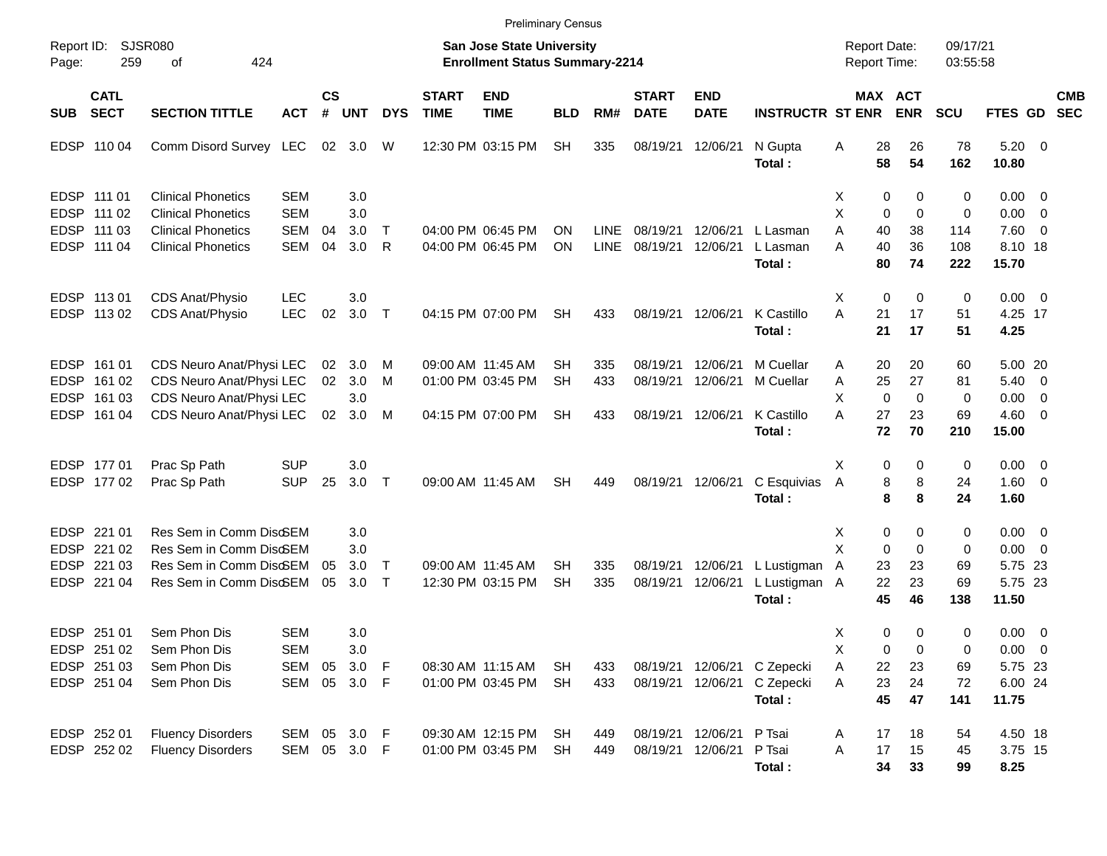|                            |                            |                                                        |                              |                    |                 |                  |                             | <b>Preliminary Census</b>                                                 |                 |                            |                             |                                        |                                                    |                                     |                         |                         |                          |                                |                          |                          |
|----------------------------|----------------------------|--------------------------------------------------------|------------------------------|--------------------|-----------------|------------------|-----------------------------|---------------------------------------------------------------------------|-----------------|----------------------------|-----------------------------|----------------------------------------|----------------------------------------------------|-------------------------------------|-------------------------|-------------------------|--------------------------|--------------------------------|--------------------------|--------------------------|
| Report ID:<br>Page:        | 259                        | <b>SJSR080</b><br>424<br>οf                            |                              |                    |                 |                  |                             | <b>San Jose State University</b><br><b>Enrollment Status Summary-2214</b> |                 |                            |                             |                                        |                                                    | <b>Report Date:</b><br>Report Time: |                         |                         | 09/17/21<br>03:55:58     |                                |                          |                          |
| <b>SUB</b>                 | <b>CATL</b><br><b>SECT</b> | <b>SECTION TITTLE</b>                                  | <b>ACT</b>                   | $\mathsf{cs}$<br># | <b>UNT</b>      | <b>DYS</b>       | <b>START</b><br><b>TIME</b> | <b>END</b><br><b>TIME</b>                                                 | <b>BLD</b>      | RM#                        | <b>START</b><br><b>DATE</b> | <b>END</b><br><b>DATE</b>              | <b>INSTRUCTR ST ENR</b>                            |                                     |                         | MAX ACT<br><b>ENR</b>   | <b>SCU</b>               | <b>FTES GD</b>                 |                          | <b>CMB</b><br><b>SEC</b> |
| <b>EDSP</b>                | 110 04                     | Comm Disord Survey LEC                                 |                              |                    | 02 3.0          | W                |                             | 12:30 PM 03:15 PM                                                         | <b>SH</b>       | 335                        | 08/19/21                    | 12/06/21                               | N Gupta<br>Total:                                  | Α                                   | 28<br>58                | 26<br>54                | 78<br>162                | $5.20 \ 0$<br>10.80            |                          |                          |
| <b>EDSP</b>                | EDSP 111 01<br>111 02      | <b>Clinical Phonetics</b><br><b>Clinical Phonetics</b> | <b>SEM</b><br><b>SEM</b>     |                    | 3.0<br>3.0      |                  |                             |                                                                           |                 |                            |                             |                                        |                                                    | X<br>X                              | 0<br>$\mathbf 0$        | 0<br>$\mathbf 0$        | 0<br>0                   | $0.00 \t 0$<br>$0.00 \t 0$     |                          |                          |
|                            | EDSP 111 03<br>EDSP 111 04 | <b>Clinical Phonetics</b><br><b>Clinical Phonetics</b> | <b>SEM</b><br><b>SEM</b>     | 04<br>04           | 3.0<br>3.0      | Т<br>R           |                             | 04:00 PM 06:45 PM<br>04:00 PM 06:45 PM                                    | ΟN<br>ON        | <b>LINE</b><br><b>LINE</b> | 08/19/21<br>08/19/21        | 12/06/21<br>12/06/21                   | L Lasman<br>L Lasman<br>Total:                     | Α<br>A                              | 40<br>40<br>80          | 38<br>36<br>74          | 114<br>108<br>222        | 7.60 0<br>8.10 18<br>15.70     |                          |                          |
|                            | EDSP 113 01<br>EDSP 113 02 | CDS Anat/Physio<br>CDS Anat/Physio                     | <b>LEC</b><br><b>LEC</b>     | 02                 | 3.0<br>3.0      | $\top$           |                             | 04:15 PM 07:00 PM                                                         | SН              | 433                        | 08/19/21                    | 12/06/21                               | K Castillo<br>Total:                               | X<br>A                              | $\mathbf 0$<br>21<br>21 | 0<br>17<br>17           | 0<br>51<br>51            | $0.00 \t 0$<br>4.25 17<br>4.25 |                          |                          |
| <b>EDSP</b><br><b>EDSP</b> | 161 01<br>161 02           | CDS Neuro Anat/Physi LEC<br>CDS Neuro Anat/Physi LEC   |                              | 02<br>02           | 3.0<br>3.0      | M<br>м           |                             | 09:00 AM 11:45 AM<br>01:00 PM 03:45 PM                                    | SН<br><b>SH</b> | 335<br>433                 | 08/19/21<br>08/19/21        | 12/06/21<br>12/06/21                   | M Cuellar<br>M Cuellar                             | Α<br>Α                              | 20<br>25                | 20<br>27                | 60<br>81                 | 5.00 20<br>$5.40 \ 0$          |                          |                          |
| <b>EDSP</b>                | 161 03<br>EDSP 161 04      | CDS Neuro Anat/Physi LEC<br>CDS Neuro Anat/Physi LEC   |                              | 02 <sub>2</sub>    | 3.0<br>3.0      | M                |                             | 04:15 PM 07:00 PM                                                         | <b>SH</b>       | 433                        | 08/19/21                    | 12/06/21                               | K Castillo<br>Total:                               | X<br>A                              | $\mathbf 0$<br>27<br>72 | $\mathbf 0$<br>23<br>70 | $\mathbf 0$<br>69<br>210 | 0.00<br>$4.60 \ 0$<br>15.00    | $\overline{\phantom{0}}$ |                          |
|                            | EDSP 177 01<br>EDSP 177 02 | Prac Sp Path<br>Prac Sp Path                           | <b>SUP</b><br><b>SUP</b>     | 25                 | 3.0<br>3.0      | $\top$           |                             | 09:00 AM 11:45 AM                                                         | <b>SH</b>       | 449                        | 08/19/21                    | 12/06/21                               | C Esquivias<br>Total:                              | X<br>Α                              | 0<br>8<br>8             | 0<br>8<br>8             | 0<br>24<br>24            | $0.00 \t 0$<br>1.60 0<br>1.60  |                          |                          |
| <b>EDSP</b><br><b>EDSP</b> | 221 01<br>221 02           | Res Sem in Comm Disc6EM<br>Res Sem in Comm Disc6EM     |                              |                    | 3.0<br>3.0      |                  |                             |                                                                           |                 |                            |                             |                                        |                                                    | X<br>X                              | 0<br>$\mathbf 0$        | 0<br>$\mathbf 0$        | 0<br>0                   | $0.00 \t 0$<br>$0.00 \t 0$     |                          |                          |
| EDSP.<br>EDSP              | 221 03<br>221 04           | Res Sem in Comm Disc6EM<br>Res Sem in Comm Disc6EM     |                              | 05<br>05           | 3.0<br>3.0      | $\top$<br>$\top$ |                             | 09:00 AM 11:45 AM<br>12:30 PM 03:15 PM                                    | SН<br><b>SH</b> | 335<br>335                 | 08/19/21<br>08/19/21        | 12/06/21<br>12/06/21                   | L Lustigman<br>L Lustigman A<br>Total:             | A                                   | 23<br>22<br>45          | 23<br>23<br>46          | 69<br>69<br>138          | 5.75 23<br>5.75 23<br>11.50    |                          |                          |
|                            | EDSP 251 01<br>EDSP 251 02 | Sem Phon Dis<br>Sem Phon Dis                           | <b>SEM</b><br><b>SEM</b>     |                    | 3.0<br>3.0      |                  |                             |                                                                           |                 |                            |                             |                                        |                                                    | X<br>х                              | 0<br>0                  | 0<br>0                  | 0<br>0                   | $0.00 \t 0$<br>$0.00 \t 0$     |                          |                          |
|                            | EDSP 251 03<br>EDSP 251 04 | Sem Phon Dis<br>Sem Phon Dis                           | SEM<br>SEM                   | 05                 | 3.0<br>05 3.0 F | F                |                             | 08:30 AM 11:15 AM<br>01:00 PM 03:45 PM                                    | SH<br>SH        | 433<br>433                 |                             | 08/19/21 12/06/21                      | 08/19/21 12/06/21 C Zepecki<br>C Zepecki<br>Total: | Α<br>Α                              | 22<br>23<br>45          | 23<br>24<br>47          | 69<br>72<br>141          | 5.75 23<br>6.00 24<br>11.75    |                          |                          |
|                            | EDSP 252 01<br>EDSP 252 02 | <b>Fluency Disorders</b><br><b>Fluency Disorders</b>   | SEM 05 3.0 F<br>SEM 05 3.0 F |                    |                 |                  |                             | 09:30 AM 12:15 PM<br>01:00 PM 03:45 PM                                    | SH<br>SH        | 449<br>449                 |                             | 08/19/21 12/06/21<br>08/19/21 12/06/21 | P Tsai<br>P Tsai<br>Total:                         | Α<br>Α                              | 17<br>17<br>34          | 18<br>15<br>33          | 54<br>45<br>99           | 4.50 18<br>3.75 15<br>8.25     |                          |                          |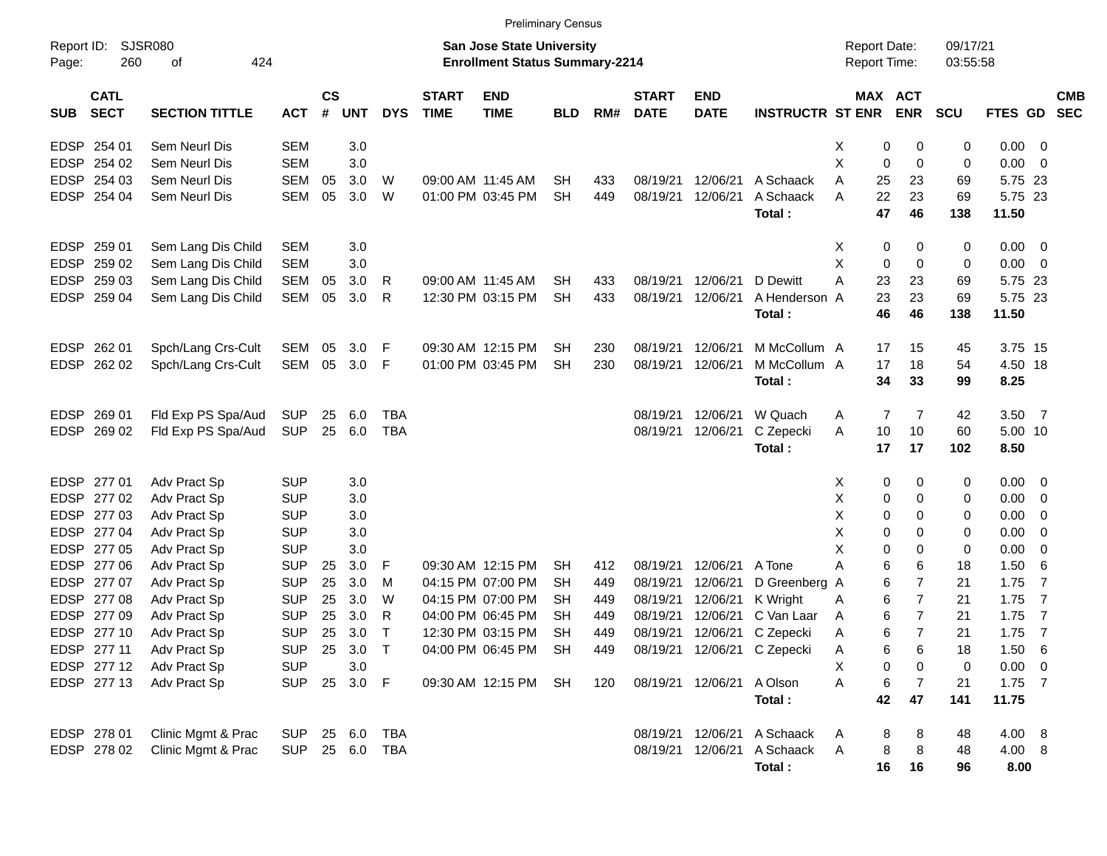|                                          |                       |            |                |            |              |                             | <b>Preliminary Census</b>                                                 |            |     |                             |                           |                             |                                            |                              |                      |             |                          |            |
|------------------------------------------|-----------------------|------------|----------------|------------|--------------|-----------------------------|---------------------------------------------------------------------------|------------|-----|-----------------------------|---------------------------|-----------------------------|--------------------------------------------|------------------------------|----------------------|-------------|--------------------------|------------|
| Report ID:<br>260<br>Page:               | SJSR080<br>424<br>оf  |            |                |            |              |                             | <b>San Jose State University</b><br><b>Enrollment Status Summary-2214</b> |            |     |                             |                           |                             | <b>Report Date:</b><br><b>Report Time:</b> |                              | 09/17/21<br>03:55:58 |             |                          |            |
| <b>CATL</b><br><b>SECT</b><br><b>SUB</b> | <b>SECTION TITTLE</b> | <b>ACT</b> | <b>CS</b><br># | <b>UNT</b> | <b>DYS</b>   | <b>START</b><br><b>TIME</b> | <b>END</b><br><b>TIME</b>                                                 | <b>BLD</b> | RM# | <b>START</b><br><b>DATE</b> | <b>END</b><br><b>DATE</b> | <b>INSTRUCTR ST ENR</b>     |                                            | <b>MAX ACT</b><br><b>ENR</b> | <b>SCU</b>           | FTES GD SEC |                          | <b>CMB</b> |
| EDSP 254 01                              | Sem Neurl Dis         | <b>SEM</b> |                | 3.0        |              |                             |                                                                           |            |     |                             |                           |                             | х                                          | 0<br>0                       | 0                    | $0.00 \t 0$ |                          |            |
| EDSP 254 02                              | Sem Neurl Dis         | <b>SEM</b> |                | 3.0        |              |                             |                                                                           |            |     |                             |                           |                             | Χ                                          | 0<br>0                       | 0                    | $0.00 \t 0$ |                          |            |
| EDSP 254 03                              | Sem Neurl Dis         | <b>SEM</b> | 05             | 3.0        | W            |                             | 09:00 AM 11:45 AM                                                         | <b>SH</b>  | 433 | 08/19/21                    | 12/06/21                  | A Schaack                   | Α<br>25                                    | 23                           | 69                   | 5.75 23     |                          |            |
| EDSP 254 04                              | Sem Neurl Dis         | <b>SEM</b> | 05             | 3.0        | W            |                             | 01:00 PM 03:45 PM                                                         | <b>SH</b>  | 449 | 08/19/21                    | 12/06/21                  | A Schaack                   | A<br>22                                    | 23                           | 69                   | 5.75 23     |                          |            |
|                                          |                       |            |                |            |              |                             |                                                                           |            |     |                             |                           | Total:                      | 47                                         | 46                           | 138                  | 11.50       |                          |            |
| EDSP 259 01                              | Sem Lang Dis Child    | <b>SEM</b> |                | 3.0        |              |                             |                                                                           |            |     |                             |                           |                             | X                                          | 0<br>0                       | 0                    | $0.00 \t 0$ |                          |            |
| EDSP 259 02                              | Sem Lang Dis Child    | <b>SEM</b> |                | 3.0        |              |                             |                                                                           |            |     |                             |                           |                             | Χ                                          | 0<br>0                       | 0                    | $0.00 \t 0$ |                          |            |
| EDSP 259 03                              | Sem Lang Dis Child    | <b>SEM</b> | 05             | 3.0        | R            |                             | 09:00 AM 11:45 AM                                                         | <b>SH</b>  | 433 | 08/19/21                    | 12/06/21                  | D Dewitt                    | A<br>23                                    | 23                           | 69                   | 5.75 23     |                          |            |
| EDSP 259 04                              | Sem Lang Dis Child    | <b>SEM</b> | 05             | 3.0        | R            |                             | 12:30 PM 03:15 PM                                                         | <b>SH</b>  | 433 | 08/19/21                    | 12/06/21                  | A Henderson A               | 23                                         | 23                           | 69                   | 5.75 23     |                          |            |
|                                          |                       |            |                |            |              |                             |                                                                           |            |     |                             |                           | Total:                      | 46                                         | 46                           | 138                  | 11.50       |                          |            |
| EDSP 262 01                              | Spch/Lang Crs-Cult    | SEM        | 05             | 3.0        | - F          |                             | 09:30 AM 12:15 PM                                                         | <b>SH</b>  | 230 | 08/19/21                    | 12/06/21                  | M McCollum A                | 17                                         | 15                           | 45                   | 3.75 15     |                          |            |
| EDSP 262 02                              | Spch/Lang Crs-Cult    | <b>SEM</b> | 05             | 3.0        | – F          |                             | 01:00 PM 03:45 PM                                                         | <b>SH</b>  | 230 | 08/19/21                    | 12/06/21                  | M McCollum A                | 17                                         | 18                           | 54                   | 4.50 18     |                          |            |
|                                          |                       |            |                |            |              |                             |                                                                           |            |     |                             |                           | Total:                      | 34                                         | 33                           | 99                   | 8.25        |                          |            |
| EDSP 269 01                              | Fld Exp PS Spa/Aud    | <b>SUP</b> | 25             | 6.0        | <b>TBA</b>   |                             |                                                                           |            |     | 08/19/21                    | 12/06/21                  | W Quach                     | A                                          | 7<br>7                       | 42                   | $3.50$ 7    |                          |            |
| EDSP 269 02                              | Fld Exp PS Spa/Aud    | <b>SUP</b> | 25             | 6.0        | <b>TBA</b>   |                             |                                                                           |            |     | 08/19/21                    | 12/06/21                  | C Zepecki                   | Α<br>10                                    | 10                           | 60                   | 5.00 10     |                          |            |
|                                          |                       |            |                |            |              |                             |                                                                           |            |     |                             |                           | Total:                      | 17                                         | 17                           | 102                  | 8.50        |                          |            |
| EDSP 277 01                              | Adv Pract Sp          | <b>SUP</b> |                | 3.0        |              |                             |                                                                           |            |     |                             |                           |                             | X                                          | 0<br>0                       | 0                    | $0.00 \t 0$ |                          |            |
| EDSP 277 02                              | Adv Pract Sp          | <b>SUP</b> |                | 3.0        |              |                             |                                                                           |            |     |                             |                           |                             | Χ                                          | 0<br>0                       | 0                    | $0.00 \t 0$ |                          |            |
| EDSP 277 03                              | Adv Pract Sp          | <b>SUP</b> |                | 3.0        |              |                             |                                                                           |            |     |                             |                           |                             | Χ                                          | 0<br>0                       | 0                    | $0.00 \t 0$ |                          |            |
| EDSP 277 04                              | Adv Pract Sp          | <b>SUP</b> |                | 3.0        |              |                             |                                                                           |            |     |                             |                           |                             | X                                          | 0<br>0                       | 0                    | 0.00        | $\overline{\phantom{0}}$ |            |
| EDSP 277 05                              | Adv Pract Sp          | <b>SUP</b> |                | 3.0        |              |                             |                                                                           |            |     |                             |                           |                             | Χ                                          | 0<br>0                       | 0                    | 0.00        | $\overline{\phantom{0}}$ |            |
| EDSP 277 06                              | Adv Pract Sp          | <b>SUP</b> | 25             | 3.0        | -F           |                             | 09:30 AM 12:15 PM                                                         | <b>SH</b>  | 412 | 08/19/21                    | 12/06/21                  | A Tone                      | Α                                          | 6<br>6                       | 18                   | 1.50        | $-6$                     |            |
| EDSP 277 07                              | Adv Pract Sp          | <b>SUP</b> | 25             | 3.0        | M            |                             | 04:15 PM 07:00 PM                                                         | <b>SH</b>  | 449 | 08/19/21                    | 12/06/21                  | D Greenberg A               |                                            | $\overline{7}$<br>6          | 21                   | 1.75        | $\overline{7}$           |            |
| EDSP 277 08                              | Adv Pract Sp          | <b>SUP</b> | 25             | 3.0        | W            |                             | 04:15 PM 07:00 PM                                                         | <b>SH</b>  | 449 | 08/19/21                    | 12/06/21                  | K Wright                    | Α                                          | $\overline{7}$<br>6          | 21                   | 1.75        | $\overline{7}$           |            |
| EDSP 277 09                              | Adv Pract Sp          | <b>SUP</b> | 25             | 3.0        | R            |                             | 04:00 PM 06:45 PM                                                         | SН         | 449 | 08/19/21                    | 12/06/21                  | C Van Laar                  | A                                          | $\overline{7}$<br>6          | 21                   | 1.75        | $\overline{7}$           |            |
| EDSP 277 10                              | Adv Pract Sp          | <b>SUP</b> | 25             | 3.0        | $\mathsf{T}$ |                             | 12:30 PM 03:15 PM                                                         | <b>SH</b>  | 449 | 08/19/21                    |                           | 12/06/21 C Zepecki          | Α                                          | 6<br>$\overline{7}$          | 21                   | 1.75        | $\overline{7}$           |            |
| EDSP 277 11                              | Adv Pract Sp          | <b>SUP</b> | 25             | 3.0        | $\top$       |                             | 04:00 PM 06:45 PM SH                                                      |            | 449 |                             |                           | 08/19/21 12/06/21 C Zepecki | A                                          | 6<br>6                       | 18                   | $1.50\ 6$   |                          |            |
| EDSP 277 12                              | Adv Pract Sp          | <b>SUP</b> |                | 3.0        |              |                             |                                                                           |            |     |                             |                           |                             | х                                          | 0<br>0                       | 0                    | $0.00 \t 0$ |                          |            |
| EDSP 277 13                              | Adv Pract Sp          | <b>SUP</b> |                | 25 3.0 F   |              |                             | 09:30 AM 12:15 PM SH                                                      |            | 120 |                             | 08/19/21 12/06/21 A Olson |                             | Α                                          | 6<br>7                       | 21                   | $1.75$ 7    |                          |            |
|                                          |                       |            |                |            |              |                             |                                                                           |            |     |                             |                           | Total:                      | 42                                         | 47                           | 141                  | 11.75       |                          |            |
| EDSP 278 01                              | Clinic Mgmt & Prac    | <b>SUP</b> |                |            |              |                             |                                                                           |            |     |                             |                           | 08/19/21 12/06/21 A Schaack | A                                          | 8<br>8                       | 48                   | 4.00 8      |                          |            |
| EDSP 278 02                              | Clinic Mgmt & Prac    |            |                | SUP 25 6.0 | TBA          |                             |                                                                           |            |     |                             |                           | 08/19/21 12/06/21 A Schaack | A                                          | 8<br>8                       | 48                   | 4.00 8      |                          |            |
|                                          |                       |            |                |            |              |                             |                                                                           |            |     |                             |                           | Total:                      | 16                                         | 16                           | 96                   | 8.00        |                          |            |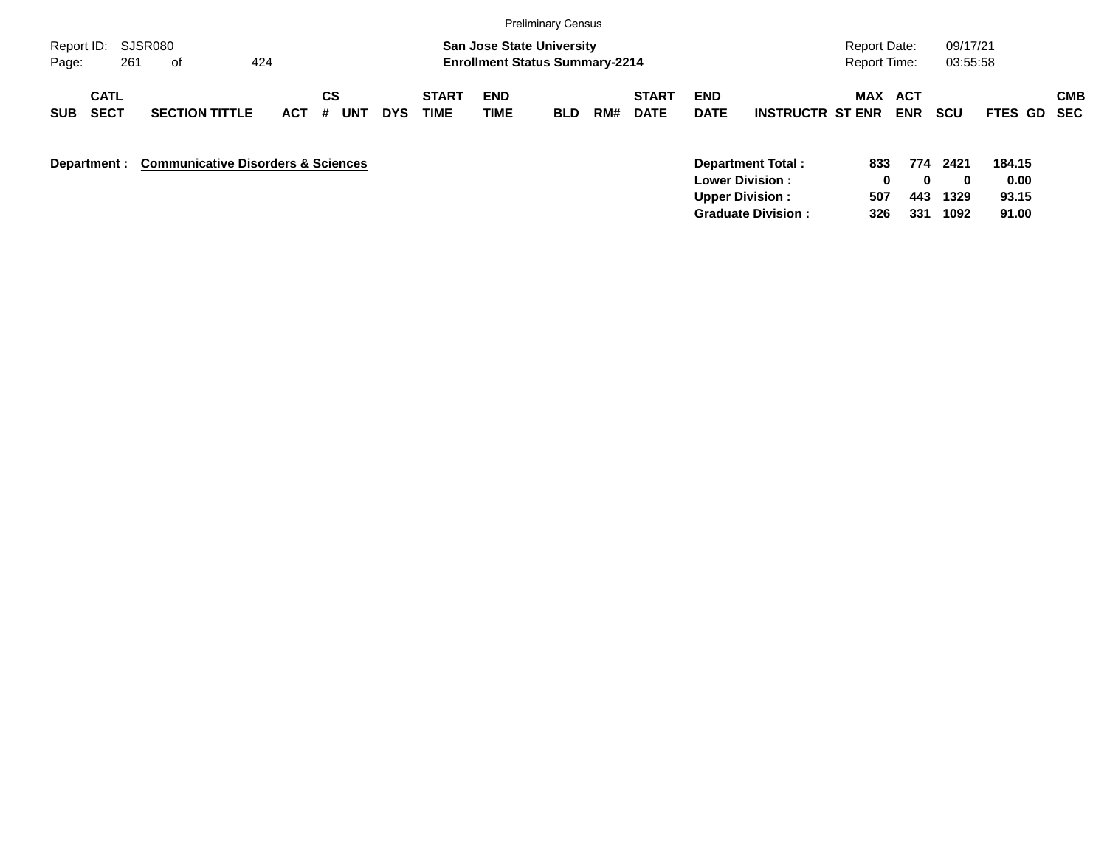|                                          |                                               |            |                       |            |                      |                                                                           | <b>Preliminary Census</b> |     |                             |                                                  |                         |                                            |                   |                      |                         |                          |
|------------------------------------------|-----------------------------------------------|------------|-----------------------|------------|----------------------|---------------------------------------------------------------------------|---------------------------|-----|-----------------------------|--------------------------------------------------|-------------------------|--------------------------------------------|-------------------|----------------------|-------------------------|--------------------------|
| Report ID:<br>261<br>Page:               | SJSR080<br>424<br>0f                          |            |                       |            |                      | <b>San Jose State University</b><br><b>Enrollment Status Summary-2214</b> |                           |     |                             |                                                  |                         | <b>Report Date:</b><br><b>Report Time:</b> |                   | 09/17/21<br>03:55:58 |                         |                          |
| <b>CATL</b><br><b>SECT</b><br><b>SUB</b> | <b>SECTION TITTLE</b>                         | <b>ACT</b> | CS<br><b>UNT</b><br># | <b>DYS</b> | <b>START</b><br>TIME | <b>END</b><br><b>TIME</b>                                                 | <b>BLD</b>                | RM# | <b>START</b><br><b>DATE</b> | <b>END</b><br><b>DATE</b>                        | <b>INSTRUCTR ST ENR</b> | <b>MAX</b>                                 | ACT<br><b>ENR</b> | <b>SCU</b>           | FTES GD                 | <b>CMB</b><br><b>SEC</b> |
| Department :                             | <b>Communicative Disorders &amp; Sciences</b> |            |                       |            |                      |                                                                           |                           |     |                             | <b>Lower Division:</b><br><b>Upper Division:</b> | Department Total:       | 833<br>0<br>507                            | 774<br>0<br>443   | 2421<br>0<br>1329    | 184.15<br>0.00<br>93.15 |                          |

**Graduate Division : 326 331 1092 91.00**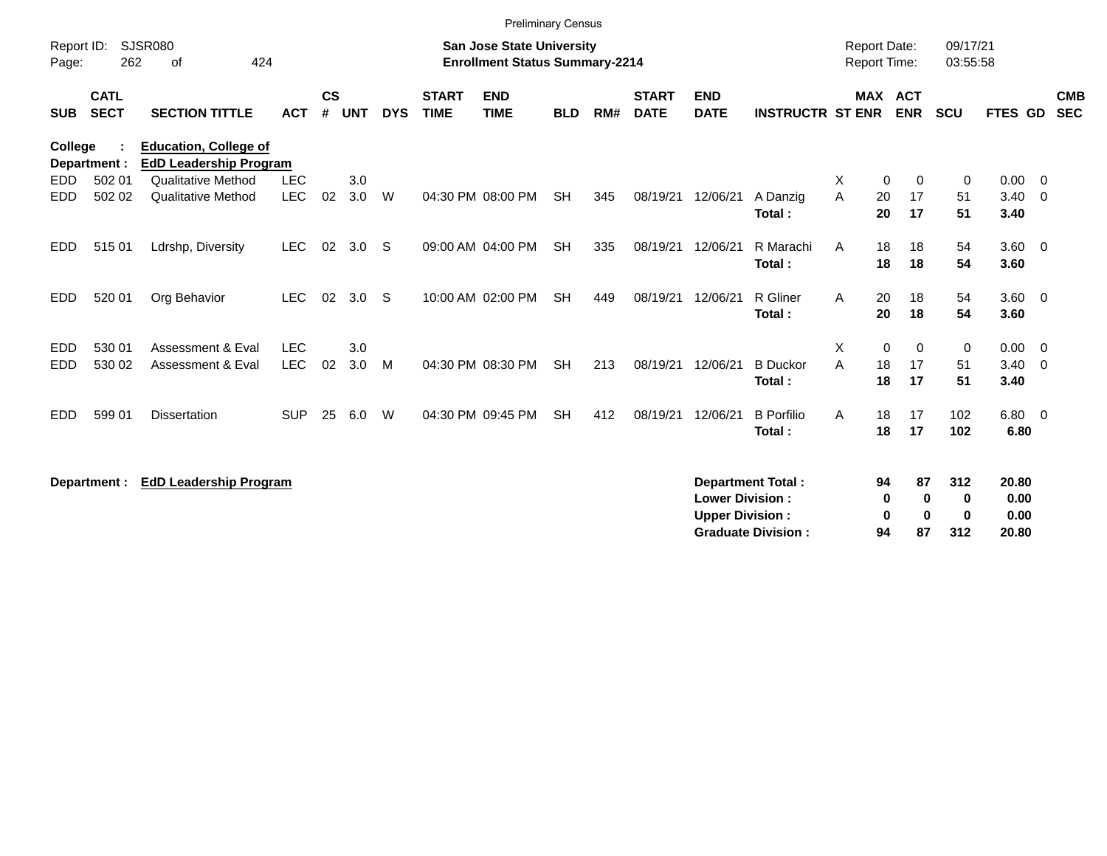|                     |                            |                                                               |                          |                |            |            |                             | <b>Preliminary Census</b>                                                 |            |     |                             |                                                  |                                                       |                                            |                           |                                |                                   |                          |
|---------------------|----------------------------|---------------------------------------------------------------|--------------------------|----------------|------------|------------|-----------------------------|---------------------------------------------------------------------------|------------|-----|-----------------------------|--------------------------------------------------|-------------------------------------------------------|--------------------------------------------|---------------------------|--------------------------------|-----------------------------------|--------------------------|
| Report ID:<br>Page: | 262                        | <b>SJSR080</b><br>424<br>of                                   |                          |                |            |            |                             | <b>San Jose State University</b><br><b>Enrollment Status Summary-2214</b> |            |     |                             |                                                  |                                                       | <b>Report Date:</b><br><b>Report Time:</b> |                           | 09/17/21<br>03:55:58           |                                   |                          |
| <b>SUB</b>          | <b>CATL</b><br><b>SECT</b> | <b>SECTION TITTLE</b>                                         | <b>ACT</b>               | <b>CS</b><br># | <b>UNT</b> | <b>DYS</b> | <b>START</b><br><b>TIME</b> | <b>END</b><br><b>TIME</b>                                                 | <b>BLD</b> | RM# | <b>START</b><br><b>DATE</b> | <b>END</b><br><b>DATE</b>                        | <b>INSTRUCTR ST ENR</b>                               |                                            | MAX ACT<br><b>ENR</b>     | <b>SCU</b>                     | FTES GD                           | <b>CMB</b><br><b>SEC</b> |
| <b>College</b>      | Department :               | <b>Education, College of</b><br><b>EdD Leadership Program</b> |                          |                |            |            |                             |                                                                           |            |     |                             |                                                  |                                                       |                                            |                           |                                |                                   |                          |
| EDD.<br><b>EDD</b>  | 502 01<br>502 02           | <b>Qualitative Method</b><br><b>Qualitative Method</b>        | <b>LEC</b><br><b>LEC</b> | 02             | 3.0<br>3.0 | W          |                             | 04:30 PM 08:00 PM                                                         | <b>SH</b>  | 345 | 08/19/21                    | 12/06/21                                         | A Danzig<br>Total:                                    | X<br>$\mathbf 0$<br>A<br>20<br>20          | 0<br>17<br>17             | 0<br>51<br>51                  | $0.00 \t 0$<br>$3.40 \ 0$<br>3.40 |                          |
| EDD.                | 51501                      | Ldrshp, Diversity                                             | <b>LEC</b>               | 02             | 3.0        | S          |                             | 09:00 AM 04:00 PM                                                         | <b>SH</b>  | 335 | 08/19/21                    | 12/06/21                                         | R Marachi<br>Total:                                   | 18<br>A<br>18                              | 18<br>18                  | 54<br>54                       | $3.60$ 0<br>3.60                  |                          |
| <b>EDD</b>          | 520 01                     | Org Behavior                                                  | <b>LEC</b>               | 02             | 3.0        | S          |                             | 10:00 AM 02:00 PM                                                         | <b>SH</b>  | 449 | 08/19/21                    | 12/06/21                                         | R Gliner<br>Total:                                    | A<br>20<br>20                              | 18<br>18                  | 54<br>54                       | $3.60 \ 0$<br>3.60                |                          |
| EDD<br><b>EDD</b>   | 530 01<br>530 02           | Assessment & Eval<br><b>Assessment &amp; Eval</b>             | <b>LEC</b><br><b>LEC</b> | 02             | 3.0<br>3.0 | M          |                             | 04:30 PM 08:30 PM                                                         | <b>SH</b>  | 213 | 08/19/21                    | 12/06/21                                         | <b>B</b> Duckor<br>Total:                             | X.<br>0<br>18<br>A<br>18                   | $\Omega$<br>17<br>17      | 0<br>51<br>51                  | $0.00 \t 0$<br>$3.40 \ 0$<br>3.40 |                          |
| <b>EDD</b>          | 599 01                     | <b>Dissertation</b>                                           | <b>SUP</b>               | 25             | 6.0        | W          |                             | 04:30 PM 09:45 PM                                                         | <b>SH</b>  | 412 | 08/19/21                    | 12/06/21                                         | <b>B</b> Porfilio<br>Total:                           | 18<br>A<br>18                              | 17<br>17                  | 102<br>102                     | 6.80 0<br>6.80                    |                          |
|                     | Department :               | <b>EdD Leadership Program</b>                                 |                          |                |            |            |                             |                                                                           |            |     |                             | <b>Lower Division:</b><br><b>Upper Division:</b> | <b>Department Total:</b><br><b>Graduate Division:</b> | 94<br>0<br>0<br>94                         | 87<br>0<br>$\bf{0}$<br>87 | 312<br>0<br>$\mathbf 0$<br>312 | 20.80<br>0.00<br>0.00<br>20.80    |                          |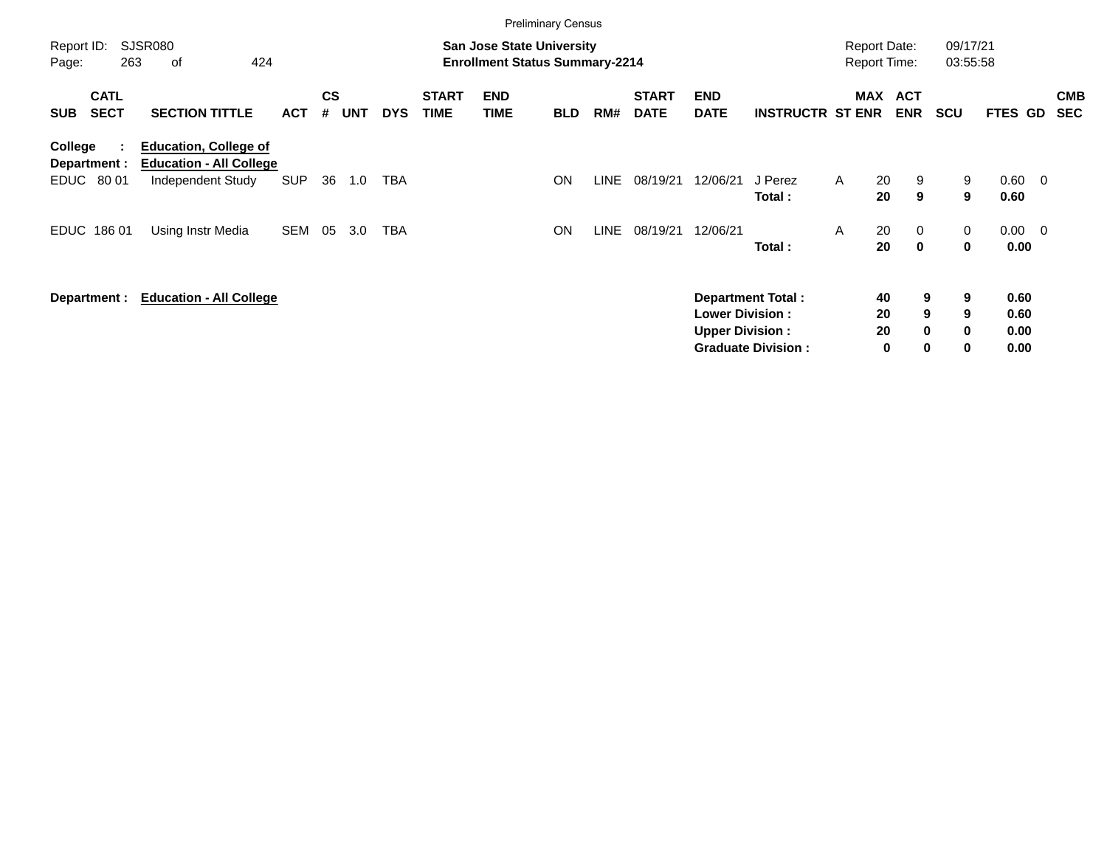|                                            |                                                                                     |            |                    |            |            |                             | <b>Preliminary Census</b>                                                 |            |             |                             |                                                  |                                                       |                                            |                                     |                      |                              |                          |                          |
|--------------------------------------------|-------------------------------------------------------------------------------------|------------|--------------------|------------|------------|-----------------------------|---------------------------------------------------------------------------|------------|-------------|-----------------------------|--------------------------------------------------|-------------------------------------------------------|--------------------------------------------|-------------------------------------|----------------------|------------------------------|--------------------------|--------------------------|
| Report ID:<br>263<br>Page:                 | <b>SJSR080</b><br>424<br>οf                                                         |            |                    |            |            |                             | <b>San Jose State University</b><br><b>Enrollment Status Summary-2214</b> |            |             |                             |                                                  |                                                       | <b>Report Date:</b><br><b>Report Time:</b> |                                     | 09/17/21<br>03:55:58 |                              |                          |                          |
| <b>CATL</b><br><b>SECT</b><br><b>SUB</b>   | <b>SECTION TITTLE</b>                                                               | <b>ACT</b> | $\mathsf{cs}$<br># | <b>UNT</b> | <b>DYS</b> | <b>START</b><br><b>TIME</b> | <b>END</b><br><b>TIME</b>                                                 | <b>BLD</b> | RM#         | <b>START</b><br><b>DATE</b> | <b>END</b><br><b>DATE</b>                        | <b>INSTRUCTR ST ENR</b>                               | MAX                                        | <b>ACT</b><br><b>ENR</b>            | <b>SCU</b>           | FTES GD                      |                          | <b>CMB</b><br><b>SEC</b> |
| College<br>÷<br>Department :<br>EDUC 80 01 | <b>Education, College of</b><br><b>Education - All College</b><br>Independent Study | <b>SUP</b> | 36                 | 1.0        | TBA        |                             |                                                                           | ON         | <b>LINE</b> | 08/19/21                    | 12/06/21                                         | J Perez<br>Total:                                     | 20<br>$\mathsf{A}$<br>20                   | 9<br>9                              | 9<br>9               | 0.60<br>0.60                 | $\overline{\phantom{0}}$ |                          |
| <b>EDUC</b><br>18601                       | Using Instr Media                                                                   | SEM        | 05                 | 3.0        | <b>TBA</b> |                             |                                                                           | <b>ON</b>  | <b>LINE</b> | 08/19/21                    | 12/06/21                                         | Total:                                                | 20<br>A<br>20                              | $\overline{0}$<br>$\mathbf{0}$      | 0<br>0               | 0.00<br>0.00                 | $\overline{\mathbf{0}}$  |                          |
| Department :                               | <b>Education - All College</b>                                                      |            |                    |            |            |                             |                                                                           |            |             |                             | <b>Lower Division:</b><br><b>Upper Division:</b> | <b>Department Total:</b><br><b>Graduate Division:</b> | 40<br>20<br>20                             | 9<br>9<br>$\bf{0}$<br>0<br>$\bf{0}$ | 9<br>9<br>0<br>0     | 0.60<br>0.60<br>0.00<br>0.00 |                          |                          |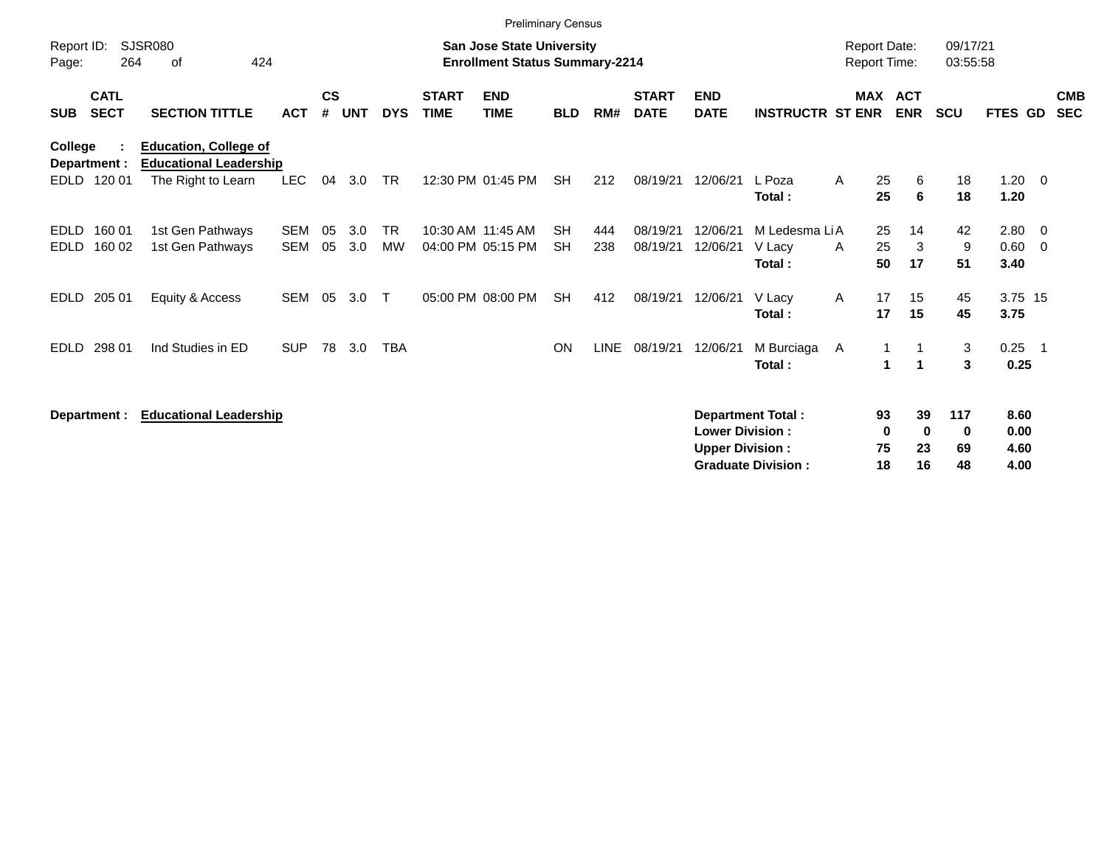|                                          |                                                               |                          |                |            |                        |                             |                                                                           | <b>Preliminary Census</b> |            |                             |                                                  |                                                       |                                     |                                       |                      |                              |                         |                          |
|------------------------------------------|---------------------------------------------------------------|--------------------------|----------------|------------|------------------------|-----------------------------|---------------------------------------------------------------------------|---------------------------|------------|-----------------------------|--------------------------------------------------|-------------------------------------------------------|-------------------------------------|---------------------------------------|----------------------|------------------------------|-------------------------|--------------------------|
| Report ID:<br>Page:                      | <b>SJSR080</b><br>264<br>424<br>οf                            |                          |                |            |                        |                             | <b>San Jose State University</b><br><b>Enrollment Status Summary-2214</b> |                           |            |                             |                                                  |                                                       | <b>Report Date:</b><br>Report Time: |                                       | 09/17/21<br>03:55:58 |                              |                         |                          |
| <b>CATL</b><br><b>SECT</b><br><b>SUB</b> | <b>SECTION TITTLE</b>                                         | <b>ACT</b>               | <b>CS</b><br># | <b>UNT</b> | <b>DYS</b>             | <b>START</b><br><b>TIME</b> | <b>END</b><br><b>TIME</b>                                                 | <b>BLD</b>                | RM#        | <b>START</b><br><b>DATE</b> | <b>END</b><br><b>DATE</b>                        | <b>INSTRUCTR ST ENR</b>                               |                                     | MAX ACT<br><b>ENR</b>                 | <b>SCU</b>           | <b>FTES GD</b>               |                         | <b>CMB</b><br><b>SEC</b> |
| College<br>Department :                  | <b>Education, College of</b><br><b>Educational Leadership</b> |                          |                |            |                        |                             |                                                                           |                           |            |                             |                                                  |                                                       |                                     |                                       |                      |                              |                         |                          |
| 120 01<br>EDLD                           | The Right to Learn                                            | <b>LEC</b>               | 04             | 3.0        | TR                     |                             | 12:30 PM 01:45 PM                                                         | <b>SH</b>                 | 212        | 08/19/21                    | 12/06/21                                         | L Poza<br>Total:                                      | A<br>25<br>25                       | 6<br>6                                | 18<br>18             | $1.20 \t 0$<br>1.20          |                         |                          |
| EDLD<br>160 01<br><b>EDLD</b><br>160 02  | 1st Gen Pathways<br>1st Gen Pathways                          | <b>SEM</b><br><b>SEM</b> | 05<br>05       | 3.0<br>3.0 | <b>TR</b><br><b>MW</b> |                             | 10:30 AM 11:45 AM<br>04:00 PM 05:15 PM                                    | <b>SH</b><br><b>SH</b>    | 444<br>238 | 08/19/21<br>08/19/21        | 12/06/21<br>12/06/21                             | M Ledesma LiA<br>V Lacy<br>Total:                     | 25<br>25<br>A<br>50                 | 14<br>3<br>17                         | 42<br>9<br>51        | $2.80 \t 0$<br>0.60<br>3.40  | $\overline{\mathbf{0}}$ |                          |
| 205 01<br><b>EDLD</b>                    | Equity & Access                                               | SEM                      | 05             | 3.0        | $\top$                 |                             | 05:00 PM 08:00 PM                                                         | <b>SH</b>                 | 412        | 08/19/21                    | 12/06/21                                         | V Lacy<br>Total:                                      | $\mathsf{A}$<br>17                  | 17<br>15<br>15                        | 45<br>45             | 3.75 15<br>3.75              |                         |                          |
| <b>EDLD</b><br>298 01                    | Ind Studies in ED                                             | <b>SUP</b>               | 78             | 3.0        | <b>TBA</b>             |                             |                                                                           | ON                        | LINE       | 08/19/21                    | 12/06/21                                         | M Burciaga<br>Total:                                  | A                                   | 1<br>$\blacktriangleleft$             | 3<br>3               | 0.25<br>0.25                 | - 1                     |                          |
| Department :                             | <b>Educational Leadership</b>                                 |                          |                |            |                        |                             |                                                                           |                           |            |                             | <b>Lower Division:</b><br><b>Upper Division:</b> | <b>Department Total:</b><br><b>Graduate Division:</b> | 75<br>18                            | 39<br>93<br>0<br>$\bf{0}$<br>23<br>16 | 117<br>0<br>69<br>48 | 8.60<br>0.00<br>4.60<br>4.00 |                         |                          |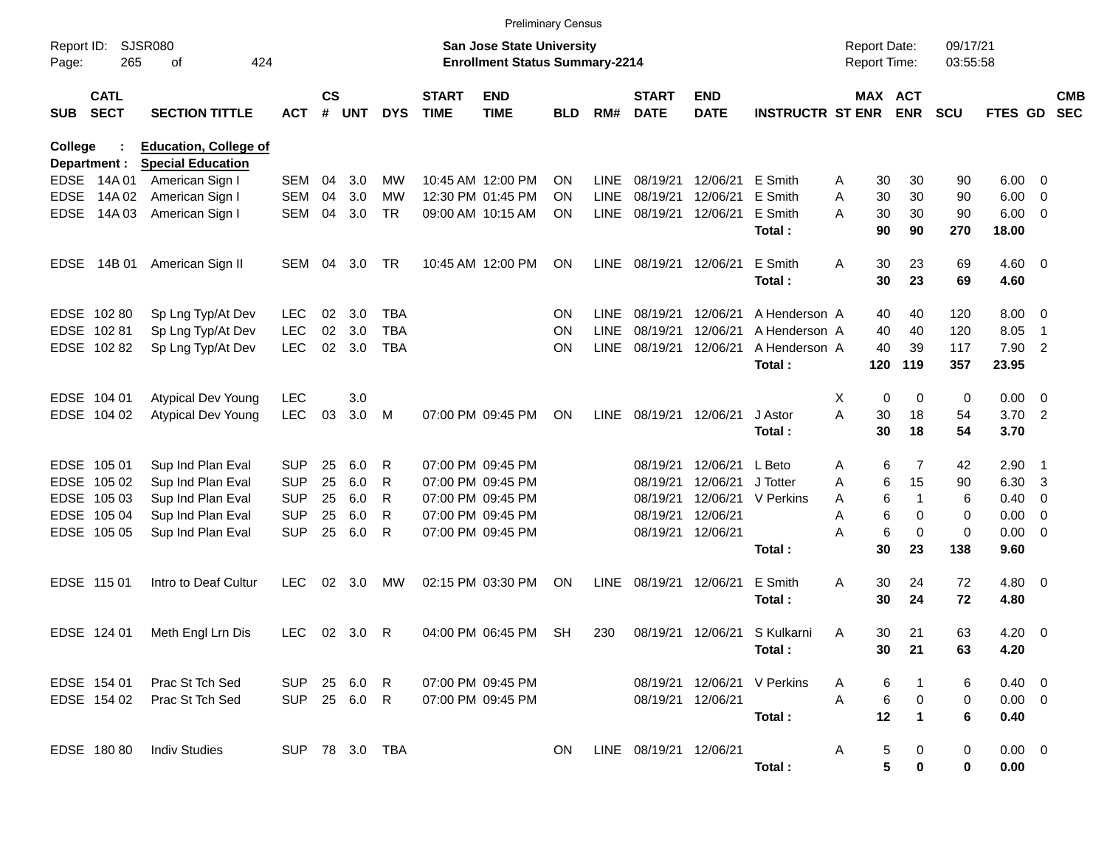|                     |                            |                                                          |              |               |                |            |                             | <b>Preliminary Census</b>                                                 |            |             |                             |                           |                             |                                            |                       |                      |             |                          |                          |
|---------------------|----------------------------|----------------------------------------------------------|--------------|---------------|----------------|------------|-----------------------------|---------------------------------------------------------------------------|------------|-------------|-----------------------------|---------------------------|-----------------------------|--------------------------------------------|-----------------------|----------------------|-------------|--------------------------|--------------------------|
| Report ID:<br>Page: | 265                        | SJSR080<br>424<br>οf                                     |              |               |                |            |                             | <b>San Jose State University</b><br><b>Enrollment Status Summary-2214</b> |            |             |                             |                           |                             | <b>Report Date:</b><br><b>Report Time:</b> |                       | 09/17/21<br>03:55:58 |             |                          |                          |
| <b>SUB</b>          | <b>CATL</b><br><b>SECT</b> | <b>SECTION TITTLE</b>                                    | <b>ACT</b>   | $\mathsf{cs}$ | # UNT          | <b>DYS</b> | <b>START</b><br><b>TIME</b> | <b>END</b><br><b>TIME</b>                                                 | <b>BLD</b> | RM#         | <b>START</b><br><b>DATE</b> | <b>END</b><br><b>DATE</b> | <b>INSTRUCTR ST ENR</b>     |                                            | MAX ACT<br><b>ENR</b> | <b>SCU</b>           | FTES GD     |                          | <b>CMB</b><br><b>SEC</b> |
| <b>College</b>      | Department :               | <b>Education, College of</b><br><b>Special Education</b> |              |               |                |            |                             |                                                                           |            |             |                             |                           |                             |                                            |                       |                      |             |                          |                          |
| <b>EDSE</b>         | 14A 01                     | American Sign I                                          | SEM          | 04            | 3.0            | МW         |                             | 10:45 AM 12:00 PM                                                         | <b>ON</b>  | LINE        | 08/19/21                    | 12/06/21                  | E Smith                     | 30<br>A                                    | 30                    | 90                   | 6.00        | $\mathbf{0}$             |                          |
| <b>EDSE</b>         | 14A 02                     | American Sign I                                          | <b>SEM</b>   | 04            | 3.0            | <b>MW</b>  |                             | 12:30 PM 01:45 PM                                                         | ON         | <b>LINE</b> | 08/19/21                    | 12/06/21                  | E Smith                     | 30<br>Α                                    | 30                    | 90                   | 6.00        | 0                        |                          |
| <b>EDSE</b>         | 14A 03                     | American Sign I                                          | <b>SEM</b>   | 04            | 3.0            | TR         |                             | 09:00 AM 10:15 AM                                                         | ON         | <b>LINE</b> | 08/19/21                    | 12/06/21                  | E Smith                     | 30<br>Α                                    | 30                    | 90                   | 6.00        | 0                        |                          |
|                     |                            |                                                          |              |               |                |            |                             |                                                                           |            |             |                             |                           | Total:                      | 90                                         | 90                    | 270                  | 18.00       |                          |                          |
| <b>EDSE</b>         | 14B 01                     | American Sign II                                         | SEM          | 04            | 3.0            | TR         |                             | 10:45 AM 12:00 PM                                                         | <b>ON</b>  | <b>LINE</b> | 08/19/21                    | 12/06/21                  | E Smith                     | Α<br>30                                    | 23                    | 69                   | $4.60 \ 0$  |                          |                          |
|                     |                            |                                                          |              |               |                |            |                             |                                                                           |            |             |                             |                           | Total:                      | 30                                         | 23                    | 69                   | 4.60        |                          |                          |
|                     | EDSE 102 80                | Sp Lng Typ/At Dev                                        | <b>LEC</b>   | 02            | 3.0            | <b>TBA</b> |                             |                                                                           | <b>ON</b>  | LINE        | 08/19/21                    | 12/06/21                  | A Henderson A               | 40                                         | 40                    | 120                  | 8.00        | $\overline{0}$           |                          |
|                     | EDSE 102 81                | Sp Lng Typ/At Dev                                        | <b>LEC</b>   | 02            | 3.0            | <b>TBA</b> |                             |                                                                           | <b>ON</b>  | LINE        | 08/19/21                    | 12/06/21                  | A Henderson A               | 40                                         | 40                    | 120                  | 8.05        | -1                       |                          |
|                     | EDSE 102 82                | Sp Lng Typ/At Dev                                        | <b>LEC</b>   | 02            | 3.0            | <b>TBA</b> |                             |                                                                           | <b>ON</b>  | <b>LINE</b> | 08/19/21                    | 12/06/21                  | A Henderson A               | 40                                         | 39                    | 117                  | 7.90        | $\overline{2}$           |                          |
|                     |                            |                                                          |              |               |                |            |                             |                                                                           |            |             |                             |                           | Total:                      | 120                                        | 119                   | 357                  | 23.95       |                          |                          |
|                     | EDSE 104 01                | <b>Atypical Dev Young</b>                                | <b>LEC</b>   |               | 3.0            |            |                             |                                                                           |            |             |                             |                           |                             | Χ                                          | 0<br>0                | 0                    | 0.00        | $\overline{0}$           |                          |
|                     | EDSE 104 02                | <b>Atypical Dev Young</b>                                | <b>LEC</b>   | 03            | 3.0            | M          |                             | 07:00 PM 09:45 PM                                                         | <b>ON</b>  | <b>LINE</b> | 08/19/21                    | 12/06/21                  | J Astor                     | A<br>30                                    | 18                    | 54                   | 3.70        | $\overline{\phantom{0}}$ |                          |
|                     |                            |                                                          |              |               |                |            |                             |                                                                           |            |             |                             |                           | Total:                      | 30                                         | 18                    | 54                   | 3.70        |                          |                          |
|                     | EDSE 105 01                | Sup Ind Plan Eval                                        | <b>SUP</b>   | 25            | 6.0            | R          |                             | 07:00 PM 09:45 PM                                                         |            |             | 08/19/21                    | 12/06/21                  | L Beto                      | Α                                          | 7<br>6                | 42                   | 2.90        | $\overline{1}$           |                          |
| <b>EDSE</b>         | 105 02                     | Sup Ind Plan Eval                                        | <b>SUP</b>   | 25            | 6.0            | R          |                             | 07:00 PM 09:45 PM                                                         |            |             | 08/19/21                    | 12/06/21                  | J Totter                    | Α                                          | 15<br>6               | 90                   | 6.30        | 3                        |                          |
|                     | EDSE 105 03                | Sup Ind Plan Eval                                        | <b>SUP</b>   | 25            | 6.0            | R          |                             | 07:00 PM 09:45 PM                                                         |            |             | 08/19/21                    | 12/06/21                  | V Perkins                   | Α                                          | 6<br>1                | 6                    | 0.40        | 0                        |                          |
|                     | EDSE 105 04                | Sup Ind Plan Eval                                        | <b>SUP</b>   | 25            | 6.0            | R          |                             | 07:00 PM 09:45 PM                                                         |            |             | 08/19/21                    | 12/06/21                  |                             | Α                                          | 6<br>0                | 0                    | 0.00        | 0                        |                          |
|                     | EDSE 105 05                | Sup Ind Plan Eval                                        | <b>SUP</b>   | 25            | 6.0            | R          |                             | 07:00 PM 09:45 PM                                                         |            |             | 08/19/21                    | 12/06/21                  |                             | А                                          | 6<br>0                | $\mathbf 0$          | 0.00        | 0                        |                          |
|                     |                            |                                                          |              |               |                |            |                             |                                                                           |            |             |                             |                           | Total:                      | 30                                         | 23                    | 138                  | 9.60        |                          |                          |
|                     | EDSE 115 01                | Intro to Deaf Cultur                                     | <b>LEC</b>   | 02            | 3.0            | МW         |                             | 02:15 PM 03:30 PM                                                         | <b>ON</b>  | <b>LINE</b> | 08/19/21                    | 12/06/21                  | E Smith                     | Α<br>30                                    | 24                    | 72                   | $4.80\ 0$   |                          |                          |
|                     |                            |                                                          |              |               |                |            |                             |                                                                           |            |             |                             |                           | Total:                      | 30                                         | 24                    | 72                   | 4.80        |                          |                          |
|                     | EDSE 124 01                | Meth Engl Lrn Dis                                        | <b>LEC</b>   |               | 02 3.0         | R          |                             | 04:00 PM 06:45 PM                                                         | <b>SH</b>  | 230         | 08/19/21                    | 12/06/21                  | S Kulkarni                  | 30<br>A                                    | 21                    | 63                   | 4.20        | $\overline{\mathbf{0}}$  |                          |
|                     |                            |                                                          |              |               |                |            |                             |                                                                           |            |             |                             |                           | Total:                      |                                            | 30 21                 | 63                   | 4.20        |                          |                          |
|                     | EDSE 154 01                | Prac St Tch Sed                                          | SUP 25 6.0 R |               |                |            |                             | 07:00 PM 09:45 PM                                                         |            |             |                             |                           | 08/19/21 12/06/21 V Perkins | A                                          | 6                     | 6                    | $0.40 \ 0$  |                          |                          |
|                     | EDSE 154 02                | Prac St Tch Sed                                          |              |               | SUP 25 6.0 R   |            |                             | 07:00 PM 09:45 PM                                                         |            |             | 08/19/21 12/06/21           |                           |                             | A                                          | 6<br>0                | 0                    | $0.00 \t 0$ |                          |                          |
|                     |                            |                                                          |              |               |                |            |                             |                                                                           |            |             |                             |                           | Total:                      | 12                                         | $\mathbf{1}$          | 6                    | 0.40        |                          |                          |
|                     | EDSE 180 80                | <b>Indiv Studies</b>                                     |              |               | SUP 78 3.0 TBA |            |                             |                                                                           | ON.        |             | LINE 08/19/21 12/06/21      |                           |                             | A                                          | 5<br>0                | 0                    | $0.00 \t 0$ |                          |                          |
|                     |                            |                                                          |              |               |                |            |                             |                                                                           |            |             |                             |                           | Total:                      |                                            | 5<br>0                | 0                    | 0.00        |                          |                          |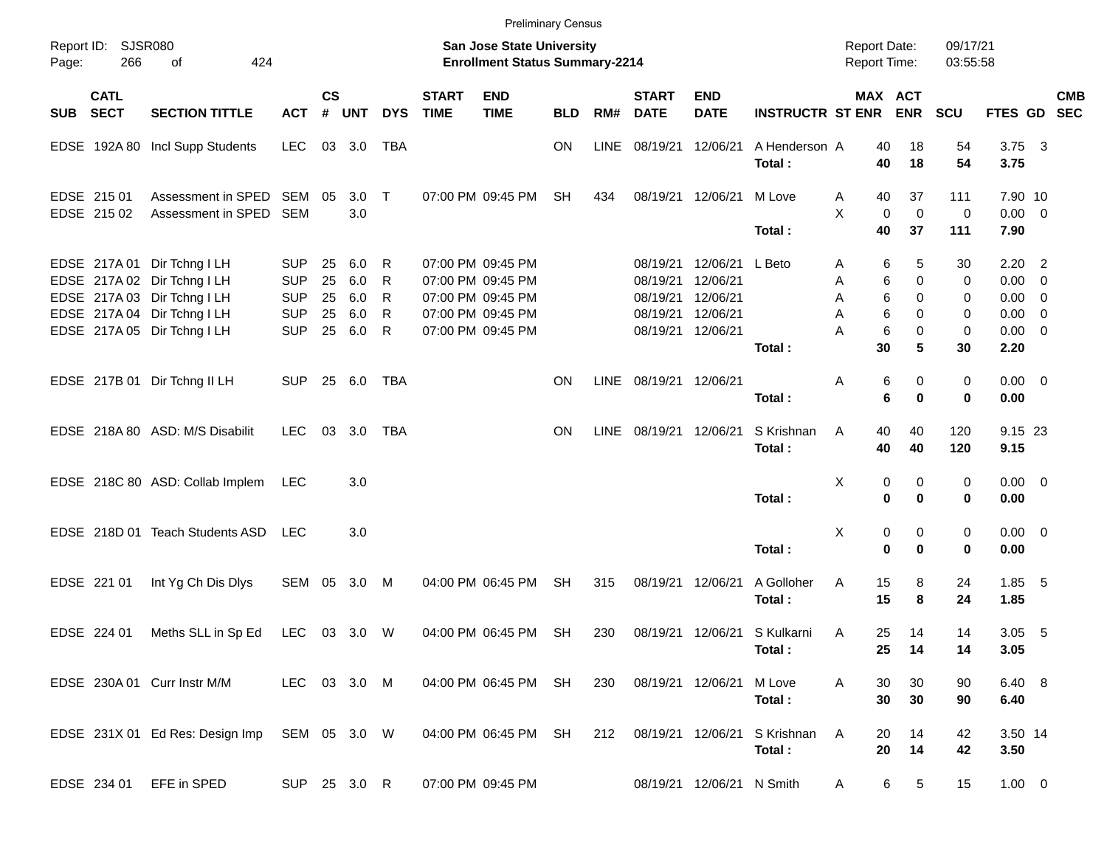|          |                            |                                                                                                                                                         |                                                                    |                            |                                 |                                  |                             | <b>Preliminary Census</b>                                                                             |            |      |                                                          |                                                          |                         |                                            |                             |                            |                              |                                                                              |            |
|----------|----------------------------|---------------------------------------------------------------------------------------------------------------------------------------------------------|--------------------------------------------------------------------|----------------------------|---------------------------------|----------------------------------|-----------------------------|-------------------------------------------------------------------------------------------------------|------------|------|----------------------------------------------------------|----------------------------------------------------------|-------------------------|--------------------------------------------|-----------------------------|----------------------------|------------------------------|------------------------------------------------------------------------------|------------|
| Page:    | Report ID: SJSR080<br>266  | 424<br>of                                                                                                                                               |                                                                    |                            |                                 |                                  |                             | <b>San Jose State University</b><br><b>Enrollment Status Summary-2214</b>                             |            |      |                                                          |                                                          |                         | <b>Report Date:</b><br><b>Report Time:</b> |                             |                            | 09/17/21<br>03:55:58         |                                                                              |            |
| SUB SECT | <b>CATL</b>                | <b>SECTION TITTLE</b>                                                                                                                                   | <b>ACT</b>                                                         | <b>CS</b><br>#             | <b>UNT</b>                      | <b>DYS</b>                       | <b>START</b><br><b>TIME</b> | <b>END</b><br><b>TIME</b>                                                                             | <b>BLD</b> | RM#  | <b>START</b><br><b>DATE</b>                              | <b>END</b><br><b>DATE</b>                                | <b>INSTRUCTR ST ENR</b> |                                            | MAX ACT                     | <b>ENR</b>                 | <b>SCU</b>                   | FTES GD SEC                                                                  | <b>CMB</b> |
|          |                            | EDSE 192A 80 Incl Supp Students                                                                                                                         | LEC                                                                | 03                         | 3.0                             | TBA                              |                             |                                                                                                       | ON         | LINE | 08/19/21                                                 | 12/06/21                                                 | A Henderson A<br>Total: |                                            | 40<br>40                    | 18<br>18                   | 54<br>54                     | $3.75 \quad 3$<br>3.75                                                       |            |
|          | EDSE 215 01<br>EDSE 215 02 | Assessment in SPED<br>Assessment in SPED                                                                                                                | SEM 05<br><b>SEM</b>                                               |                            | $3.0$ T<br>3.0                  |                                  |                             | 07:00 PM 09:45 PM                                                                                     | <b>SH</b>  | 434  | 08/19/21                                                 | 12/06/21                                                 | M Love<br>Total:        | Α<br>X                                     | 40<br>$\mathbf 0$<br>40     | 37<br>$\mathbf 0$<br>37    | 111<br>$\mathbf 0$<br>111    | 7.90 10<br>$0.00 \ 0$<br>7.90                                                |            |
|          |                            | EDSE 217A 01 Dir Tchng I LH<br>EDSE 217A 02 Dir Tchng I LH<br>EDSE 217A 03 Dir Tchng I LH<br>EDSE 217A 04 Dir Tchng I LH<br>EDSE 217A 05 Dir Tchng I LH | <b>SUP</b><br><b>SUP</b><br><b>SUP</b><br><b>SUP</b><br><b>SUP</b> | 25<br>25<br>25<br>25<br>25 | 6.0<br>6.0<br>6.0<br>6.0<br>6.0 | R<br>R<br>R<br>R<br>$\mathsf{R}$ |                             | 07:00 PM 09:45 PM<br>07:00 PM 09:45 PM<br>07:00 PM 09:45 PM<br>07:00 PM 09:45 PM<br>07:00 PM 09:45 PM |            |      | 08/19/21<br>08/19/21<br>08/19/21<br>08/19/21<br>08/19/21 | 12/06/21<br>12/06/21<br>12/06/21<br>12/06/21<br>12/06/21 | L Beto<br>Total:        | A<br>Α<br>Α<br>A<br>Α                      | 6<br>6<br>6<br>6<br>6<br>30 | 5<br>0<br>0<br>0<br>0<br>5 | 30<br>0<br>0<br>0<br>0<br>30 | $2.20$ 2<br>$0.00 \t 0$<br>$0.00 \t 0$<br>$0.00 \t 0$<br>$0.00 \t 0$<br>2.20 |            |
|          |                            | EDSE 217B 01 Dir Tchng II LH                                                                                                                            | <b>SUP</b>                                                         |                            | 25 6.0                          | <b>TBA</b>                       |                             |                                                                                                       | <b>ON</b>  | LINE | 08/19/21 12/06/21                                        |                                                          | Total:                  | Α                                          | 6<br>6                      | 0<br>0                     | 0<br>$\mathbf 0$             | $0.00 \ 0$<br>0.00                                                           |            |
|          |                            | EDSE 218A 80 ASD: M/S Disabilit                                                                                                                         | <b>LEC</b>                                                         | 03                         | 3.0                             | <b>TBA</b>                       |                             |                                                                                                       | <b>ON</b>  | LINE | 08/19/21 12/06/21                                        |                                                          | S Krishnan<br>Total:    | A                                          | 40<br>40                    | 40<br>40                   | 120<br>120                   | 9.15 23<br>9.15                                                              |            |
|          |                            | EDSE 218C 80 ASD: Collab Implem                                                                                                                         | <b>LEC</b>                                                         |                            | 3.0                             |                                  |                             |                                                                                                       |            |      |                                                          |                                                          | Total:                  | X                                          | 0<br>$\bf{0}$               | 0<br>0                     | 0<br>0                       | $0.00 \t 0$<br>0.00                                                          |            |
|          |                            | EDSE 218D 01 Teach Students ASD                                                                                                                         | LEC.                                                               |                            | 3.0                             |                                  |                             |                                                                                                       |            |      |                                                          |                                                          | Total:                  | X                                          | 0<br>$\mathbf 0$            | 0<br>0                     | 0<br>0                       | $0.00 \t 0$<br>0.00                                                          |            |
|          | EDSE 221 01                | Int Yg Ch Dis Dlys                                                                                                                                      | SEM 05                                                             |                            | 3.0                             | M                                |                             | 04:00 PM 06:45 PM                                                                                     | <b>SH</b>  | 315  |                                                          | 08/19/21 12/06/21                                        | A Golloher<br>Total:    | A                                          | 15<br>15                    | 8<br>8                     | 24<br>24                     | $1.85$ 5<br>1.85                                                             |            |
|          | EDSE 224 01                | Meths SLL in Sp Ed                                                                                                                                      | LEC                                                                |                            | 03 3.0 W                        |                                  |                             | 04:00 PM 06:45 PM                                                                                     | <b>SH</b>  | 230  |                                                          | 08/19/21 12/06/21                                        | S Kulkarni<br>Total:    | A                                          | 25<br>25                    | 14<br>14                   | 14<br>14                     | $3.05$ 5<br>3.05                                                             |            |
|          |                            | EDSE 230A 01 Curr Instr M/M                                                                                                                             | LEC 03 3.0 M                                                       |                            |                                 |                                  |                             | 04:00 PM 06:45 PM SH                                                                                  |            | 230  |                                                          | 08/19/21 12/06/21                                        | M Love<br>Total:        | A                                          | 30<br>30                    | 30<br>30                   | 90<br>90                     | 6.40 8<br>6.40                                                               |            |
|          |                            | EDSE 231X 01 Ed Res: Design Imp                                                                                                                         | SEM 05 3.0 W                                                       |                            |                                 |                                  |                             | 04:00 PM 06:45 PM SH                                                                                  |            | 212  |                                                          | 08/19/21 12/06/21                                        | S Krishnan<br>Total:    | A                                          | 20<br>20                    | 14<br>14                   | 42<br>42                     | 3.50 14<br>3.50                                                              |            |
|          | EDSE 234 01                | EFE in SPED                                                                                                                                             | SUP 25 3.0 R                                                       |                            |                                 |                                  |                             | 07:00 PM 09:45 PM                                                                                     |            |      |                                                          | 08/19/21 12/06/21 N Smith                                |                         | A                                          | 6                           | 5                          | 15                           | $1.00 \t 0$                                                                  |            |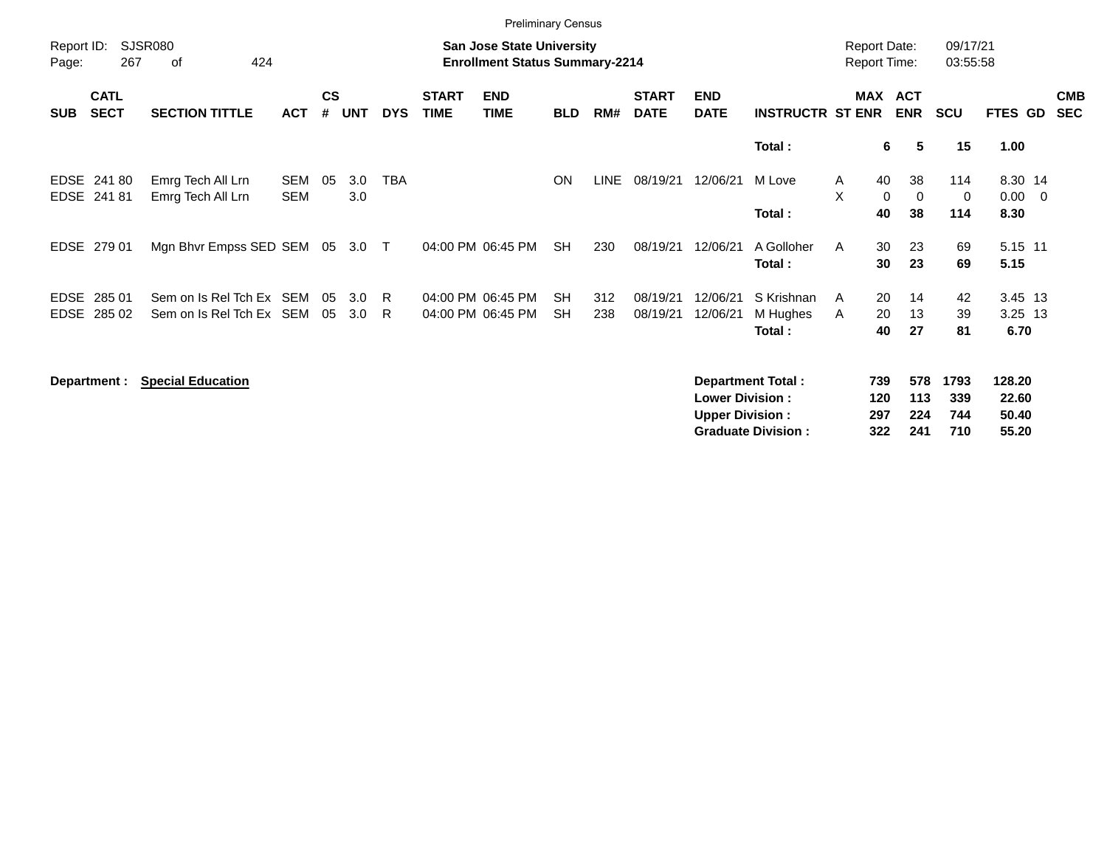|                            |                            |                                                  |                          |                    |            |            |                             | <b>Preliminary Census</b>                                                 |                        |             |                             |                                                  |                                                       |                          |                                            |                           |                                   |                          |
|----------------------------|----------------------------|--------------------------------------------------|--------------------------|--------------------|------------|------------|-----------------------------|---------------------------------------------------------------------------|------------------------|-------------|-----------------------------|--------------------------------------------------|-------------------------------------------------------|--------------------------|--------------------------------------------|---------------------------|-----------------------------------|--------------------------|
| Report ID:<br>Page:        | 267                        | <b>SJSR080</b><br>424<br>of                      |                          |                    |            |            |                             | <b>San Jose State University</b><br><b>Enrollment Status Summary-2214</b> |                        |             |                             |                                                  |                                                       |                          | <b>Report Date:</b><br><b>Report Time:</b> | 09/17/21<br>03:55:58      |                                   |                          |
| <b>SUB</b>                 | <b>CATL</b><br><b>SECT</b> | <b>SECTION TITTLE</b>                            | <b>ACT</b>               | $\mathsf{cs}$<br># | <b>UNT</b> | <b>DYS</b> | <b>START</b><br><b>TIME</b> | <b>END</b><br><b>TIME</b>                                                 | <b>BLD</b>             | RM#         | <b>START</b><br><b>DATE</b> | <b>END</b><br><b>DATE</b>                        | <b>INSTRUCTR ST ENR</b>                               |                          | MAX ACT<br><b>ENR</b>                      | <b>SCU</b>                | FTES GD                           | <b>CMB</b><br><b>SEC</b> |
|                            |                            |                                                  |                          |                    |            |            |                             |                                                                           |                        |             |                             |                                                  | Total:                                                |                          | 6<br>5                                     | 15                        | 1.00                              |                          |
| EDSE                       | EDSE 241 80<br>24181       | Emrg Tech All Lrn<br>Emrg Tech All Lrn           | <b>SEM</b><br><b>SEM</b> | 05                 | 3.0<br>3.0 | <b>TBA</b> |                             |                                                                           | ON                     | <b>LINE</b> | 08/19/21                    | 12/06/21                                         | M Love<br>Total:                                      | Α<br>X                   | 40<br>38<br>$\mathbf 0$<br>0<br>40<br>38   | 114<br>0<br>114           | 8.30 14<br>$0.00 \t 0$<br>8.30    |                          |
| EDSE                       | 279 01                     | Mgn Bhvr Empss SED SEM                           |                          | 05                 | 3.0        | $\top$     |                             | 04:00 PM 06:45 PM                                                         | <b>SH</b>              | 230         | 08/19/21                    | 12/06/21                                         | A Golloher<br>Total:                                  | A                        | 30<br>23<br>23<br>30                       | 69<br>69                  | 5.15 11<br>5.15                   |                          |
| <b>EDSE</b><br><b>EDSE</b> | 285 01<br>285 02           | Sem on Is Rel Tch Ex SEM<br>Sem on Is Rel Tch Ex | SEM                      | 05<br>05           | 3.0<br>3.0 | -R<br>R    |                             | 04:00 PM 06:45 PM<br>04:00 PM 06:45 PM                                    | <b>SH</b><br><b>SH</b> | 312<br>238  | 08/19/21<br>08/19/21        | 12/06/21<br>12/06/21                             | S Krishnan<br>M Hughes<br>Total:                      | A<br>Α                   | 20<br>14<br>20<br>13<br>40<br>27           | 42<br>39<br>81            | 3.45 13<br>3.25 13<br>6.70        |                          |
|                            | Department :               | <b>Special Education</b>                         |                          |                    |            |            |                             |                                                                           |                        |             |                             | <b>Lower Division:</b><br><b>Upper Division:</b> | <b>Department Total:</b><br><b>Graduate Division:</b> | 739<br>120<br>297<br>322 | 578<br>113<br>224<br>241                   | 1793<br>339<br>744<br>710 | 128.20<br>22.60<br>50.40<br>55.20 |                          |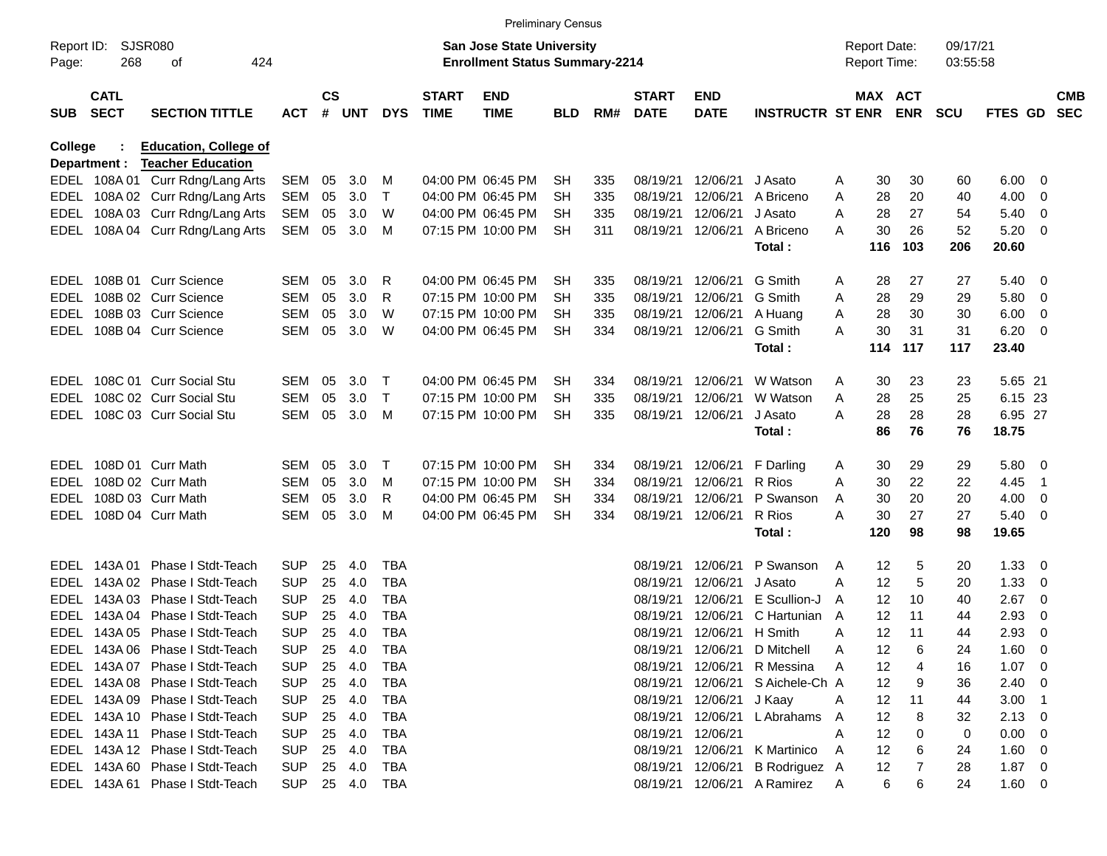|                     |                            |                                  |            |           |        |              |                             | <b>Preliminary Census</b>                                                 |            |     |                             |                           |                         |   |                                            |            |                      |             |                |                          |
|---------------------|----------------------------|----------------------------------|------------|-----------|--------|--------------|-----------------------------|---------------------------------------------------------------------------|------------|-----|-----------------------------|---------------------------|-------------------------|---|--------------------------------------------|------------|----------------------|-------------|----------------|--------------------------|
| Report ID:<br>Page: | 268                        | <b>SJSR080</b><br>424<br>of      |            |           |        |              |                             | <b>San Jose State University</b><br><b>Enrollment Status Summary-2214</b> |            |     |                             |                           |                         |   | <b>Report Date:</b><br><b>Report Time:</b> |            | 09/17/21<br>03:55:58 |             |                |                          |
| <b>SUB</b>          | <b>CATL</b><br><b>SECT</b> | <b>SECTION TITTLE</b>            | <b>ACT</b> | <b>CS</b> | # UNT  | <b>DYS</b>   | <b>START</b><br><b>TIME</b> | <b>END</b><br><b>TIME</b>                                                 | <b>BLD</b> | RM# | <b>START</b><br><b>DATE</b> | <b>END</b><br><b>DATE</b> | <b>INSTRUCTR ST ENR</b> |   | <b>MAX ACT</b>                             | <b>ENR</b> | <b>SCU</b>           | FTES GD     |                | <b>CMB</b><br><b>SEC</b> |
| College             |                            | <b>Education, College of</b>     |            |           |        |              |                             |                                                                           |            |     |                             |                           |                         |   |                                            |            |                      |             |                |                          |
|                     | Department :               | <b>Teacher Education</b>         |            |           |        |              |                             |                                                                           |            |     |                             |                           |                         |   |                                            |            |                      |             |                |                          |
|                     |                            | EDEL 108A 01 Curr Rdng/Lang Arts | SEM        | 05        | 3.0    | м            |                             | 04:00 PM 06:45 PM                                                         | <b>SH</b>  | 335 | 08/19/21                    | 12/06/21                  | J Asato                 | Α | 30                                         | 30         | 60                   | 6.00        | 0              |                          |
| EDEL                |                            | 108A 02 Curr Rdng/Lang Arts      | <b>SEM</b> | 05        | 3.0    | $\mathsf T$  |                             | 04:00 PM 06:45 PM                                                         | <b>SH</b>  | 335 | 08/19/21                    | 12/06/21                  | A Briceno               | Α | 28                                         | 20         | 40                   | 4.00        | 0              |                          |
| EDEL                |                            | 108A 03 Curr Rdng/Lang Arts      | <b>SEM</b> | 05        | 3.0    | W            |                             | 04:00 PM 06:45 PM                                                         | <b>SH</b>  | 335 | 08/19/21                    | 12/06/21                  | J Asato                 | A | 28                                         | 27         | 54                   | 5.40        | 0              |                          |
| EDEL                |                            | 108A 04 Curr Rdng/Lang Arts      | <b>SEM</b> | 05        | 3.0    | M            |                             | 07:15 PM 10:00 PM                                                         | <b>SH</b>  | 311 | 08/19/21                    | 12/06/21                  | A Briceno               | A | 30                                         | 26         | 52                   | 5.20        | 0              |                          |
|                     |                            |                                  |            |           |        |              |                             |                                                                           |            |     |                             |                           | Total:                  |   | 116                                        | 103        | 206                  | 20.60       |                |                          |
|                     |                            | EDEL 108B 01 Curr Science        | SEM        | 05        | 3.0    | R            |                             | 04:00 PM 06:45 PM                                                         | <b>SH</b>  | 335 | 08/19/21                    | 12/06/21                  | G Smith                 | A | 28                                         | 27         | 27                   | 5.40        | - 0            |                          |
| EDEL                |                            | 108B 02 Curr Science             | SEM        | 05        | 3.0    | R            |                             | 07:15 PM 10:00 PM                                                         | <b>SH</b>  | 335 | 08/19/21                    | 12/06/21                  | G Smith                 | Α | 28                                         | 29         | 29                   | 5.80        | 0              |                          |
| EDEL                |                            | 108B 03 Curr Science             | SEM        | 05        | 3.0    | W            |                             | 07:15 PM 10:00 PM                                                         | <b>SH</b>  | 335 | 08/19/21                    | 12/06/21                  | A Huang                 | Α | 28                                         | 30         | 30                   | 6.00        | 0              |                          |
|                     |                            | EDEL 108B 04 Curr Science        | SEM        | 05        | 3.0    | W            |                             | 04:00 PM 06:45 PM                                                         | <b>SH</b>  | 334 | 08/19/21                    | 12/06/21                  | G Smith                 | A | 30                                         | 31         | 31                   | 6.20        | 0              |                          |
|                     |                            |                                  |            |           |        |              |                             |                                                                           |            |     |                             |                           | Total:                  |   | 114                                        | 117        | 117                  | 23.40       |                |                          |
|                     |                            | EDEL 108C 01 Curr Social Stu     | SEM        | 05        | 3.0    | Т            |                             | 04:00 PM 06:45 PM                                                         | <b>SH</b>  | 334 | 08/19/21                    | 12/06/21                  | W Watson                | Α | 30                                         | 23         | 23                   | 5.65 21     |                |                          |
| EDEL                |                            | 108C 02 Curr Social Stu          | SEM        | 05        | 3.0    | $\mathsf{T}$ |                             | 07:15 PM 10:00 PM                                                         | <b>SH</b>  | 335 | 08/19/21                    | 12/06/21                  | W Watson                | Α | 28                                         | 25         | 25                   | 6.15 23     |                |                          |
| EDEL                |                            | 108C 03 Curr Social Stu          | SEM        | 05        | 3.0    | M            |                             | 07:15 PM 10:00 PM                                                         | <b>SH</b>  | 335 | 08/19/21                    | 12/06/21                  | J Asato                 | A | 28                                         | 28         | 28                   | 6.95 27     |                |                          |
|                     |                            |                                  |            |           |        |              |                             |                                                                           |            |     |                             |                           | Total:                  |   | 86                                         | 76         | 76                   | 18.75       |                |                          |
|                     |                            | EDEL 108D 01 Curr Math           | SEM        | 05        | 3.0    | $\mathsf T$  |                             | 07:15 PM 10:00 PM                                                         | <b>SH</b>  | 334 | 08/19/21                    | 12/06/21                  | F Darling               | A | 30                                         | 29         | 29                   | 5.80        | - 0            |                          |
| EDEL                |                            | 108D 02 Curr Math                | SEM        | 05        | 3.0    | м            |                             | 07:15 PM 10:00 PM                                                         | <b>SH</b>  | 334 | 08/19/21                    | 12/06/21                  | R Rios                  | Α | 30                                         | 22         | 22                   | 4.45        | $\overline{1}$ |                          |
| EDEL                |                            | 108D 03 Curr Math                | SEM        | 05        | 3.0    | R            |                             | 04:00 PM 06:45 PM                                                         | <b>SH</b>  | 334 | 08/19/21                    | 12/06/21                  | P Swanson               | A | 30                                         | 20         | 20                   | 4.00        | 0              |                          |
|                     |                            | EDEL 108D 04 Curr Math           | SEM        | 05        | 3.0    | M            |                             | 04:00 PM 06:45 PM                                                         | <b>SH</b>  | 334 | 08/19/21                    | 12/06/21                  | R Rios                  | A | 30                                         | 27         | 27                   | 5.40        | 0              |                          |
|                     |                            |                                  |            |           |        |              |                             |                                                                           |            |     |                             |                           | Total:                  |   | 120                                        | 98         | 98                   | 19.65       |                |                          |
|                     | EDEL 143A 01               | Phase I Stdt-Teach               | SUP        | 25        | 4.0    | TBA          |                             |                                                                           |            |     | 08/19/21                    | 12/06/21                  | P Swanson               | A | 12                                         | 5          | 20                   | 1.33        | - 0            |                          |
| EDEL                | 143A 02                    | Phase I Stdt-Teach               | <b>SUP</b> | 25        | 4.0    | <b>TBA</b>   |                             |                                                                           |            |     | 08/19/21                    | 12/06/21                  | J Asato                 | A | 12                                         | 5          | 20                   | 1.33        | 0              |                          |
| EDEL                | 143A 03                    | Phase I Stdt-Teach               | <b>SUP</b> | 25        | 4.0    | <b>TBA</b>   |                             |                                                                           |            |     | 08/19/21                    | 12/06/21                  | E Scullion-J            | A | 12                                         | 10         | 40                   | 2.67        | 0              |                          |
| EDEL                | 143A 04                    | Phase I Stdt-Teach               | <b>SUP</b> | 25        | 4.0    | <b>TBA</b>   |                             |                                                                           |            |     | 08/19/21                    | 12/06/21                  | C Hartunian             | A | 12                                         | 11         | 44                   | 2.93        | 0              |                          |
|                     |                            | EDEL 143A 05 Phase I Stdt-Teach  | <b>SUP</b> | 25        | 4.0    | <b>TBA</b>   |                             |                                                                           |            |     | 08/19/21                    | 12/06/21                  | H Smith                 | A | 12                                         | 11         | 44                   | 2.93        | 0              |                          |
|                     |                            | EDEL 143A 06 Phase I Stdt-Teach  | <b>SUP</b> | 25        | 4.0    | <b>TBA</b>   |                             |                                                                           |            |     |                             | 08/19/21 12/06/21         | D Mitchell              | Α | 12                                         | 6          | 24                   | 1.60        | - 0            |                          |
|                     |                            | EDEL 143A 07 Phase I Stdt-Teach  | <b>SUP</b> | 25        | 4.0    | <b>TBA</b>   |                             |                                                                           |            |     | 08/19/21                    | 12/06/21                  | R Messina               | Α | 12                                         |            | 16                   | $1.07 \t 0$ |                |                          |
|                     |                            | EDEL 143A 08 Phase I Stdt-Teach  | <b>SUP</b> | 25        | 4.0    | TBA          |                             |                                                                           |            |     | 08/19/21                    | 12/06/21                  | S Aichele-Ch A          |   | 12                                         | 9          | 36                   | $2.40 \ 0$  |                |                          |
|                     |                            | EDEL 143A 09 Phase I Stdt-Teach  | <b>SUP</b> | 25        | 4.0    | TBA          |                             |                                                                           |            |     | 08/19/21                    | 12/06/21                  | J Kaay                  | A | 12                                         | 11         | 44                   | $3.00$ 1    |                |                          |
|                     |                            | EDEL 143A 10 Phase I Stdt-Teach  | <b>SUP</b> | 25        | 4.0    | TBA          |                             |                                                                           |            |     | 08/19/21                    | 12/06/21                  | L Abrahams              | A | 12                                         | 8          | 32                   | 2.13        | - 0            |                          |
|                     |                            | EDEL 143A 11 Phase I Stdt-Teach  | <b>SUP</b> | 25        | 4.0    | TBA          |                             |                                                                           |            |     | 08/19/21                    | 12/06/21                  |                         | Α | 12                                         | 0          | 0                    | 0.00        | - 0            |                          |
|                     |                            | EDEL 143A 12 Phase I Stdt-Teach  | <b>SUP</b> | 25        | 4.0    | TBA          |                             |                                                                           |            |     | 08/19/21                    | 12/06/21                  | K Martinico             | A | 12                                         | 6          | 24                   | 1.60        | - 0            |                          |
|                     |                            | EDEL 143A 60 Phase I Stdt-Teach  | <b>SUP</b> |           | 25 4.0 | TBA          |                             |                                                                           |            |     | 08/19/21                    | 12/06/21                  | B Rodriguez A           |   | 12                                         |            | 28                   | $1.87 \t 0$ |                |                          |
|                     |                            | EDEL 143A 61 Phase I Stdt-Teach  | SUP        |           | 25 4.0 | TBA          |                             |                                                                           |            |     | 08/19/21                    | 12/06/21                  | A Ramirez               | A | 6                                          | 6          | 24                   | $1.60 \t 0$ |                |                          |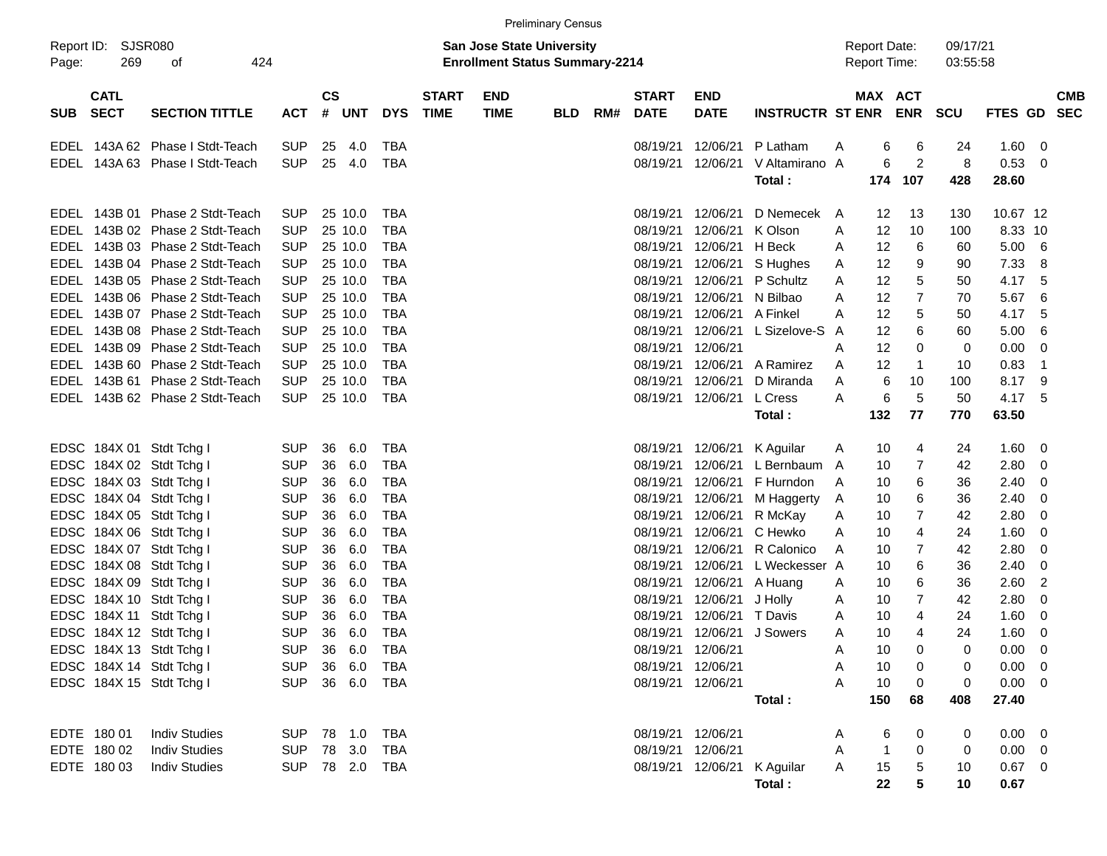|       |                            |                                 |            |               |                |            |                             |                                                                           | <b>Preliminary Census</b> |     |                             |                             |                             |   |                                            |                 |                      |                |                         |                          |
|-------|----------------------------|---------------------------------|------------|---------------|----------------|------------|-----------------------------|---------------------------------------------------------------------------|---------------------------|-----|-----------------------------|-----------------------------|-----------------------------|---|--------------------------------------------|-----------------|----------------------|----------------|-------------------------|--------------------------|
| Page: | Report ID: SJSR080<br>269  | 424<br>οf                       |            |               |                |            |                             | <b>San Jose State University</b><br><b>Enrollment Status Summary-2214</b> |                           |     |                             |                             |                             |   | <b>Report Date:</b><br><b>Report Time:</b> |                 | 09/17/21<br>03:55:58 |                |                         |                          |
| SUB   | <b>CATL</b><br><b>SECT</b> | <b>SECTION TITTLE</b>           | <b>ACT</b> | $\mathsf{cs}$ | # UNT          | <b>DYS</b> | <b>START</b><br><b>TIME</b> | <b>END</b><br><b>TIME</b>                                                 | <b>BLD</b>                | RM# | <b>START</b><br><b>DATE</b> | <b>END</b><br><b>DATE</b>   | <b>INSTRUCTR ST ENR ENR</b> |   | <b>MAX ACT</b>                             |                 | <b>SCU</b>           | FTES GD        |                         | <b>CMB</b><br><b>SEC</b> |
|       |                            | EDEL 143A 62 Phase I Stdt-Teach | <b>SUP</b> | 25            | 4.0            | TBA        |                             |                                                                           |                           |     | 08/19/21                    | 12/06/21                    | P Latham                    | A | 6                                          | 6               | 24                   | 1.60           | $\mathbf 0$             |                          |
|       |                            | EDEL 143A 63 Phase I Stdt-Teach | <b>SUP</b> | 25            | 4.0            | <b>TBA</b> |                             |                                                                           |                           |     | 08/19/21                    | 12/06/21                    | V Altamirano A              |   | 6                                          | $\overline{c}$  | 8                    | 0.53           | 0                       |                          |
|       |                            |                                 |            |               |                |            |                             |                                                                           |                           |     |                             |                             | Total:                      |   | 174                                        | 107             | 428                  | 28.60          |                         |                          |
|       |                            | EDEL 143B 01 Phase 2 Stdt-Teach | <b>SUP</b> |               | 25 10.0        | TBA        |                             |                                                                           |                           |     | 08/19/21                    | 12/06/21                    | D Nemecek                   | A | 12                                         | 13              | 130                  | 10.67 12       |                         |                          |
|       |                            | EDEL 143B 02 Phase 2 Stdt-Teach | <b>SUP</b> |               | 25 10.0        | <b>TBA</b> |                             |                                                                           |                           |     | 08/19/21                    | 12/06/21                    | K Olson                     | A | 12                                         | 10              | 100                  | 8.33 10        |                         |                          |
|       |                            | EDEL 143B 03 Phase 2 Stdt-Teach | <b>SUP</b> |               | 25 10.0        | <b>TBA</b> |                             |                                                                           |                           |     | 08/19/21                    | 12/06/21                    | H Beck                      | Α | 12                                         | 6               | 60                   | 5.00           | 6                       |                          |
|       |                            | EDEL 143B 04 Phase 2 Stdt-Teach | <b>SUP</b> |               | 25 10.0        | <b>TBA</b> |                             |                                                                           |                           |     | 08/19/21                    | 12/06/21                    | S Hughes                    | A | 12                                         | 9               | 90                   | 7.33           | 8                       |                          |
|       |                            | EDEL 143B 05 Phase 2 Stdt-Teach | <b>SUP</b> |               | 25 10.0        | <b>TBA</b> |                             |                                                                           |                           |     | 08/19/21                    | 12/06/21                    | P Schultz                   | A | 12                                         | 5               | 50                   | 4.17           | 5                       |                          |
|       |                            | EDEL 143B 06 Phase 2 Stdt-Teach | <b>SUP</b> |               | 25 10.0        | <b>TBA</b> |                             |                                                                           |                           |     | 08/19/21                    | 12/06/21                    | N Bilbao                    | A | 12                                         | 7               | 70                   | 5.67           | 6                       |                          |
|       |                            | EDEL 143B 07 Phase 2 Stdt-Teach | <b>SUP</b> |               | 25 10.0        | TBA        |                             |                                                                           |                           |     | 08/19/21                    | 12/06/21                    | A Finkel                    | A | 12                                         | 5               | 50                   | 4.17           | 5                       |                          |
|       |                            | EDEL 143B 08 Phase 2 Stdt-Teach | <b>SUP</b> |               | 25 10.0        | <b>TBA</b> |                             |                                                                           |                           |     | 08/19/21                    | 12/06/21                    | L Sizelove-S                | A | 12                                         | 6               | 60                   | 5.00           | 6                       |                          |
|       |                            | EDEL 143B 09 Phase 2 Stdt-Teach | <b>SUP</b> |               | 25 10.0        | <b>TBA</b> |                             |                                                                           |                           |     | 08/19/21                    | 12/06/21                    |                             | A | 12                                         | 0               | 0                    | 0.00           | 0                       |                          |
|       |                            | EDEL 143B 60 Phase 2 Stdt-Teach | <b>SUP</b> |               | 25 10.0        | <b>TBA</b> |                             |                                                                           |                           |     | 08/19/21                    | 12/06/21                    | A Ramirez                   | A | 12                                         | $\mathbf{1}$    | 10                   | 0.83           | $\mathbf{1}$            |                          |
|       |                            | EDEL 143B 61 Phase 2 Stdt-Teach | <b>SUP</b> |               | 25 10.0        | TBA        |                             |                                                                           |                           |     | 08/19/21                    | 12/06/21                    | D Miranda                   | A | 6                                          | 10              | 100                  | 8.17           | 9                       |                          |
|       |                            | EDEL 143B 62 Phase 2 Stdt-Teach | <b>SUP</b> |               | 25 10.0        | TBA        |                             |                                                                           |                           |     |                             | 08/19/21 12/06/21           | L Cress                     | A | 6                                          | 5               | 50                   | 4.17           | 5                       |                          |
|       |                            |                                 |            |               |                |            |                             |                                                                           |                           |     |                             |                             | Total:                      |   | 132                                        | 77              | 770                  | 63.50          |                         |                          |
|       |                            | EDSC 184X 01 Stdt Tchg I        | <b>SUP</b> | 36            | 6.0            | TBA        |                             |                                                                           |                           |     | 08/19/21                    | 12/06/21                    | K Aguilar                   | A | 10                                         | 4               | 24                   | 1.60           | 0                       |                          |
|       |                            | EDSC 184X 02 Stdt Tchg I        | <b>SUP</b> | 36            | 6.0            | <b>TBA</b> |                             |                                                                           |                           |     | 08/19/21                    | 12/06/21                    | L Bernbaum A                |   | 10                                         | 7               | 42                   | 2.80           | 0                       |                          |
|       |                            | EDSC 184X 03 Stdt Tchg I        | <b>SUP</b> | 36            | 6.0            | <b>TBA</b> |                             |                                                                           |                           |     | 08/19/21                    | 12/06/21                    | F Hurndon                   | A | 10                                         | 6               | 36                   | 2.40           | 0                       |                          |
|       |                            | EDSC 184X 04 Stdt Tchg I        | <b>SUP</b> | 36            | 6.0            | <b>TBA</b> |                             |                                                                           |                           |     | 08/19/21                    | 12/06/21                    | M Haggerty                  | A | 10                                         | 6               | 36                   | 2.40           | 0                       |                          |
|       |                            | EDSC 184X 05 Stdt Tchg I        | <b>SUP</b> | 36            | 6.0            | <b>TBA</b> |                             |                                                                           |                           |     | 08/19/21                    | 12/06/21                    | R McKay                     | A | 10                                         | 7               | 42                   | 2.80           | 0                       |                          |
|       |                            | EDSC 184X 06 Stdt Tchg I        | <b>SUP</b> | 36            | 6.0            | <b>TBA</b> |                             |                                                                           |                           |     | 08/19/21                    | 12/06/21                    | C Hewko                     | A | 10                                         | 4               | 24                   | 1.60           | 0                       |                          |
|       |                            | EDSC 184X 07 Stdt Tchg I        | <b>SUP</b> | 36            | 6.0            | <b>TBA</b> |                             |                                                                           |                           |     | 08/19/21                    | 12/06/21                    | R Calonico                  | A | 10                                         | 7               | 42                   | 2.80           | 0                       |                          |
|       |                            | EDSC 184X 08 Stdt Tchg I        | <b>SUP</b> | 36            | 6.0            | <b>TBA</b> |                             |                                                                           |                           |     | 08/19/21                    | 12/06/21                    | L Weckesser A               |   | 10                                         | 6               | 36                   | 2.40           | 0                       |                          |
|       |                            | EDSC 184X 09 Stdt Tchg I        | <b>SUP</b> | 36            | 6.0            | <b>TBA</b> |                             |                                                                           |                           |     | 08/19/21                    | 12/06/21                    | A Huang                     | A | 10                                         | 6               | 36                   | 2.60           | $\overline{2}$          |                          |
|       |                            | EDSC 184X 10 Stdt Tchg I        | <b>SUP</b> | 36            | 6.0            | <b>TBA</b> |                             |                                                                           |                           |     | 08/19/21                    | 12/06/21                    | J Holly                     | A | 10                                         | $\overline{7}$  | 42                   | 2.80           | 0                       |                          |
|       |                            | EDSC 184X 11 Stdt Tchg I        | <b>SUP</b> | 36            | 6.0            | <b>TBA</b> |                             |                                                                           |                           |     | 08/19/21                    | 12/06/21                    | T Davis                     | A | 10                                         | 4               | 24                   | 1.60           | 0                       |                          |
|       |                            | EDSC 184X 12 Stdt Tchg I        | <b>SUP</b> | 36            | 6.0            | <b>TBA</b> |                             |                                                                           |                           |     |                             | 08/19/21 12/06/21           | J Sowers                    | A | 10                                         | 4               | 24                   | 1.60           | 0                       |                          |
|       |                            | EDSC 184X 13 Stdt Tchg I        | <b>SUP</b> |               | 36 6.0         | TBA        |                             |                                                                           |                           |     |                             | 08/19/21 12/06/21           |                             | A | 10                                         | 0               |                      | $0.00 \quad 0$ |                         |                          |
|       |                            | EDSC 184X 14 Stdt Tchg I        | <b>SUP</b> |               | 36 6.0         | TBA        |                             |                                                                           |                           |     |                             | 08/19/21 12/06/21           |                             | A | 10                                         | 0               |                      | 0.00           | $\overline{\mathbf{0}}$ |                          |
|       |                            | EDSC 184X 15 Stdt Tchg I        | <b>SUP</b> |               | 36 6.0         | TBA        |                             |                                                                           |                           |     |                             | 08/19/21 12/06/21           |                             | Α | 10                                         | 0               | 0                    | 0.00           | $\overline{0}$          |                          |
|       |                            |                                 |            |               |                |            |                             |                                                                           |                           |     |                             |                             | Total:                      |   | 150                                        | 68              | 408                  | 27.40          |                         |                          |
|       | EDTE 180 01                | <b>Indiv Studies</b>            | SUP 78 1.0 |               |                | TBA        |                             |                                                                           |                           |     |                             | 08/19/21 12/06/21           |                             | A | 6                                          | 0               |                      | $0.00 \ 0$     |                         |                          |
|       | EDTE 180 02                | <b>Indiv Studies</b>            | <b>SUP</b> |               | 78 3.0         | TBA        |                             |                                                                           |                           |     |                             | 08/19/21 12/06/21           |                             | Α | $\mathbf 1$                                | 0               | 0                    | $0.00 \quad 0$ |                         |                          |
|       | EDTE 180 03                | <b>Indiv Studies</b>            |            |               | SUP 78 2.0 TBA |            |                             |                                                                           |                           |     |                             | 08/19/21 12/06/21 K Aguilar |                             | Α | 15                                         | 5               | 10                   | $0.67 \quad 0$ |                         |                          |
|       |                            |                                 |            |               |                |            |                             |                                                                           |                           |     |                             |                             | Total:                      |   | 22                                         | $5\phantom{.0}$ | 10                   | 0.67           |                         |                          |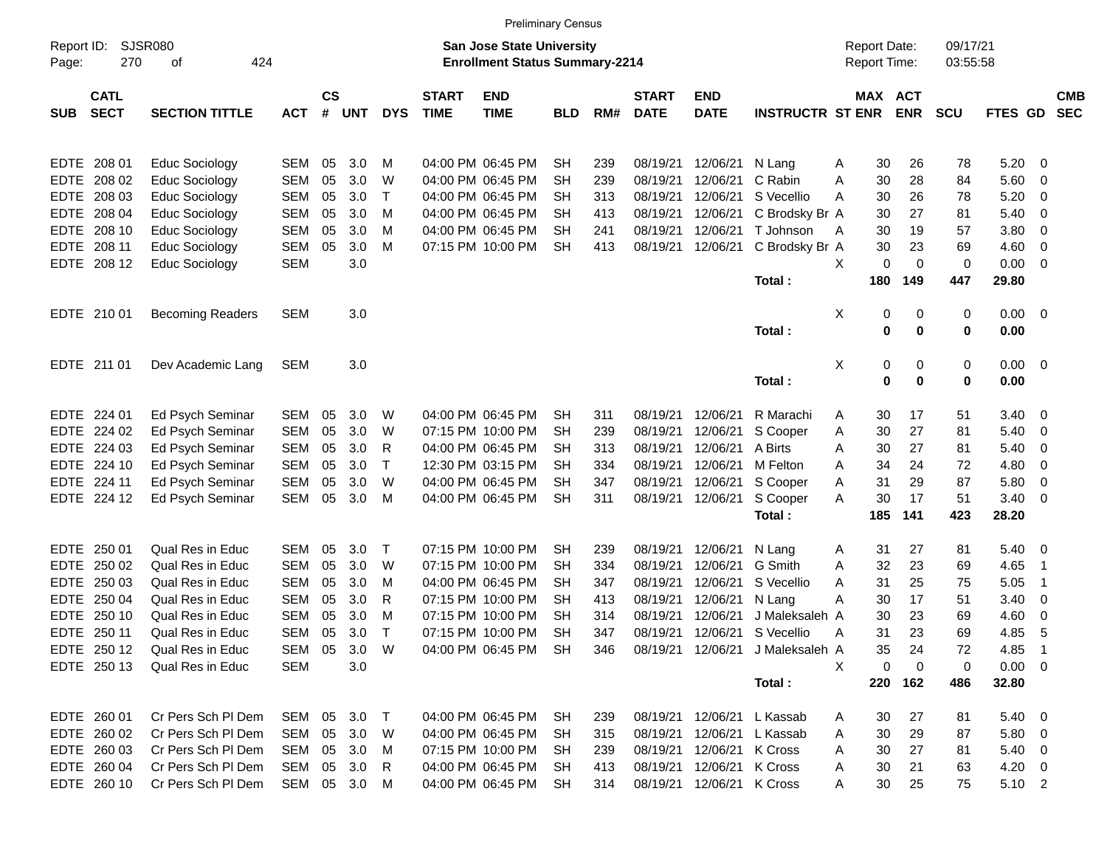|                     |                            |                             |              |                    |            |            |                             | <b>Preliminary Census</b>                                                 |            |     |                             |                           |                                  |   |                                     |             |                      |                |                          |                          |
|---------------------|----------------------------|-----------------------------|--------------|--------------------|------------|------------|-----------------------------|---------------------------------------------------------------------------|------------|-----|-----------------------------|---------------------------|----------------------------------|---|-------------------------------------|-------------|----------------------|----------------|--------------------------|--------------------------|
| Report ID:<br>Page: | 270                        | <b>SJSR080</b><br>424<br>οf |              |                    |            |            |                             | <b>San Jose State University</b><br><b>Enrollment Status Summary-2214</b> |            |     |                             |                           |                                  |   | <b>Report Date:</b><br>Report Time: |             | 09/17/21<br>03:55:58 |                |                          |                          |
| <b>SUB</b>          | <b>CATL</b><br><b>SECT</b> | <b>SECTION TITTLE</b>       | <b>ACT</b>   | $\mathsf{cs}$<br># | <b>UNT</b> | <b>DYS</b> | <b>START</b><br><b>TIME</b> | <b>END</b><br><b>TIME</b>                                                 | <b>BLD</b> | RM# | <b>START</b><br><b>DATE</b> | <b>END</b><br><b>DATE</b> | <b>INSTRUCTR ST ENR</b>          |   | MAX ACT                             | <b>ENR</b>  | <b>SCU</b>           | FTES GD        |                          | <b>CMB</b><br><b>SEC</b> |
|                     | EDTE 208 01                | Educ Sociology              | <b>SEM</b>   | 05                 | 3.0        | M          |                             | 04:00 PM 06:45 PM                                                         | <b>SH</b>  | 239 | 08/19/21                    | 12/06/21                  | N Lang                           | A | 30                                  | 26          | 78                   | 5.20           | - 0                      |                          |
| EDTE                | 208 02                     | Educ Sociology              | <b>SEM</b>   | 05                 | 3.0        | W          |                             | 04:00 PM 06:45 PM                                                         | SН         | 239 | 08/19/21                    | 12/06/21                  | C Rabin                          | Α | 30                                  | 28          | 84                   | 5.60           | 0                        |                          |
| EDTE                | 208 03                     | Educ Sociology              | <b>SEM</b>   | 05                 | 3.0        | т          |                             | 04:00 PM 06:45 PM                                                         | SН         | 313 | 08/19/21                    | 12/06/21                  | S Vecellio                       | A | 30                                  | 26          | 78                   | 5.20           | 0                        |                          |
|                     | EDTE 208 04                | Educ Sociology              | <b>SEM</b>   | 05                 | 3.0        | M          |                             | 04:00 PM 06:45 PM                                                         | SН         | 413 | 08/19/21                    | 12/06/21                  | C Brodsky Br A                   |   | 30                                  | 27          | 81                   | 5.40           | 0                        |                          |
|                     | EDTE 208 10                | Educ Sociology              | <b>SEM</b>   | 05                 | 3.0        | M          |                             | 04:00 PM 06:45 PM                                                         | SН         | 241 | 08/19/21                    | 12/06/21                  | T Johnson                        | A | 30                                  | 19          | 57                   | 3.80           | 0                        |                          |
|                     | EDTE 208 11                | Educ Sociology              | <b>SEM</b>   | 05                 | 3.0        | M          |                             | 07:15 PM 10:00 PM                                                         | <b>SH</b>  | 413 | 08/19/21                    | 12/06/21                  | C Brodsky Br A                   |   | 30                                  | 23          | 69                   | 4.60           | 0                        |                          |
|                     | EDTE 208 12                | Educ Sociology              | <b>SEM</b>   |                    | 3.0        |            |                             |                                                                           |            |     |                             |                           |                                  | X | 0                                   | $\mathbf 0$ | 0                    | 0.00           | - 0                      |                          |
|                     |                            |                             |              |                    |            |            |                             |                                                                           |            |     |                             |                           | Total:                           |   | 180                                 | 149         | 447                  | 29.80          |                          |                          |
|                     | EDTE 210 01                | <b>Becoming Readers</b>     | <b>SEM</b>   |                    | 3.0        |            |                             |                                                                           |            |     |                             |                           |                                  | Х | 0                                   | 0           | 0                    | $0.00 \t 0$    |                          |                          |
|                     |                            |                             |              |                    |            |            |                             |                                                                           |            |     |                             |                           | Total:                           |   | 0                                   | 0           | 0                    | 0.00           |                          |                          |
|                     | EDTE 211 01                | Dev Academic Lang           | <b>SEM</b>   |                    | 3.0        |            |                             |                                                                           |            |     |                             |                           |                                  | Х | 0                                   | 0           | 0                    | $0.00 \t 0$    |                          |                          |
|                     |                            |                             |              |                    |            |            |                             |                                                                           |            |     |                             |                           | Total:                           |   | 0                                   | $\mathbf 0$ | 0                    | 0.00           |                          |                          |
|                     | EDTE 224 01                | Ed Psych Seminar            | <b>SEM</b>   | 05                 | 3.0        | W          |                             | 04:00 PM 06:45 PM                                                         | SН         | 311 | 08/19/21                    | 12/06/21                  | R Marachi                        | A | 30                                  | 17          | 51                   | 3.40           | - 0                      |                          |
|                     | EDTE 224 02                | Ed Psych Seminar            | <b>SEM</b>   | 05                 | 3.0        | W          |                             | 07:15 PM 10:00 PM                                                         | SН         | 239 | 08/19/21                    | 12/06/21                  | S Cooper                         | Α | 30                                  | 27          | 81                   | 5.40           | - 0                      |                          |
|                     | EDTE 224 03                | Ed Psych Seminar            | <b>SEM</b>   | 05                 | 3.0        | R          |                             | 04:00 PM 06:45 PM                                                         | SН         | 313 | 08/19/21                    | 12/06/21                  | A Birts                          | A | 30                                  | 27          | 81                   | 5.40           | 0                        |                          |
|                     | EDTE 224 10                | Ed Psych Seminar            | <b>SEM</b>   | 05                 | 3.0        | Τ          |                             | 12:30 PM 03:15 PM                                                         | SН         | 334 | 08/19/21                    | 12/06/21                  | M Felton                         | A | 34                                  | 24          | 72                   | 4.80           | 0                        |                          |
|                     | EDTE 224 11                | Ed Psych Seminar            | <b>SEM</b>   | 05                 | 3.0        | W          |                             | 04:00 PM 06:45 PM                                                         | SН         | 347 | 08/19/21                    | 12/06/21                  | S Cooper                         | Α | 31                                  | 29          | 87                   | 5.80           | 0                        |                          |
|                     | EDTE 224 12                | Ed Psych Seminar            | <b>SEM</b>   | 05                 | 3.0        | M          |                             | 04:00 PM 06:45 PM                                                         | <b>SH</b>  | 311 | 08/19/21                    | 12/06/21                  | S Cooper                         | Α | 30                                  | 17          | 51                   | 3.40           | - 0                      |                          |
|                     |                            |                             |              |                    |            |            |                             |                                                                           |            |     |                             |                           | Total:                           |   | 185                                 | 141         | 423                  | 28.20          |                          |                          |
| EDTE                | 250 01                     | Qual Res in Educ            | <b>SEM</b>   | 05                 | 3.0        | Т          |                             | 07:15 PM 10:00 PM                                                         | SН         | 239 | 08/19/21                    | 12/06/21                  | N Lang                           | A | 31                                  | 27          | 81                   | 5.40           | $\overline{\phantom{0}}$ |                          |
| <b>EDTE</b>         | 250 02                     | <b>Qual Res in Educ</b>     | <b>SEM</b>   | 05                 | 3.0        | W          |                             | 07:15 PM 10:00 PM                                                         | SН         | 334 | 08/19/21                    | 12/06/21                  | G Smith                          | A | 32                                  | 23          | 69                   | 4.65           | -1                       |                          |
| <b>EDTE</b>         | 250 03                     | <b>Qual Res in Educ</b>     | <b>SEM</b>   | 05                 | 3.0        | M          |                             | 04:00 PM 06:45 PM                                                         | SН         | 347 | 08/19/21                    | 12/06/21                  | S Vecellio                       | A | 31                                  | 25          | 75                   | 5.05           | -1                       |                          |
| <b>EDTE</b>         | 250 04                     | Qual Res in Educ            | <b>SEM</b>   | 05                 | 3.0        | R          |                             | 07:15 PM 10:00 PM                                                         | SН         | 413 | 08/19/21                    | 12/06/21                  | N Lang                           | Α | 30                                  | 17          | 51                   | 3.40           | 0                        |                          |
| EDTE                | 250 10                     | Qual Res in Educ            | SEM          | 05                 | 3.0        | M          |                             | 07:15 PM 10:00 PM                                                         | SН         | 314 | 08/19/21                    | 12/06/21                  | J Maleksaleh A                   |   | 30                                  | 23          | 69                   | 4.60           | 0                        |                          |
|                     | EDTE 250 11                | <b>Qual Res in Educ</b>     | <b>SEM</b>   | 05                 | 3.0        | Т          |                             | 07:15 PM 10:00 PM                                                         | <b>SH</b>  | 347 | 08/19/21                    | 12/06/21                  | S Vecellio                       | A | 31                                  | 23          | 69                   | 4.85           | 5                        |                          |
|                     | EDTE 250 12                | Qual Res in Educ            | SEM 05 3.0 W |                    |            |            |                             | 04:00 PM 06:45 PM SH                                                      |            | 346 |                             |                           | 08/19/21 12/06/21 J Maleksaleh A |   | 35                                  | 24          | 72                   | 4.85 1         |                          |                          |
|                     | EDTE 250 13                | Qual Res in Educ            | <b>SEM</b>   |                    | 3.0        |            |                             |                                                                           |            |     |                             |                           |                                  | X | 0                                   | 0           | 0                    | $0.00 \t 0$    |                          |                          |
|                     |                            |                             |              |                    |            |            |                             |                                                                           |            |     |                             |                           | Total:                           |   | 220                                 | 162         | 486                  | 32.80          |                          |                          |
|                     | EDTE 260 01                | Cr Pers Sch Pl Dem          | SEM 05 3.0   |                    |            | $\top$     |                             | 04:00 PM 06:45 PM                                                         | SH         | 239 |                             | 08/19/21 12/06/21         | L Kassab                         | A | 30                                  | 27          | 81                   | $5.40 \quad 0$ |                          |                          |
|                     | EDTE 260 02                | Cr Pers Sch Pl Dem          | SEM          |                    | 05 3.0     | W          |                             | 04:00 PM 06:45 PM                                                         | SH         | 315 | 08/19/21 12/06/21           |                           | L Kassab                         | A | 30                                  | 29          | 87                   | 5.80 0         |                          |                          |
|                     | EDTE 260 03                | Cr Pers Sch Pl Dem          | SEM          |                    | 05 3.0     | M          |                             | 07:15 PM 10:00 PM                                                         | SH         | 239 |                             | 08/19/21 12/06/21         | K Cross                          | A | 30                                  | 27          | 81                   | 5.40 0         |                          |                          |
|                     | EDTE 260 04                | Cr Pers Sch Pl Dem          | SEM          |                    | 05 3.0     | R          |                             | 04:00 PM 06:45 PM                                                         | SH         | 413 |                             | 08/19/21 12/06/21         | K Cross                          | A | 30                                  | 21          | 63                   | $4.20 \ 0$     |                          |                          |
|                     | EDTE 260 10                | Cr Pers Sch Pl Dem          | SEM 05 3.0 M |                    |            |            |                             | 04:00 PM 06:45 PM                                                         | SH         | 314 |                             | 08/19/21 12/06/21 K Cross |                                  | A | 30                                  | 25          | 75                   | 5.10 2         |                          |                          |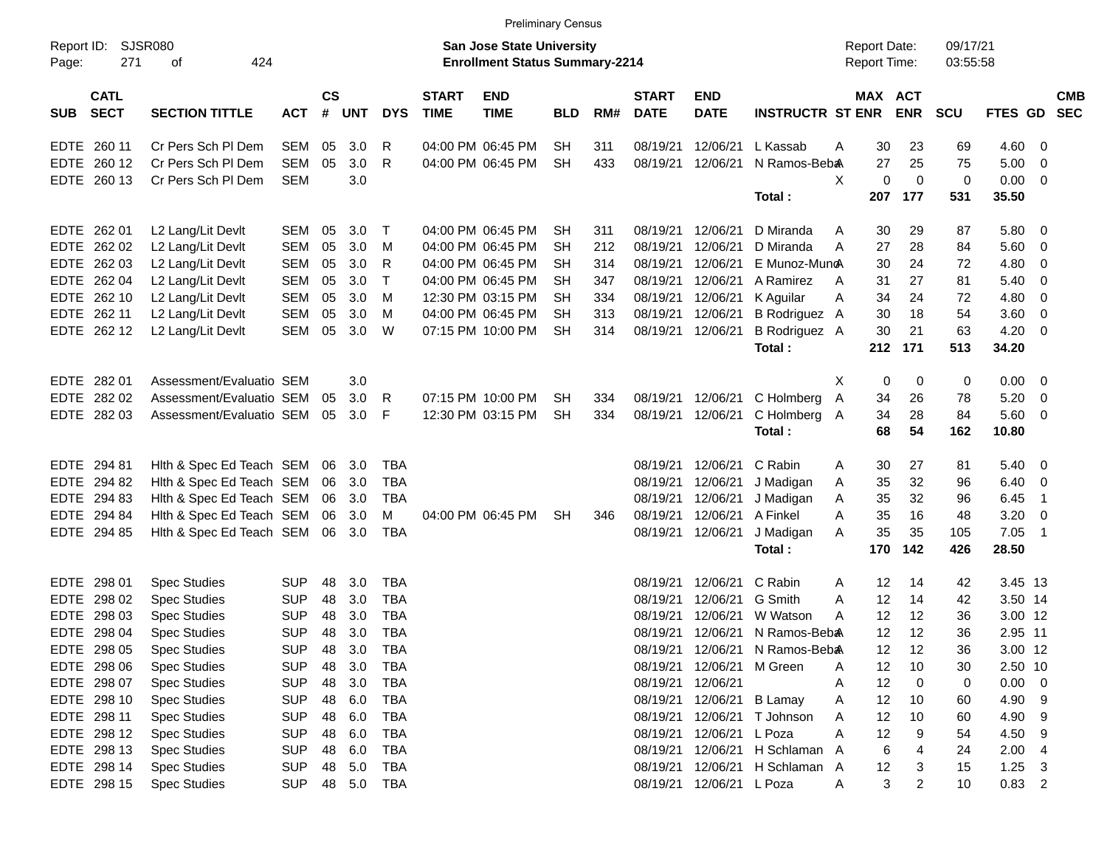|                     |                            |                          |            |                    |            |              |                             | <b>Preliminary Census</b>                                                 |            |     |                             |                           |                          |   |                                     |                |                      |                |                            |                          |
|---------------------|----------------------------|--------------------------|------------|--------------------|------------|--------------|-----------------------------|---------------------------------------------------------------------------|------------|-----|-----------------------------|---------------------------|--------------------------|---|-------------------------------------|----------------|----------------------|----------------|----------------------------|--------------------------|
| Report ID:<br>Page: | SJSR080<br>271             | 424<br>οf                |            |                    |            |              |                             | <b>San Jose State University</b><br><b>Enrollment Status Summary-2214</b> |            |     |                             |                           |                          |   | <b>Report Date:</b><br>Report Time: |                | 09/17/21<br>03:55:58 |                |                            |                          |
| <b>SUB</b>          | <b>CATL</b><br><b>SECT</b> | <b>SECTION TITTLE</b>    | <b>ACT</b> | $\mathsf{cs}$<br># | <b>UNT</b> | <b>DYS</b>   | <b>START</b><br><b>TIME</b> | <b>END</b><br><b>TIME</b>                                                 | <b>BLD</b> | RM# | <b>START</b><br><b>DATE</b> | <b>END</b><br><b>DATE</b> | <b>INSTRUCTR ST ENR</b>  |   | MAX ACT                             | <b>ENR</b>     | <b>SCU</b>           | <b>FTES GD</b> |                            | <b>CMB</b><br><b>SEC</b> |
| <b>EDTE</b>         | 260 11                     | Cr Pers Sch PI Dem       | <b>SEM</b> | 05                 | 3.0        | R            |                             | 04:00 PM 06:45 PM                                                         | <b>SH</b>  | 311 | 08/19/21                    | 12/06/21                  | L Kassab                 | A | 30                                  | 23             | 69                   | 4.60           | - 0                        |                          |
| <b>EDTE</b>         | 260 12                     | Cr Pers Sch PI Dem       | <b>SEM</b> | 05                 | 3.0        | R            |                             | 04:00 PM 06:45 PM                                                         | <b>SH</b>  | 433 | 08/19/21                    | 12/06/21                  | N Ramos-Beba             |   | 27                                  | 25             | 75                   | 5.00           | $\overline{\mathbf{0}}$    |                          |
| <b>EDTE</b>         | 260 13                     | Cr Pers Sch PI Dem       | <b>SEM</b> |                    | 3.0        |              |                             |                                                                           |            |     |                             |                           |                          | X | 0                                   | $\mathbf 0$    | 0                    | 0.00           | $\overline{\mathbf{0}}$    |                          |
|                     |                            |                          |            |                    |            |              |                             |                                                                           |            |     |                             |                           | Total:                   |   | 207                                 | 177            | 531                  | 35.50          |                            |                          |
| EDTE                | 262 01                     | L2 Lang/Lit Devlt        | SEM        | 05                 | 3.0        | $\top$       |                             | 04:00 PM 06:45 PM                                                         | <b>SH</b>  | 311 | 08/19/21                    | 12/06/21                  | D Miranda                | A | 30                                  | 29             | 87                   | 5.80           | $\overline{\phantom{0}}$   |                          |
| <b>EDTE</b>         | 262 02                     | L2 Lang/Lit Devlt        | <b>SEM</b> | 05                 | 3.0        | м            |                             | 04:00 PM 06:45 PM                                                         | <b>SH</b>  | 212 | 08/19/21                    | 12/06/21                  | D Miranda                | A | 27                                  | 28             | 84                   | 5.60           | $\overline{\mathbf{0}}$    |                          |
| <b>EDTE</b>         | 262 03                     | L2 Lang/Lit Devlt        | <b>SEM</b> | 05                 | 3.0        | $\mathsf{R}$ |                             | 04:00 PM 06:45 PM                                                         | <b>SH</b>  | 314 | 08/19/21                    | 12/06/21                  | E Munoz-MuncA            |   | 30                                  | 24             | 72                   | 4.80           | - 0                        |                          |
| <b>EDTE</b>         | 262 04                     | L2 Lang/Lit Devlt        | <b>SEM</b> | 05                 | 3.0        | $\mathsf{T}$ |                             | 04:00 PM 06:45 PM                                                         | <b>SH</b>  | 347 | 08/19/21                    | 12/06/21                  | A Ramirez                | A | 31                                  | 27             | 81                   | 5.40           | 0                          |                          |
| <b>EDTE</b>         | 262 10                     | L2 Lang/Lit Devlt        | <b>SEM</b> | 05                 | 3.0        | м            |                             | 12:30 PM 03:15 PM                                                         | <b>SH</b>  | 334 | 08/19/21                    | 12/06/21                  | K Aguilar                | A | 34                                  | 24             | 72                   | 4.80           | $\overline{0}$             |                          |
| <b>EDTE</b>         | 262 11                     | L2 Lang/Lit Devlt        | <b>SEM</b> | 05                 | 3.0        | м            |                             | 04:00 PM 06:45 PM                                                         | SH         | 313 | 08/19/21                    | 12/06/21                  | B Rodriguez A            |   | 30                                  | 18             | 54                   | 3.60           | $\overline{0}$             |                          |
| <b>EDTE</b>         | 262 12                     | L2 Lang/Lit Devlt        | <b>SEM</b> | 05                 | 3.0        | W            |                             | 07:15 PM 10:00 PM                                                         | <b>SH</b>  | 314 | 08/19/21                    | 12/06/21                  | B Rodriguez A            |   | 30                                  | 21             | 63                   | 4.20           | $\overline{0}$             |                          |
|                     |                            |                          |            |                    |            |              |                             |                                                                           |            |     |                             |                           | Total:                   |   | 212                                 | 171            | 513                  | 34.20          |                            |                          |
| <b>EDTE</b>         | 28201                      | Assessment/Evaluatio SEM |            |                    | 3.0        |              |                             |                                                                           |            |     |                             |                           |                          | X | 0                                   | 0              | 0                    | 0.00           | $\overline{\mathbf{0}}$    |                          |
| <b>EDTE</b>         | 282 02                     | Assessment/Evaluatio SEM |            | 05                 | 3.0        | R            |                             | 07:15 PM 10:00 PM                                                         | <b>SH</b>  | 334 | 08/19/21                    | 12/06/21                  | C Holmberg               | A | 34                                  | 26             | 78                   | 5.20           | $\overline{\mathbf{0}}$    |                          |
| <b>EDTE</b>         | 28203                      | Assessment/Evaluatio SEM |            | 05                 | 3.0        | F            |                             | 12:30 PM 03:15 PM                                                         | <b>SH</b>  | 334 | 08/19/21                    | 12/06/21                  | C Holmberg A             |   | 34                                  | 28             | 84                   | 5.60           | $\overline{\mathbf{0}}$    |                          |
|                     |                            |                          |            |                    |            |              |                             |                                                                           |            |     |                             |                           | Total:                   |   | 68                                  | 54             | 162                  | 10.80          |                            |                          |
| <b>EDTE</b>         | 294 81                     | Hith & Spec Ed Teach SEM |            | 06                 | 3.0        | TBA          |                             |                                                                           |            |     | 08/19/21                    | 12/06/21                  | C Rabin                  | A | 30                                  | 27             | 81                   | 5.40           | $\overline{\mathbf{0}}$    |                          |
| <b>EDTE</b>         | 294 82                     | Hith & Spec Ed Teach SEM |            | 06                 | 3.0        | <b>TBA</b>   |                             |                                                                           |            |     | 08/19/21                    | 12/06/21                  | J Madigan                | Α | 35                                  | 32             | 96                   | 6.40           | $\overline{\mathbf{0}}$    |                          |
| <b>EDTE</b>         | 294 83                     | Hith & Spec Ed Teach SEM |            | 06                 | 3.0        | <b>TBA</b>   |                             |                                                                           |            |     | 08/19/21                    | 12/06/21                  | J Madigan                | Α | 35                                  | 32             | 96                   | 6.45           | $\overline{\phantom{0}}$ 1 |                          |
| <b>EDTE</b>         | 294 84                     | Hith & Spec Ed Teach SEM |            | 06                 | 3.0        | M            |                             | 04:00 PM 06:45 PM                                                         | <b>SH</b>  | 346 | 08/19/21                    | 12/06/21                  | A Finkel                 | A | 35                                  | 16             | 48                   | 3.20           | $\overline{\mathbf{0}}$    |                          |
| <b>EDTE</b>         | 294 85                     | Hith & Spec Ed Teach SEM |            | 06                 | 3.0        | <b>TBA</b>   |                             |                                                                           |            |     | 08/19/21                    | 12/06/21                  | J Madigan                | A | 35                                  | 35             | 105                  | 7.05           | $\overline{\phantom{0}}$ 1 |                          |
|                     |                            |                          |            |                    |            |              |                             |                                                                           |            |     |                             |                           | Total:                   |   | 170                                 | 142            | 426                  | 28.50          |                            |                          |
| <b>EDTE</b>         | 298 01                     | <b>Spec Studies</b>      | <b>SUP</b> | 48                 | 3.0        | <b>TBA</b>   |                             |                                                                           |            |     | 08/19/21                    | 12/06/21                  | C Rabin                  | A | 12                                  | 14             | 42                   | 3.45 13        |                            |                          |
| <b>EDTE</b>         | 298 02                     | <b>Spec Studies</b>      | <b>SUP</b> | 48                 | 3.0        | <b>TBA</b>   |                             |                                                                           |            |     | 08/19/21                    | 12/06/21                  | G Smith                  | A | 12                                  | 14             | 42                   | 3.50 14        |                            |                          |
| <b>EDTE</b>         | 298 03                     | <b>Spec Studies</b>      | <b>SUP</b> | 48                 | 3.0        | <b>TBA</b>   |                             |                                                                           |            |     | 08/19/21                    | 12/06/21                  | W Watson                 | A | 12                                  | 12             | 36                   | 3.00 12        |                            |                          |
|                     | EDTE 298 04                | <b>Spec Studies</b>      | <b>SUP</b> | 48                 | 3.0        | <b>TBA</b>   |                             |                                                                           |            |     | 08/19/21                    | 12/06/21                  | N Ramos-Beb <sub>a</sub> |   | 12                                  | 12             | 36                   | 2.95 11        |                            |                          |
|                     | EDTE 298 05                | <b>Spec Studies</b>      | <b>SUP</b> | 48                 | 3.0        | TBA          |                             |                                                                           |            |     | 08/19/21                    |                           | 12/06/21 N Ramos-Beba    |   | 12                                  | 12             | 36                   | 3.00 12        |                            |                          |
|                     | EDTE 298 06                | <b>Spec Studies</b>      | <b>SUP</b> | 48                 | 3.0        | <b>TBA</b>   |                             |                                                                           |            |     | 08/19/21                    | 12/06/21                  | M Green                  | Α | 12                                  | 10             | 30                   | 2.50 10        |                            |                          |
|                     | EDTE 298 07                | <b>Spec Studies</b>      | <b>SUP</b> | 48                 | 3.0        | <b>TBA</b>   |                             |                                                                           |            |     | 08/19/21                    | 12/06/21                  |                          | A | 12                                  | 0              | 0                    | $0.00 \t 0$    |                            |                          |
|                     | EDTE 298 10                | <b>Spec Studies</b>      | <b>SUP</b> | 48                 | 6.0        | <b>TBA</b>   |                             |                                                                           |            |     | 08/19/21                    |                           | 12/06/21 B Lamay         | Α | 12                                  | 10             | 60                   | 4.90           | 9                          |                          |
|                     | EDTE 298 11                | <b>Spec Studies</b>      | <b>SUP</b> | 48                 | 6.0        | <b>TBA</b>   |                             |                                                                           |            |     | 08/19/21                    | 12/06/21                  | T Johnson                | Α | 12                                  | 10             | 60                   | 4.90           | - 9                        |                          |
|                     | EDTE 298 12                | <b>Spec Studies</b>      | <b>SUP</b> | 48                 | 6.0        | <b>TBA</b>   |                             |                                                                           |            |     | 08/19/21                    | 12/06/21                  | L Poza                   | Α | 12                                  | 9              | 54                   | 4.50           | $_{9}$                     |                          |
|                     | EDTE 298 13                | <b>Spec Studies</b>      | <b>SUP</b> | 48                 | 6.0        | <b>TBA</b>   |                             |                                                                           |            |     | 08/19/21                    |                           | 12/06/21 H Schlaman A    |   | 6                                   | 4              | 24                   | 2.00           | $\overline{a}$             |                          |
|                     | EDTE 298 14                | <b>Spec Studies</b>      | <b>SUP</b> | 48                 | 5.0        | TBA          |                             |                                                                           |            |     | 08/19/21                    |                           | 12/06/21 H Schlaman A    |   | 12                                  | 3              | 15                   | 1.25           | 3                          |                          |
|                     | EDTE 298 15                | <b>Spec Studies</b>      | <b>SUP</b> |                    | 48 5.0     | <b>TBA</b>   |                             |                                                                           |            |     | 08/19/21                    | 12/06/21 L Poza           |                          | Α | 3                                   | $\overline{c}$ | 10                   | $0.83$ 2       |                            |                          |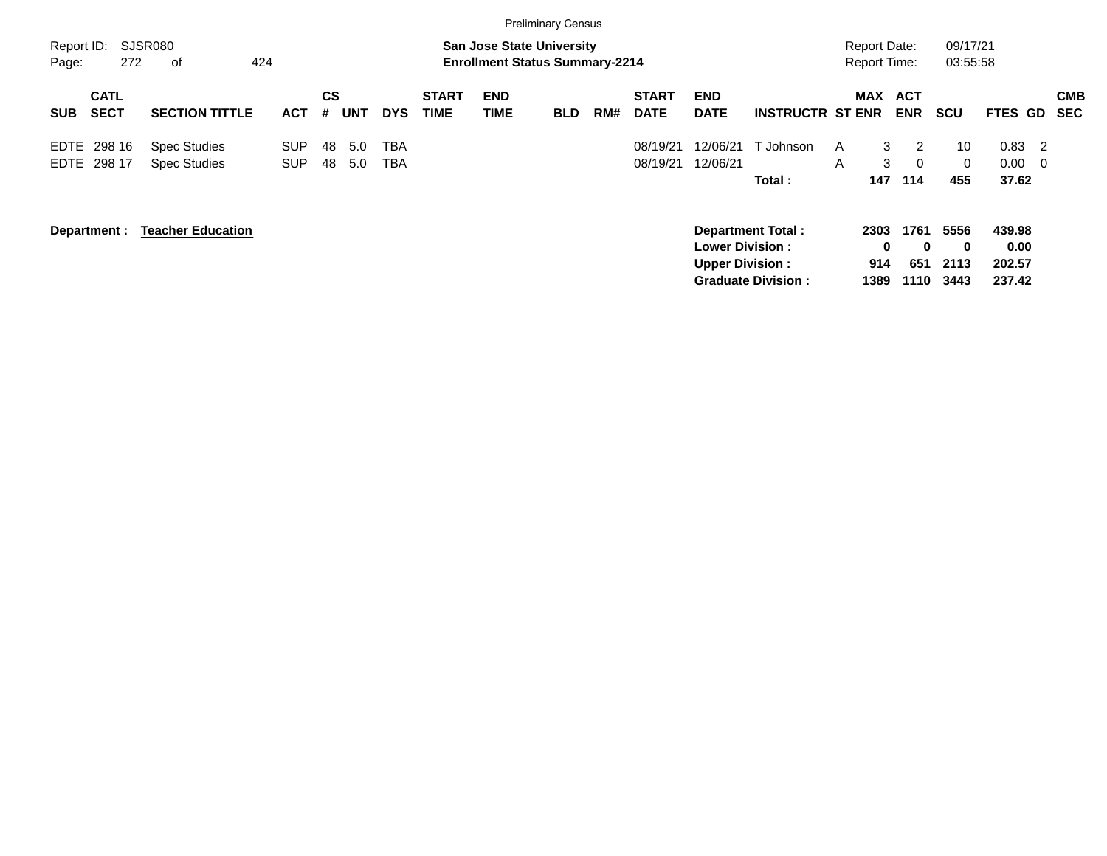|                     |                            |                                            |                          |                |            |                   |                             |                                                                           | <b>Preliminary Census</b> |     |                             |                                                  |                                                       |                                            |                                 |                                  |                                    |                          |
|---------------------|----------------------------|--------------------------------------------|--------------------------|----------------|------------|-------------------|-----------------------------|---------------------------------------------------------------------------|---------------------------|-----|-----------------------------|--------------------------------------------------|-------------------------------------------------------|--------------------------------------------|---------------------------------|----------------------------------|------------------------------------|--------------------------|
| Report ID:<br>Page: | 272                        | SJSR080<br>424<br>оf                       |                          |                |            |                   |                             | <b>San Jose State University</b><br><b>Enrollment Status Summary-2214</b> |                           |     |                             |                                                  |                                                       | <b>Report Date:</b><br><b>Report Time:</b> |                                 | 09/17/21<br>03:55:58             |                                    |                          |
| <b>SUB</b>          | <b>CATL</b><br><b>SECT</b> | <b>SECTION TITTLE</b>                      | <b>ACT</b>               | <b>CS</b><br># | <b>UNT</b> | <b>DYS</b>        | <b>START</b><br><b>TIME</b> | <b>END</b><br>TIME                                                        | <b>BLD</b>                | RM# | <b>START</b><br><b>DATE</b> | <b>END</b><br><b>DATE</b>                        | <b>INSTRUCTR ST ENR</b>                               | <b>MAX</b>                                 | <b>ACT</b><br><b>ENR</b>        | <b>SCU</b>                       | <b>FTES GD</b>                     | <b>CMB</b><br><b>SEC</b> |
| EDTE                | 298 16<br>EDTE 298 17      | <b>Spec Studies</b><br><b>Spec Studies</b> | <b>SUP</b><br><b>SUP</b> | 48<br>48       | 5.0<br>5.0 | ТВА<br><b>TBA</b> |                             |                                                                           |                           |     | 08/19/21<br>08/19/21        | 12/06/21<br>12/06/21                             | T Johnson<br>Total:                                   | 3<br>A<br>3<br>A<br>147                    | 2<br>$\Omega$<br>114            | 10<br>$\Omega$<br>455            | 0.83<br>-2<br>0.00<br>- 0<br>37.62 |                          |
|                     | Department :               | <b>Teacher Education</b>                   |                          |                |            |                   |                             |                                                                           |                           |     |                             | <b>Lower Division:</b><br><b>Upper Division:</b> | <b>Department Total:</b><br><b>Graduate Division:</b> | 2303<br>0<br>914<br>1389                   | 1761<br>$\bf{0}$<br>651<br>1110 | 5556<br>$\bf{0}$<br>2113<br>3443 | 439.98<br>0.00<br>202.57<br>237.42 |                          |